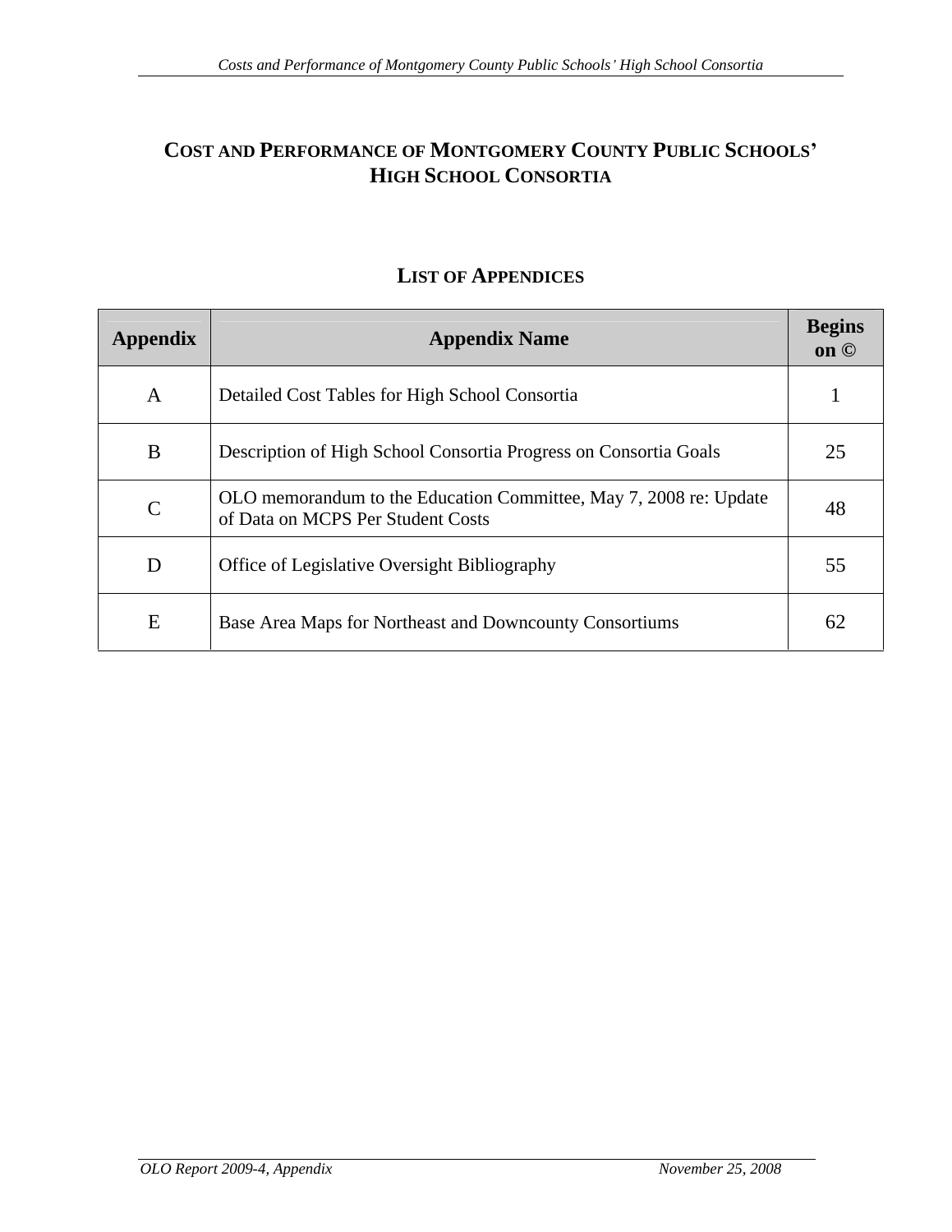# COST AND PERFORMANCE OF MONTGOMERY COUNTY PUBLIC SCHOOLS'<br>HIGH SCHOOL CONSORTIA **HIGH SCHOOL CONSORTIA**

| Appendix     | <b>Appendix Name</b>                                                                                   | <b>Begins</b><br>on © |
|--------------|--------------------------------------------------------------------------------------------------------|-----------------------|
|              | Detailed Cost Tables for High School Consortia                                                         |                       |
| $\mathbf{B}$ | Description of High School Consortia Progress on Consortia Goals                                       | $\bigcap_{i=1}^n$     |
|              | OLO memorandum to the Education Committee, May 7, 2008 re: Update<br>of Data on MCPS Per Student Costs | 48                    |
| D            | Office of Legislative Oversight Bibliography                                                           | 55                    |
|              | Base Area Maps for Northeast and Downcounty Consortiums                                                | $\epsilon$            |

# **LIST OF APPENDICES**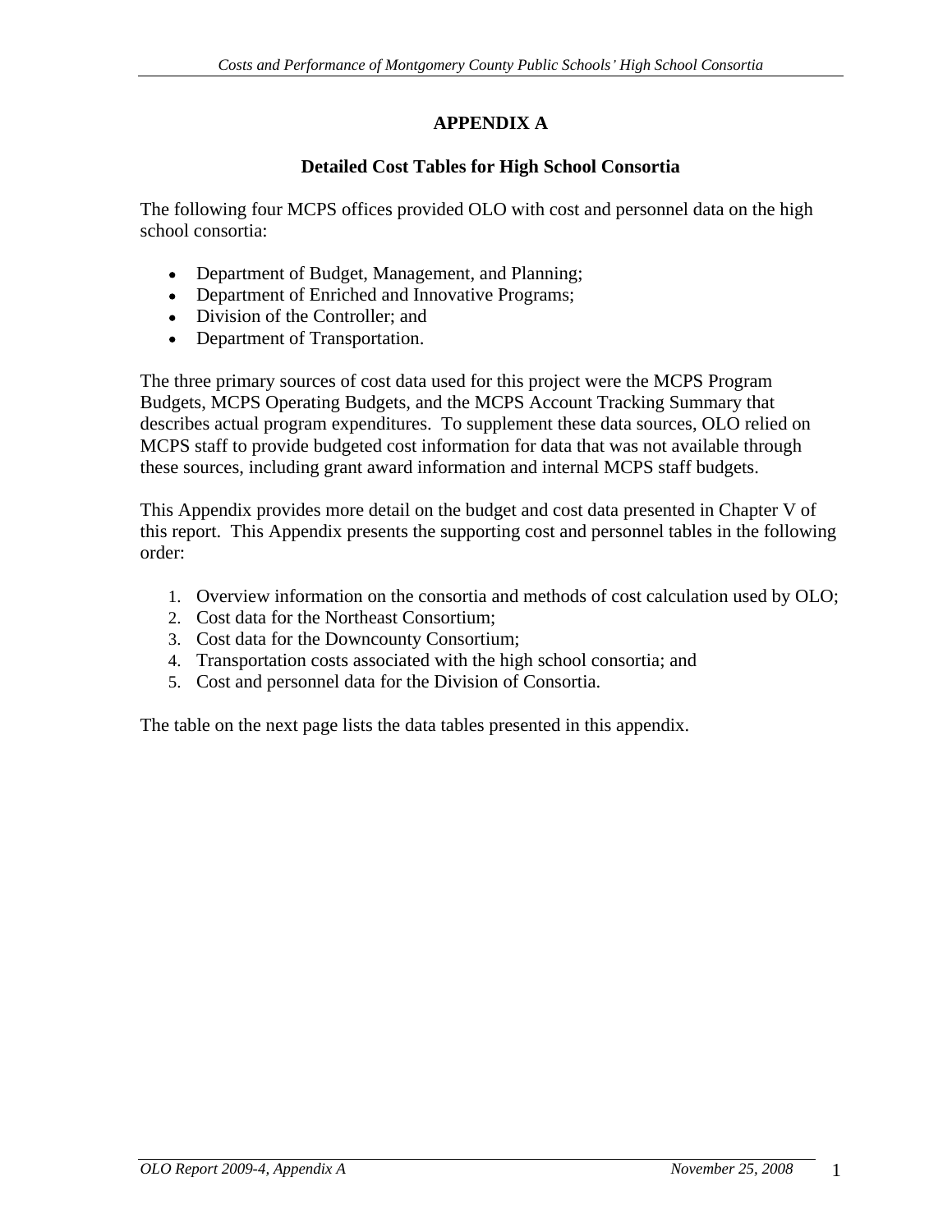# **Detailed Cost Tables for High School Consortia**

The following four MCPS offices provided OLO with cost and personnel data on the high school consortia:

- Department of Budget, Management, and Planning;
- Department of Enriched and Innovative Programs;
- Division of the Controller; and
- Department of Transportation.

The three primary sources of cost data used for this project were the MCPS Program Budgets, MCPS Operating Budgets, and the MCPS Account Tracking Summary that describes actual program expenditures. To supplement these data sources, OLO relied on MCPS staff to provide budgeted cost information for data that was not available through these sources, including grant award information and internal MCPS staff budgets.

This Appendix provides more detail on the budget and cost data presented in Chapter V of this report. This Appendix presents the supporting cost and personnel tables in the following order:

- 1. Overview information on the consortia and methods of cost calculation used by OLO;
- 2. Cost data for the Northeast Consortium;
- 3. Cost data for the Downcounty Consortium;
- 4. Transportation costs associated with the high school consortia; and
- 5. Cost and personnel data for the Division of Consortia.

The table on the next page lists the data tables presented in this appendix.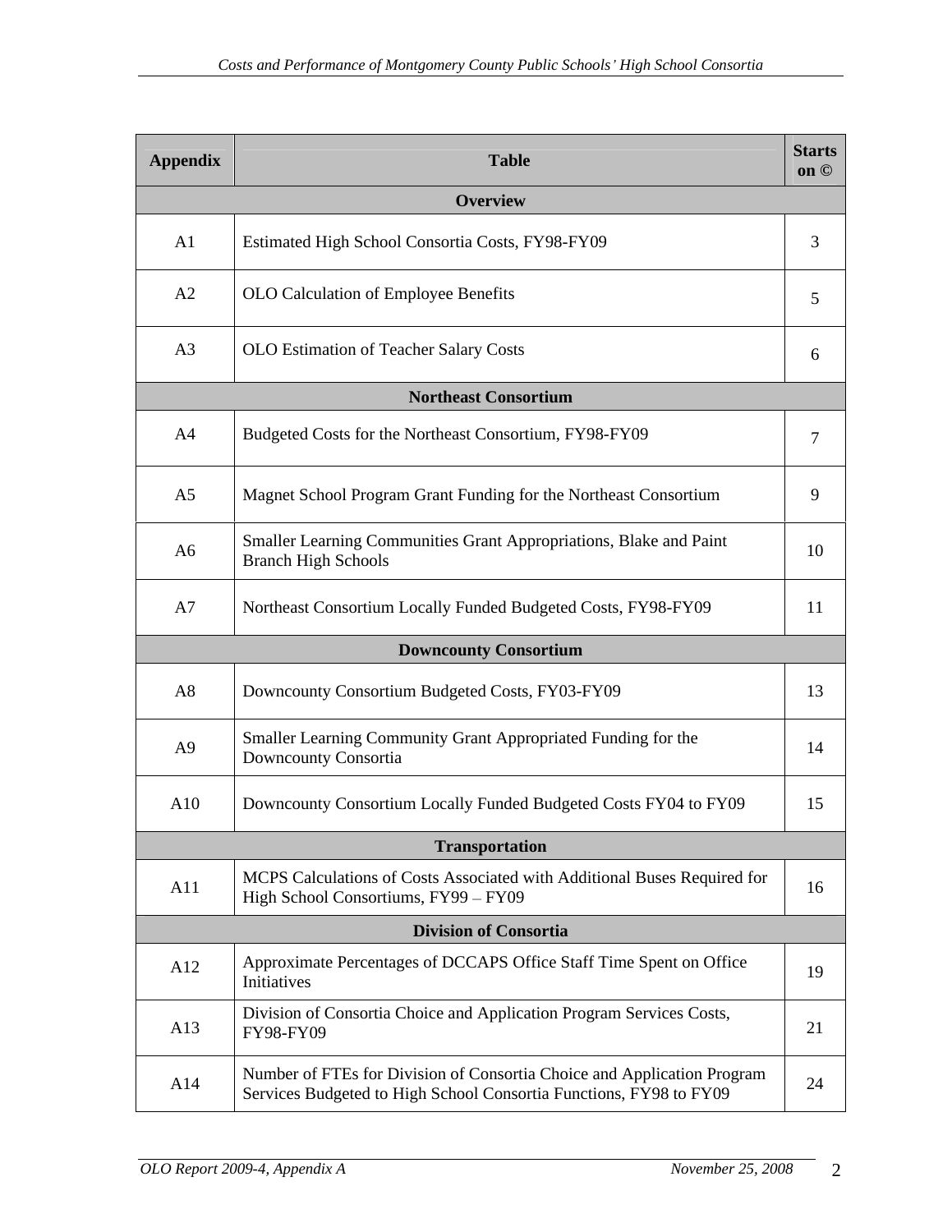| Appendix | <b>Table</b>                                                                                                                                  | <b>Starts</b><br>on © |
|----------|-----------------------------------------------------------------------------------------------------------------------------------------------|-----------------------|
|          | Overview                                                                                                                                      |                       |
| A1       | Estimated High School Consortia Costs, FY98-FY09                                                                                              |                       |
| A2       | OLO Calculation of Employee Benefits                                                                                                          |                       |
| A3       | <b>OLO</b> Estimation of Teacher Salary Costs                                                                                                 |                       |
|          | <b>Northeast Consortium</b>                                                                                                                   |                       |
| A4       | Budgeted Costs for the Northeast Consortium, FY98-FY09                                                                                        |                       |
| A5       | Magnet School Program Grant Funding for the Northeast Consortium                                                                              | $\mathbf{Q}$          |
| A6       | Smaller Learning Communities Grant Appropriations, Blake and Paint<br><b>Branch High Schools</b>                                              | 10                    |
| A7       | Northeast Consortium Locally Funded Budgeted Costs, FY98-FY09                                                                                 |                       |
|          | <b>Downcounty Consortium</b>                                                                                                                  |                       |
| A8       | Downcounty Consortium Budgeted Costs, FY03-FY09                                                                                               | 13                    |
| A9       | Smaller Learning Community Grant Appropriated Funding for the<br>Downcounty Consortia                                                         | 14                    |
| A10      | Downcounty Consortium Locally Funded Budgeted Costs FY04 to FY09                                                                              | 15                    |
|          | Transportation                                                                                                                                |                       |
| A11      | MCPS Calculations of Costs Associated with Additional Buses Required for<br>High School Consortiums, FY99 - FY09                              | 16                    |
|          | <b>Division of Consortia</b>                                                                                                                  |                       |
| A12      | Approximate Percentages of DCCAPS Office Staff Time Spent on Office<br>Initiatives                                                            | 19                    |
| A13      | Division of Consortia Choice and Application Program Services Costs,<br>FY98-FY09                                                             | 21                    |
| A14      | Number of FTEs for Division of Consortia Choice and Application Program<br>Services Budgeted to High School Consortia Functions, FY98 to FY09 | 24                    |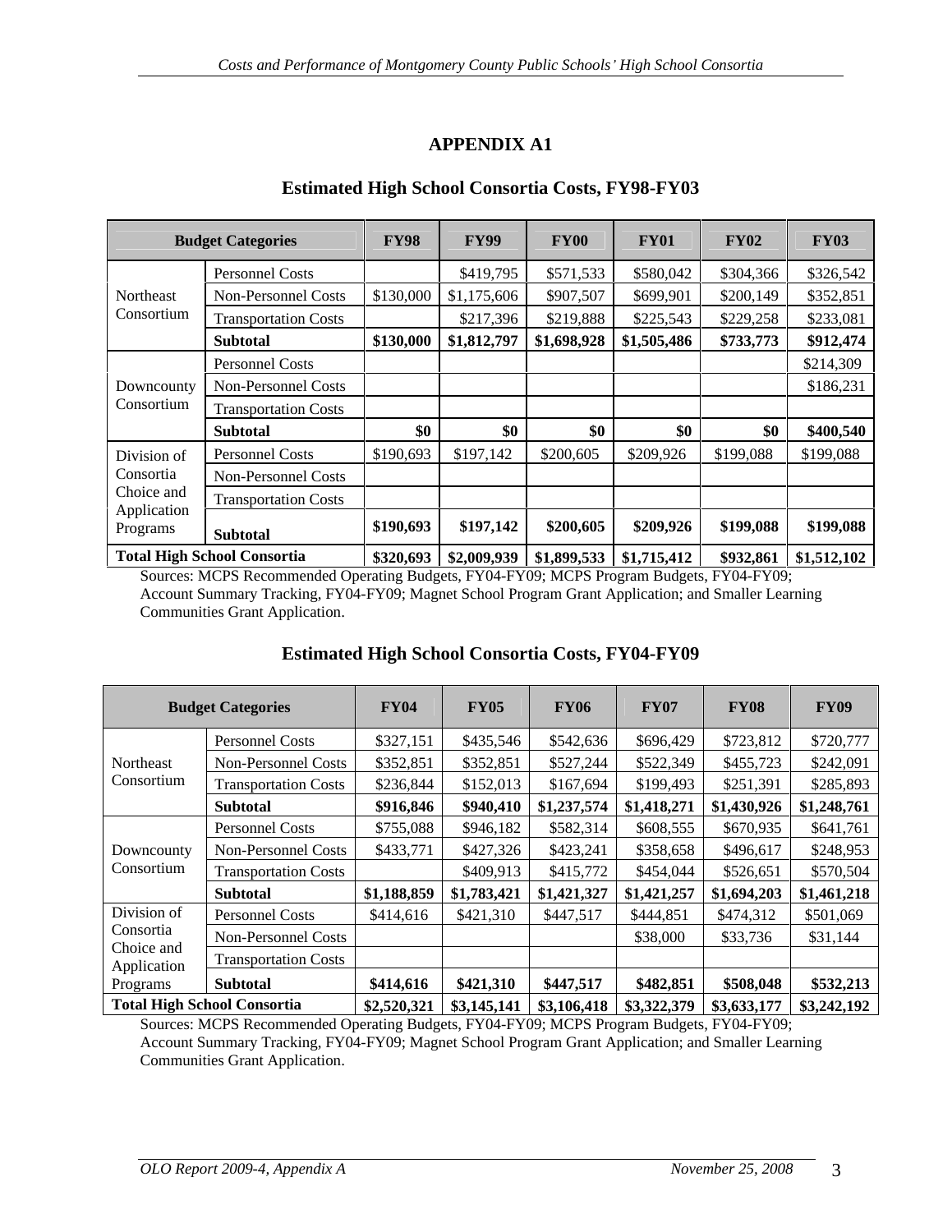### **Estimated High School Consortia Costs, FY98-FY03**

|                         | <b>Budget Categories</b>           | <b>FY98</b> | <b>FY99</b>              | <b>FY00</b>                      | <b>FY01</b> | <b>FY02</b> | <b>FY03</b>                                                                                                                           |
|-------------------------|------------------------------------|-------------|--------------------------|----------------------------------|-------------|-------------|---------------------------------------------------------------------------------------------------------------------------------------|
| Northeast               | Personnel Costs                    |             | \$419,795                | \$571,533                        | \$580,042   | \$304,366   | \$326,542                                                                                                                             |
|                         | Non-Personnel Costs                |             | $$130,000$ $$1,175,606$  | \$907,507                        | \$699,90    | \$200,149   | \$352,851                                                                                                                             |
| Consortium              | Transportation Costs               |             | \$217,396                | \$219,888                        | \$225,543   | \$229,258   | \$233,081                                                                                                                             |
|                         | <b>Subtotal</b>                    |             | $$130,000$   \$1,812,797 | $\mid$ \$1,698,928   \$1,505,486 |             | \$733,773   | \$912,474                                                                                                                             |
|                         | <b>Personnel Costs</b>             |             |                          |                                  |             |             | \$214,309                                                                                                                             |
| Downcounty              | Non-Personnel Costs                |             |                          |                                  |             |             | \$186,231                                                                                                                             |
| Consortium              | <b>Transportation Costs</b>        |             |                          |                                  |             |             |                                                                                                                                       |
|                         | <b>Subtotal</b>                    | -\$0        |                          |                                  |             | - 40        | \$400,540                                                                                                                             |
| Division of             | Personnel Costs                    | \$190,693   | \$197,142                | \$200,605                        | \$209,926   | \$199,088   | \$199,088                                                                                                                             |
| Consortia               | Non-Personnel Costs                |             |                          |                                  |             |             |                                                                                                                                       |
| Choice and              | <b>Transportation Costs</b>        |             |                          |                                  |             |             |                                                                                                                                       |
| Application<br>Programs | Subtotal                           | \$190,693   | \$197,142                | \$200,605                        | \$209,926   | \$199,088   | \$199,088                                                                                                                             |
|                         | <b>Total High School Consortia</b> |             |                          |                                  |             |             | $\frac{$320,693}{1}$ $\frac{$2,009,939}{1}$ $\frac{$1,899,533}{1}$ $\frac{$1,715,412}{1}$ $\frac{$932,861}{1}$ $\frac{$1,512,102}{1}$ |

Sources: MCPS Recommended Operating Budgets, FY04-FY09; MCPS Program Budgets, FY04-FY09; Account Summary Tracking, FY04-FY09; Magnet School Program Grant Application; and Smaller Learning Communities Grant Application.

|                                       | <b>Budget Categories</b>           | <b>FY04</b> | <b>FY05</b> | <b>FY06</b>                                                                               | <b>FY07</b> | <b>FY08</b>                       | <b>FY09</b>                       |
|---------------------------------------|------------------------------------|-------------|-------------|-------------------------------------------------------------------------------------------|-------------|-----------------------------------|-----------------------------------|
|                                       | Personnel Costs                    | \$327,151   | \$435,546   | \$542,636                                                                                 | \$696,429   | \$723,812                         | \$720,777                         |
| Northeast                             | Non-Personnel Costs                | \$352,851   | \$352,851   | \$527,244                                                                                 | \$522,349   | \$455,723                         | \$242,091                         |
| Consortium                            | <b>Transportation Costs</b>        | \$236,844   | \$152,013   | \$167,694                                                                                 | \$199,493   | \$251,391                         | \$285,893                         |
|                                       | <b>Subtotal</b>                    | \$916,846   | \$940,410   | $\vert$ \$1,237,574   \$1,418,271                                                         |             | $\vert$ \$1,430,926   \$1,248,761 |                                   |
| Downcounty                            | Personnel Costs                    | \$755,088   | \$946,182   | \$582,314                                                                                 | \$608,555   | \$670,935                         | \$641,761                         |
|                                       | Non-Personnel Costs                | \$433,771   | \$427,326   | \$423,241                                                                                 | \$358,658   | \$496,617                         | \$248,953                         |
| Consortium                            | <b>Transportation Costs</b>        |             | \$409,913   | \$415,772                                                                                 | \$454,044   | \$526,651                         | \$570,504                         |
|                                       | <b>Subtotal</b>                    | \$1,188,859 | \$1,783,421 | \$1,421,327                                                                               | \$1,421,257 |                                   | $\vert$ \$1,694,203   \$1,461,218 |
| Division of                           | <b>Personnel Costs</b>             | \$414,616   | \$421,310   | \$447,517                                                                                 | \$444,851   | \$474,312                         | \$501,069                         |
| Consortia                             | Non-Personnel Costs                |             |             |                                                                                           | \$38,000    | \$33,736                          | \$31,144                          |
| Choice and<br>Application<br>Programs | <b>Transportation Costs</b>        |             |             |                                                                                           |             |                                   |                                   |
|                                       | <b>Subtota</b>                     | \$414,616   | \$421,310   | \$447,517                                                                                 | \$482,851   | \$508,048                         | \$532,213                         |
|                                       | <b>Total High School Consortia</b> |             |             | $\vert$ \$2,520,321   \$3,145,141   \$3,106,418   \$3,322,379   \$3,633,177   \$3,242,192 |             |                                   |                                   |

## **Estimated High School Consortia Costs, FY04-FY09**

Sources: MCPS Recommended Operating Budgets, FY04-FY09; MCPS Program Budgets, FY04-FY09; Account Summary Tracking, FY04-FY09; Magnet School Program Grant Application; and Smaller Learning Communities Grant Application.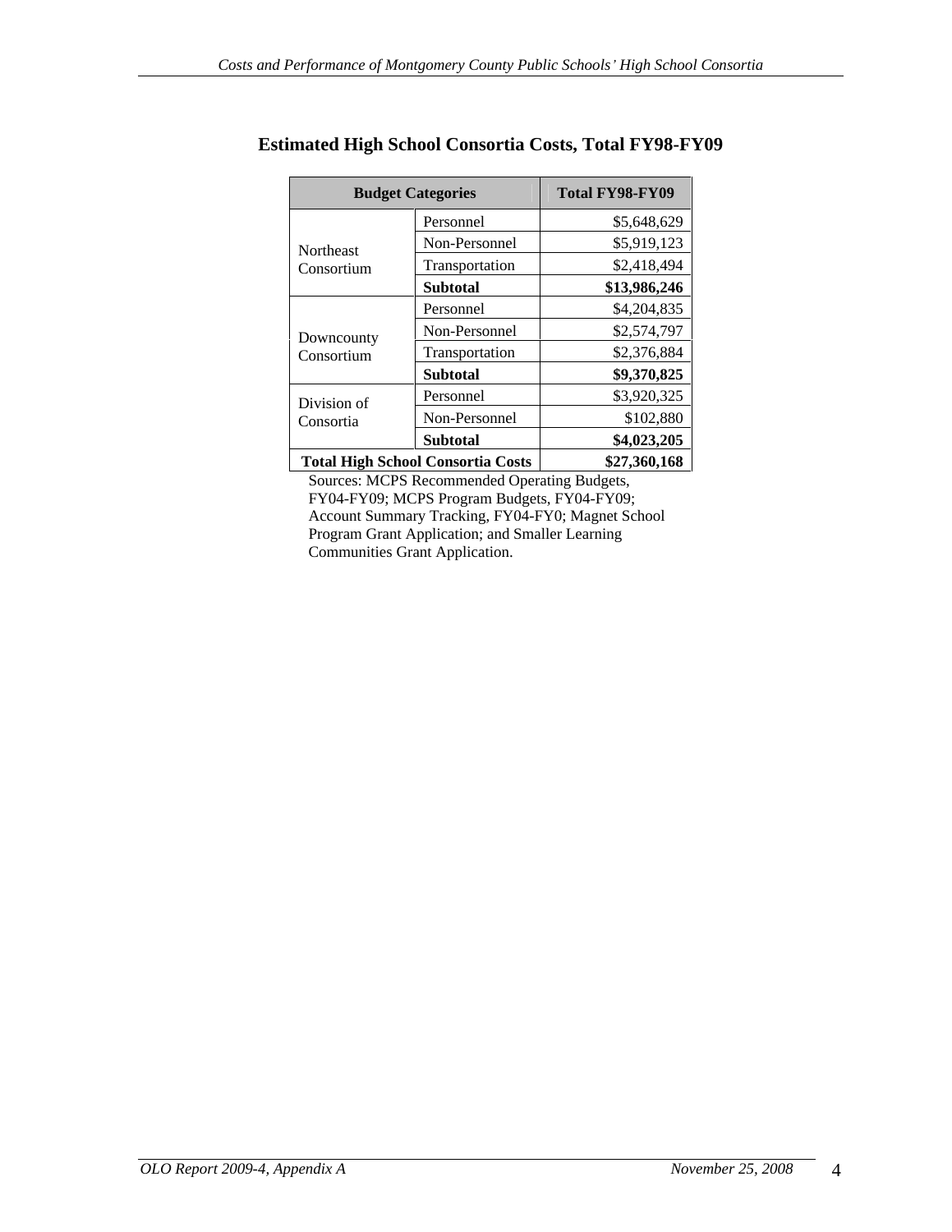|             | <b>Budget Categories</b>          | Total FY98-FY09 |
|-------------|-----------------------------------|-----------------|
|             | Personnel                         | \$5,648,629     |
| Northeast   | Non-Personnel                     | \$5,919,123     |
| Consortium  | Transportation                    | \$2,418,494     |
|             | Subtotal                          | \$13,986,246    |
|             | Personnel                         | \$4,204,835     |
| Downcounty  | Non-Personnel                     | \$2,574,797     |
| Consortium  | Transportation                    | \$2,376,884     |
|             | Subtotal                          | \$9,370,825     |
| Division of | Personnel                         | \$3,920,325     |
| Consortia   | Non-Personnel                     | \$102,880       |
|             | Subtotal                          | \$4,023,205     |
|             | Total High School Consortia Costs | \$27,360,168    |

### **Estimated High School Consortia Costs, Total FY98-FY09**

Sources: MCPS Recommended Operating Budgets, FY04-FY09; MCPS Program Budgets, FY04-FY09; Account Summary Tracking, FY04-FY0; Magnet School Program Grant Application; and Smaller Learning Communities Grant Application.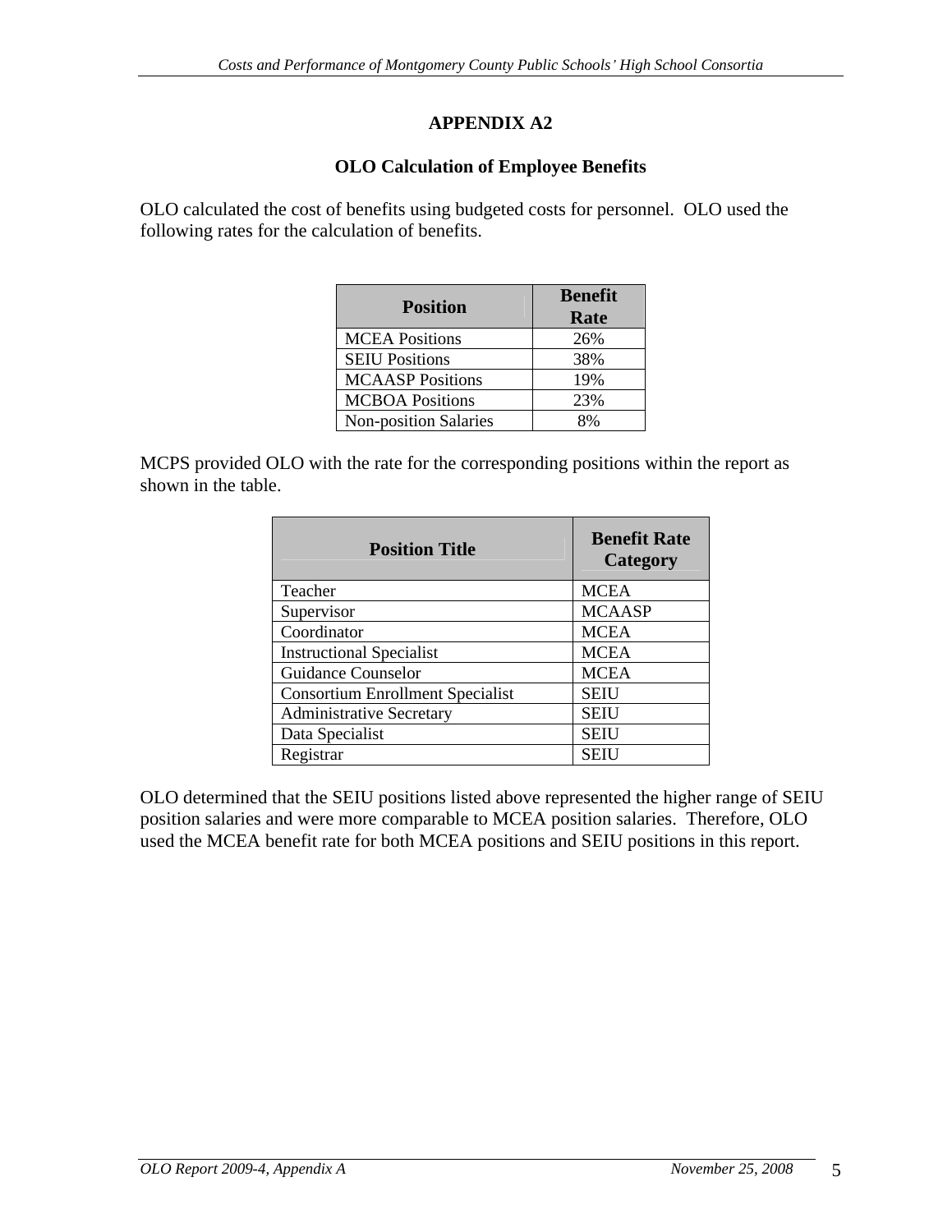## **OLO Calculation of Employee Benefits**

OLO calculated the cost of benefits using budgeted costs for personnel. OLO used the following rates for the calculation of benefits.

|                         | <b>Benefit</b> |
|-------------------------|----------------|
| Position                | Rate           |
| <b>MCEA Positions</b>   | 26%            |
| <b>SEIU Positions</b>   | 38%            |
| <b>MCAASP Positions</b> | 19%            |
| <b>MCBOA Positions</b>  | 23%            |
| Non-position Salaries   | 8%             |

MCPS provided OLO with the rate for the corresponding positions within the report as shown in the table.

| <b>Position Title</b>            | <b>Benefit Rate</b><br>Category |
|----------------------------------|---------------------------------|
| Teacher                          | <b>MCEA</b>                     |
| Supervisor                       | <b>MCAASP</b>                   |
| Coordinator                      | <b>MCEA</b>                     |
| <b>Instructional Specialist</b>  | <b>MCEA</b>                     |
| Guidance Counselor               | <b>MCEA</b>                     |
| Consortium Enrollment Specialist | <b>SEIU</b>                     |
| Administrative Secretary         | <b>SEIU</b>                     |
| Data Specialist                  | SEIU                            |
| Registrar                        | SEIU                            |

OLO determined that the SEIU positions listed above represented the higher range of SEIU position salaries and were more comparable to MCEA position salaries. Therefore, OLO used the MCEA benefit rate for both MCEA positions and SEIU positions in this report.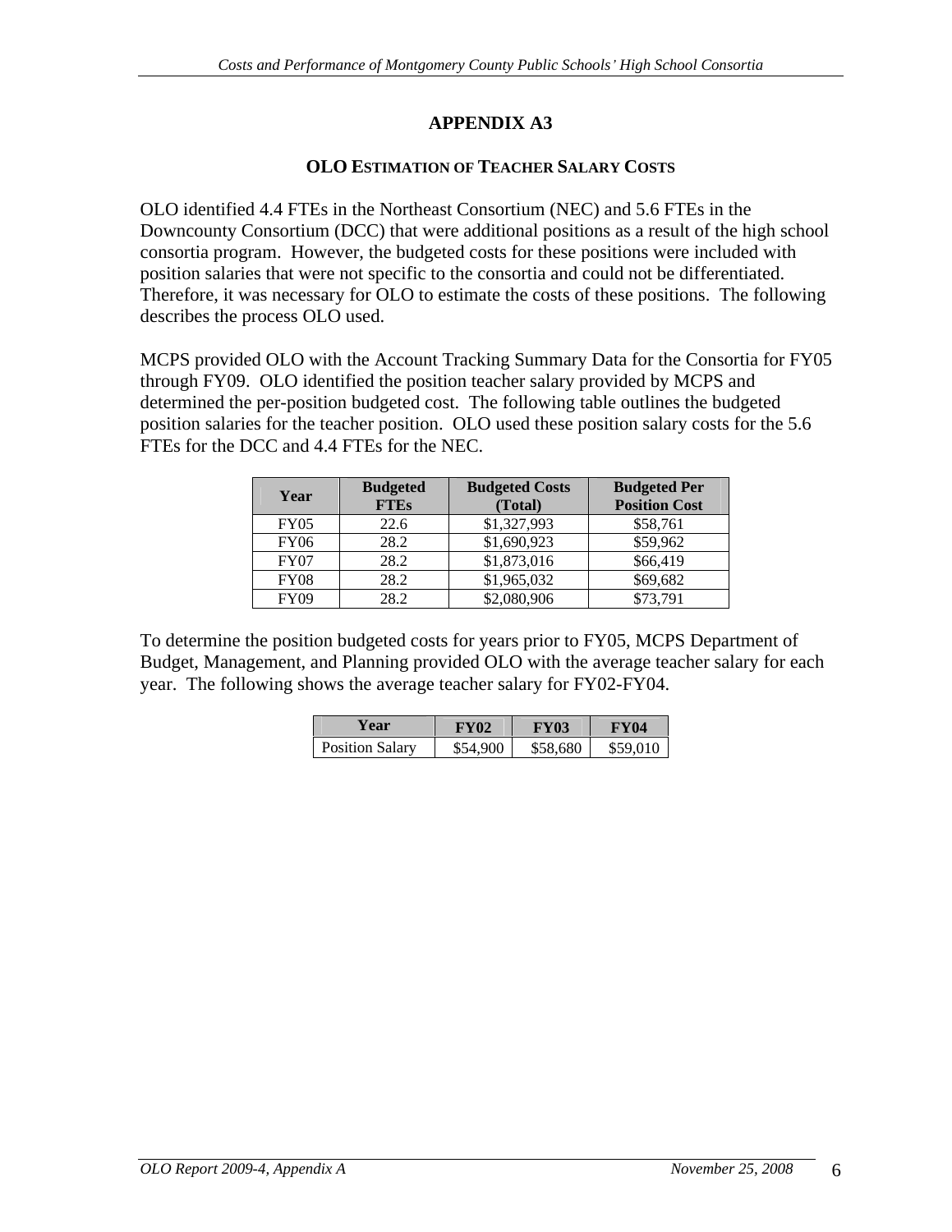### **OLO ESTIMATION OF TEACHER SALARY COSTS**

OLO identified 4.4 FTEs in the Northeast Consortium (NEC) and 5.6 FTEs in the Downcounty Consortium (DCC) that were additional positions as a result of the high school consortia program. However, the budgeted costs for these positions were included with position salaries that were not specific to the consortia and could not be differentiated. Therefore, it was necessary for OLO to estimate the costs of these positions. The following describes the process OLO used.

MCPS provided OLO with the Account Tracking Summary Data for the Consortia for FY05 through FY09. OLO identified the position teacher salary provided by MCPS and determined the per-position budgeted cost. The following table outlines the budgeted position salaries for the teacher position. OLO used these position salary costs for the 5.6 FTEs for the DCC and 4.4 FTEs for the NEC.

| Year        | <b>Budgeted</b> | <b>Budgeted Costs</b> | <b>Budgeted Per</b>  |
|-------------|-----------------|-----------------------|----------------------|
|             | <b>FTEs</b>     | (Total                | <b>Position Cost</b> |
| <b>FY05</b> | 225<br>44.U     | \$1,327,993           | \$58,761             |
| <b>FY06</b> | 28.2            | \$1,690,923           | \$59,962             |
| <b>FY07</b> | 00a<br>28.2     | \$1,873,016           | \$66,419             |
| <b>FY08</b> | 28.2            | \$1,965,032           | \$69,682             |
| <b>FY09</b> | 28.2            | \$2,080,906           | \$73,791             |

To determine the position budgeted costs for years prior to FY05, MCPS Department of Budget, Management, and Planning provided OLO with the average teacher salary for each year. The following shows the average teacher salary for FY02-FY04.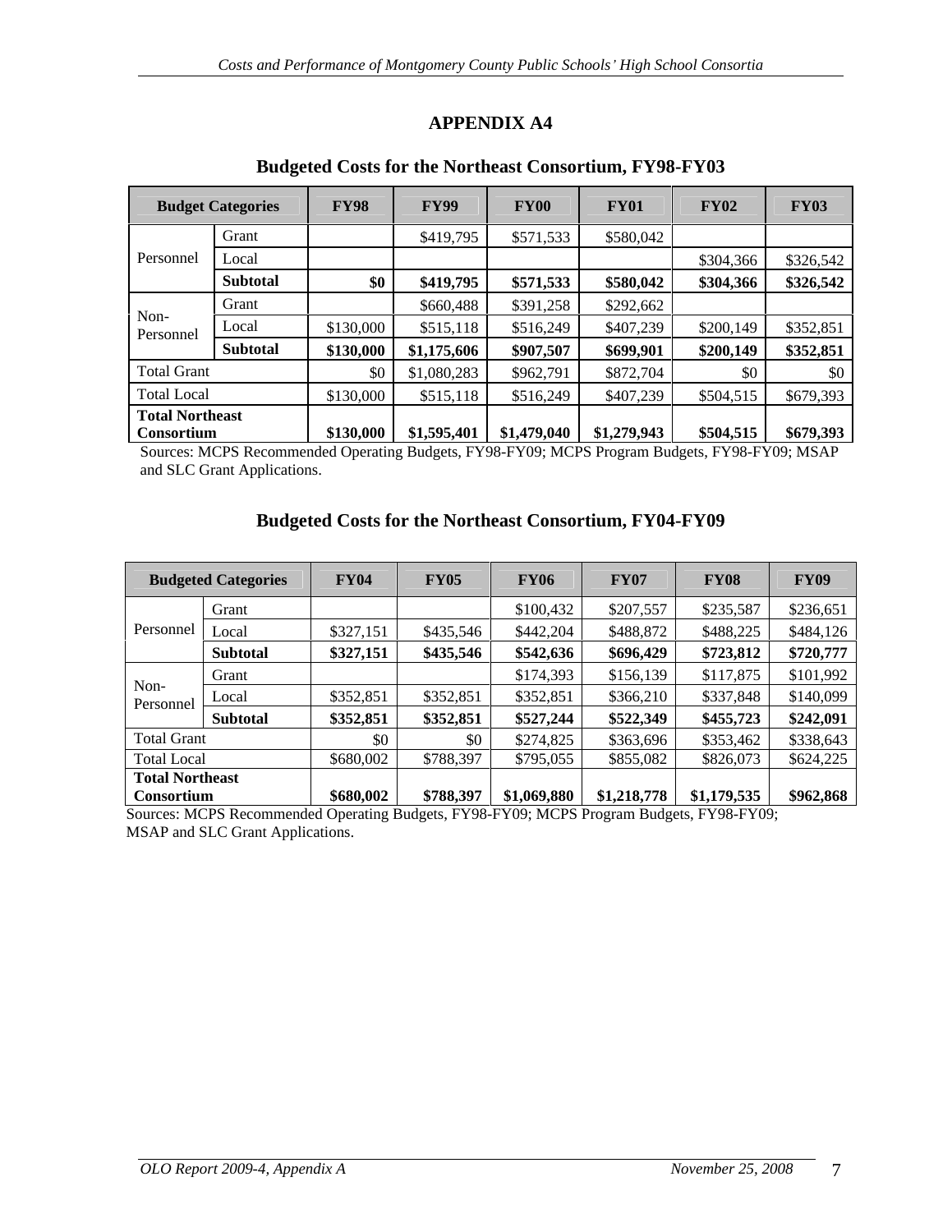#### **Budget Categories FY98 FY99 FY00 FY01 FY02 FY03** Grant | \$419,795 \$571,533 \$580,042 Personnel Local \$304,366 \$326,542 **Subtotal** \$0 \$419,795 \$571,533 \$580,042 \$304,366 \$326,542 \$0 Grant 1 \$660,488 \$391,258 \$292,662 Local \$130,000 \$515,118 \$516,249 \$407,239 \$200,149 \$352,851 Non-<br>
Lead 0.22 0.23 0.24 1.12 0.25 0.25 0.27 1.28 0.27 0.27 0.27 1.28 0.27 0.27 0.27 1.12 0.27 0.27 1.12 0.27 0.27 Personnel  $\frac{200a}{2}$   $\frac{3150,000}{2}$   $\frac{3215,118}{2}$   $\frac{3210,249}{2}$   $\frac{3407,259}{2}$   $\frac{3200,149}{2}$   $\frac{3222,821}{2}$ **Subtotal \$130,000 \$1,175,606 \$907,507 \$699,901 \$200,149 \$352,851** Total Grant  $$0 \mid $1,080,283 \mid $962,791 \mid $872,704 \mid $0 \mid $80 \mid $0$ Total Local 5130,000 | \$515,118 | \$516,249 | \$407,239 | \$504,515 | \$679,393 | **Total Northeast**

### **APPENDIX A4**

#### **Budgeted Costs for the Northeast Consortium, FY98-FY03**

**Consortium \$130,000 \$1,595,401 \$1,479,040 \$1,279,943 \$504,515 \$679,393** Sources: MCPS Recommended Operating Budgets, FY98-FY09; MCPS Program Budgets, FY98-FY09; MSAP and SLC Grant Applications.

#### **Budgeted Costs for the Northeast Consortium, FY04-FY09**

|                        | <b>Budgeted Categories</b> | <b>FY04</b> | <b>FY05</b> | <b>FY06</b>               | <b>FY07</b>                       | <b>FY08</b> | <b>FY09</b> |
|------------------------|----------------------------|-------------|-------------|---------------------------|-----------------------------------|-------------|-------------|
| Personnel   Local      | Grant                      |             |             | \$100,432                 | \$207,557                         | \$235,587   | \$236,651   |
|                        |                            | \$327,15    | \$435,546   | \$442,204                 | \$488,872                         | \$488,225   | \$484,126   |
|                        | <b>Subtotal</b>            | \$327,151   | \$435,546   | \$542,636                 | \$696,429                         | \$723,812   | \$720,777   |
|                        | Grant                      |             |             | \$174,393                 | \$156,139                         | \$117,875   | \$101,992   |
| Non-<br>Personnel      |                            | \$352,851   | \$352,851   | \$352,851                 | \$366,210                         | \$337,848   | \$140,099   |
|                        | <b>Subtotal</b>            | \$352,851   | \$352,851   | \$527,244                 | \$522,349                         | \$455,723   | \$242,091   |
| <b>Total Grant</b>     |                            |             |             | \$274,825                 | \$363,696                         | \$353,462   | \$338,643   |
| <b>Total Local</b>     |                            | \$680,002   | \$788,397   | \$795,055                 | \$855,082                         | \$826,073   | \$624,225   |
| <b>Total Northeast</b> |                            |             |             |                           |                                   |             |             |
| <b>Consortium</b>      |                            | \$680,002   | \$788,397   | $\frac{1}{2}$ \$1,069,880 | $\vert$ \$1,218,778   \$1,179,535 |             | \$962,868   |

Sources: MCPS Recommended Operating Budgets, FY98-FY09; MCPS Program Budgets, FY98-FY09; MSAP and SLC Grant Applications.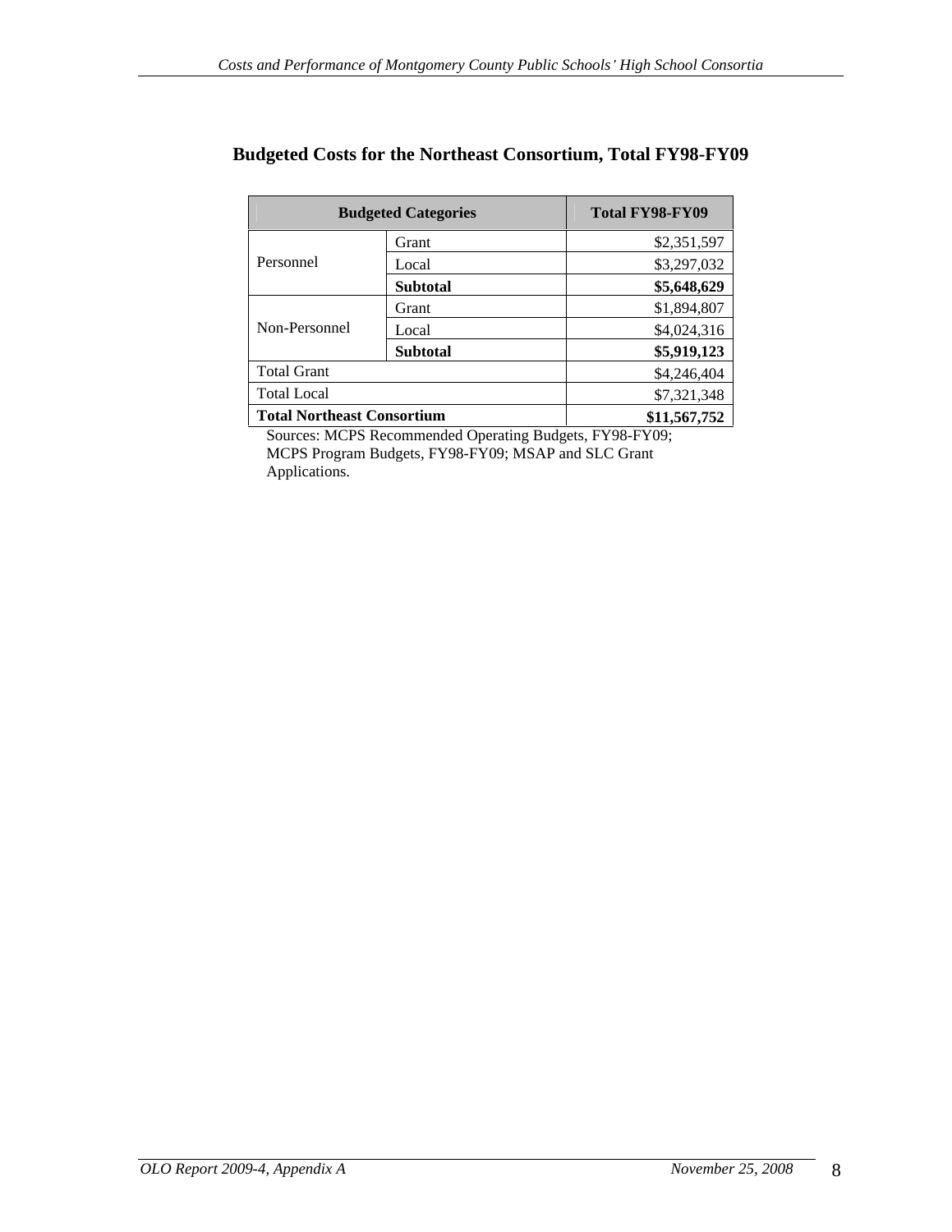|                                                  | <b>Budgeted Categories</b> | Total FY98-FY09 |
|--------------------------------------------------|----------------------------|-----------------|
|                                                  | Grant                      | \$2,351,597     |
| Personnel                                        | Local                      | \$3,297,032     |
|                                                  | Subtotal                   | \$5,648,629     |
|                                                  | . <del>i</del> rant        | \$1,894,807     |
| Non-Personnel                                    | Local                      | \$4,024,316     |
|                                                  | Subtotal                   | \$5,919,123     |
| Total Grant<br>the control of the control of the |                            | \$4,246,404     |
| Total Local                                      |                            | \$7,321,348     |
| Total Northeast Consortium                       |                            | \$11,567,752    |

### **Budgeted Costs for the Northeast Consortium, Total FY98-FY09**

Sources: MCPS Recommended Operating Budgets, FY98-FY09; MCPS Program Budgets, FY98-FY09; MSAP and SLC Grant Applications.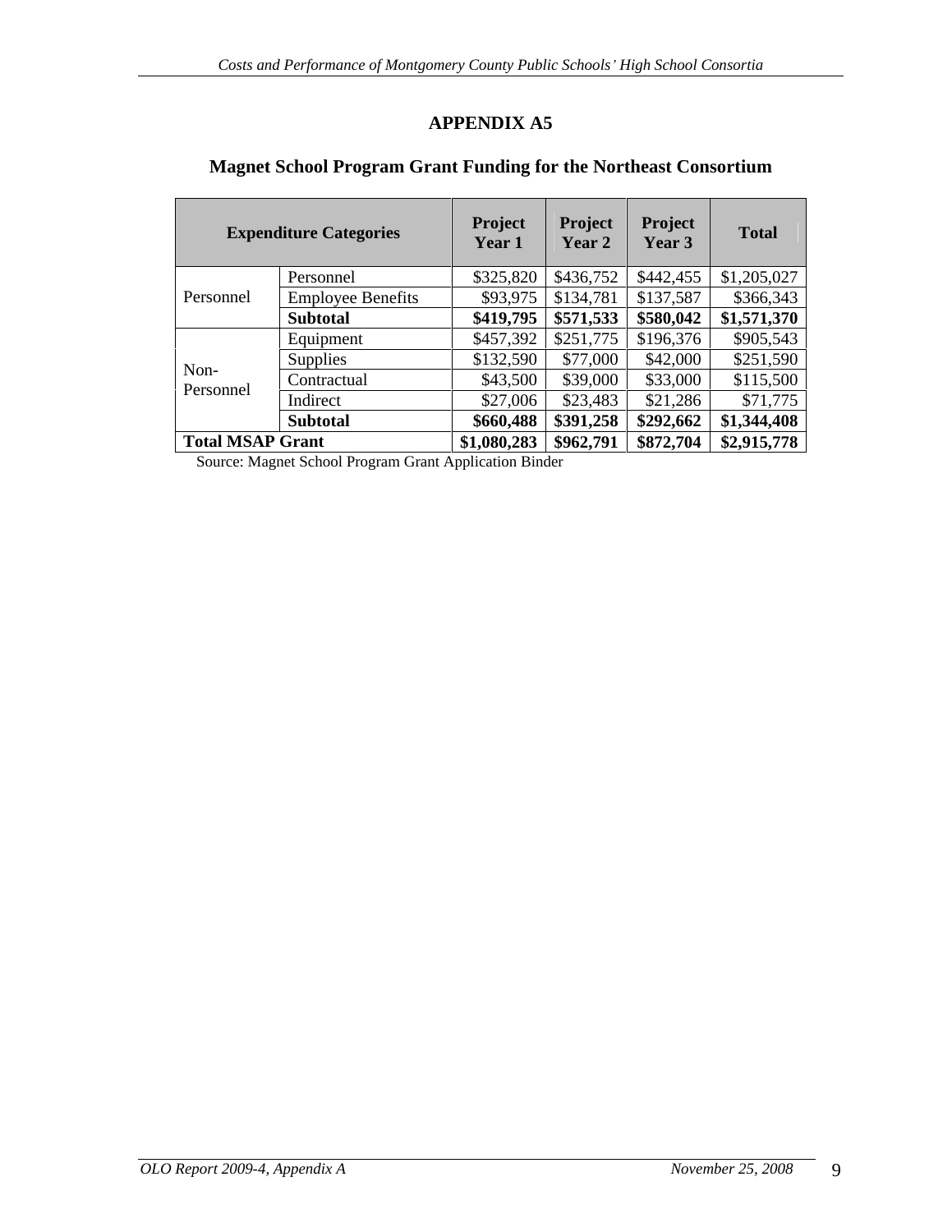| <b>Expenditure Categories</b> |                          | Project<br>Year 1 | Project<br>Year 2 | <b>Project</b><br>Year 3 | <b>Total</b>                    |
|-------------------------------|--------------------------|-------------------|-------------------|--------------------------|---------------------------------|
|                               | Personnel                | \$325,820         | \$436,752         | \$442,455                | \$1,205,027                     |
| Personnel                     | <b>Employee Benefits</b> | \$93,975          | \$134,781         | \$137,587                | \$366,343                       |
|                               | <b>Subtotal</b>          | \$419,795         | \$571,533         |                          | $\vert$ \$580,042   \$1,571,370 |
|                               | Equipment                | \$457,392         | \$251,775         | \$196,376                | \$905,543                       |
|                               | Supplies                 | \$132,590         | \$77,000          | \$42,000                 | \$251,590                       |
| Non-                          | Contractual              | \$43,500          | \$39,000          | \$33,000                 | \$115,500                       |
| Personnel                     | Indirect                 | \$27,006          | \$23,483          | \$21,286                 | \$71,775                        |
|                               | <b>Subtotal</b>          | \$660,488         | \$391,258         | \$292,662                | \$1,344,408                     |
| <b>Total MSAP Grant</b>       |                          | \$1,080,283       | \$962,791         | \$872,704                | \$2,915,778                     |

**Magnet School Program Grant Funding for the Northeast Consortium**

Source: Magnet School Program Grant Application Binder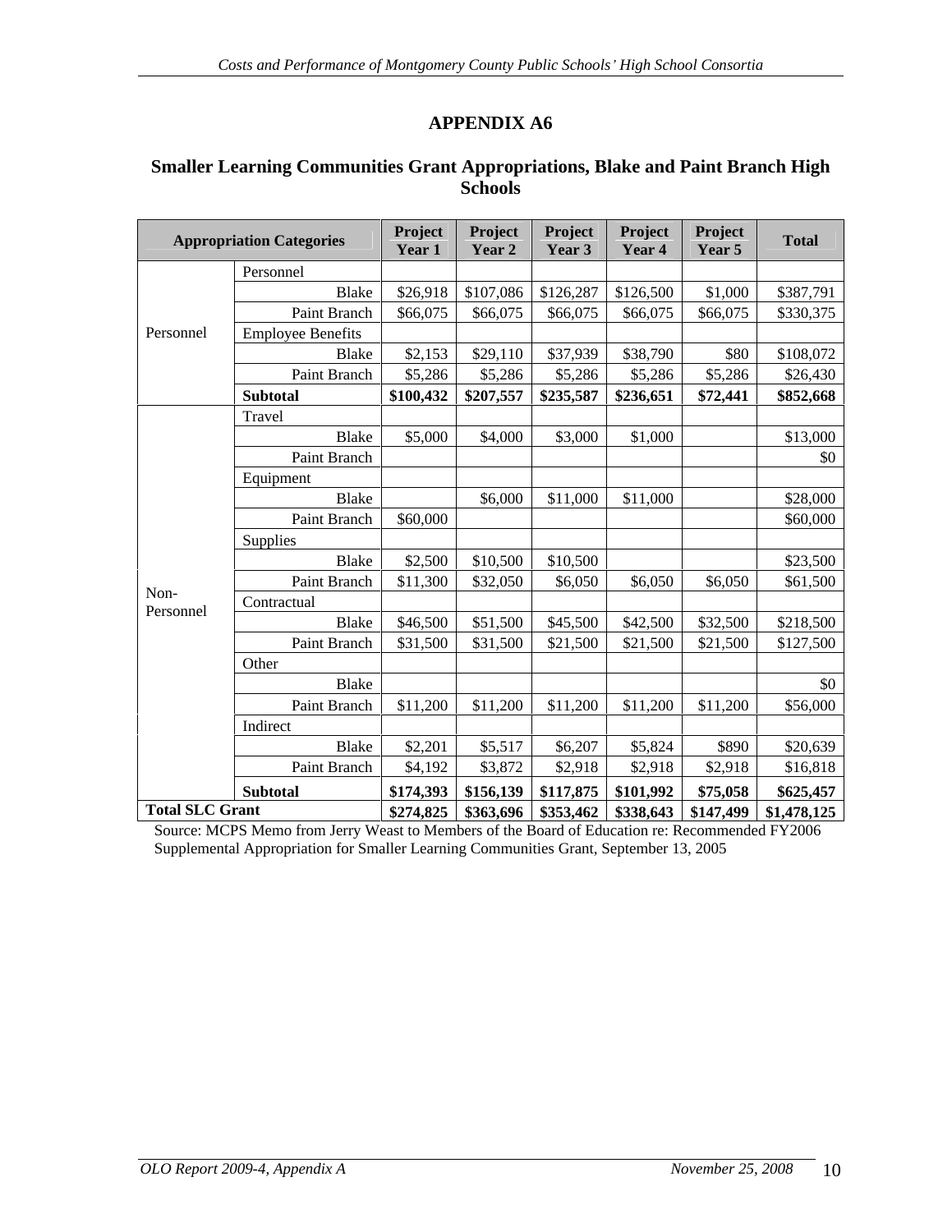### **Smaller Learning Communities Grant Appropriations, Blake and Paint Branch High Schools**

|                 | <b>Appropriation Categories</b> | Project<br>Year 1 | Project  <br>Year 2 | Project<br>Year 3      | Project<br>Year 4 | Project<br>Year 5                                                        | <b>Total</b> |
|-----------------|---------------------------------|-------------------|---------------------|------------------------|-------------------|--------------------------------------------------------------------------|--------------|
|                 | Personnel                       |                   |                     |                        |                   |                                                                          |              |
|                 | Blake                           | \$26,918          | \$107,086           | \$126,287              | \$126,500         | \$1,000                                                                  | \$387,791    |
|                 | Paint Branch                    | \$66,075          | \$66,075            | \$66,075               | \$66,075          | \$66,075                                                                 | \$330,375    |
| Personnel       | <b>Employee Benefits</b>        |                   |                     |                        |                   |                                                                          |              |
|                 | Blake                           | \$2,153           | \$29,110            | \$37,939               | \$38,790          | \$80                                                                     | \$108,072    |
|                 | Paint Branch                    | \$5,286           | \$5,286             | \$5,286                | \$5,286           | \$5,286                                                                  | \$26,430     |
|                 | <b>Subtotal</b>                 | \$100,432         | \$207,557           | \$235,587              | \$236,651         | \$72,441                                                                 | \$852,668    |
|                 | Travel                          |                   |                     |                        |                   |                                                                          |              |
|                 | Blake                           | \$5,000           | \$4,000             | \$3,000                | \$1,000           |                                                                          | \$13,000     |
|                 | Paint Branch                    |                   |                     |                        |                   |                                                                          | \$0          |
|                 | Equipment                       |                   |                     |                        |                   |                                                                          |              |
|                 | Blake                           |                   | \$6,000             | \$11,000               | \$11,000          |                                                                          | \$28,000     |
|                 | Paint Branch                    | \$60,000          |                     |                        |                   |                                                                          | \$60,000     |
|                 | Supplies                        |                   |                     |                        |                   |                                                                          |              |
|                 | Blake                           | \$2,500           | \$10,500            | \$10,500               |                   |                                                                          | \$23,500     |
|                 | Paint Branch                    | \$11,300          | \$32,050            | \$6,050                | \$6,050           | \$6,050                                                                  | \$61,500     |
| Non-            | Contractual                     |                   |                     |                        |                   |                                                                          |              |
| Personnel       | Blake                           | \$46,500          | \$51,500            | \$45,500               | \$42,500          | \$32,500                                                                 | \$218,500    |
|                 | Paint Branch                    | \$31,500          | \$31,500            | \$21,500               | \$21,500          | \$21,500                                                                 | \$127,500    |
|                 | Other                           |                   |                     |                        |                   |                                                                          |              |
|                 | Blake                           |                   |                     |                        |                   |                                                                          | \$0          |
|                 | Paint Branch                    | \$11,200          | \$11,200            | \$11,200               | \$11,200          | \$11,200                                                                 | \$56,000     |
|                 | Indirect                        |                   |                     |                        |                   |                                                                          |              |
|                 | Blake                           | \$2,20            | \$5,517             | \$6,207                | \$5,824           | \$890                                                                    | \$20,639     |
|                 | Paint Branch                    | \$4,192           | \$3,872             | \$2,918                | \$2,918           | \$2,918                                                                  | \$16,818     |
|                 |                                 |                   |                     |                        |                   |                                                                          |              |
|                 | <b>Subtotal</b>                 | \$174,393         |                     | $$156,139$ \ \$117,875 | \$101,992         | \$75,058                                                                 | \$625,457    |
| Total SLC Grant |                                 |                   |                     |                        |                   | $$274,825$   \$363,696   \$353,462   \$338,643   \$147,499   \$1,478,125 |              |

Source: MCPS Memo from Jerry Weast to Members of the Board of Education re: Recommended FY2006 Supplemental Appropriation for Smaller Learning Communities Grant, September 13, 2005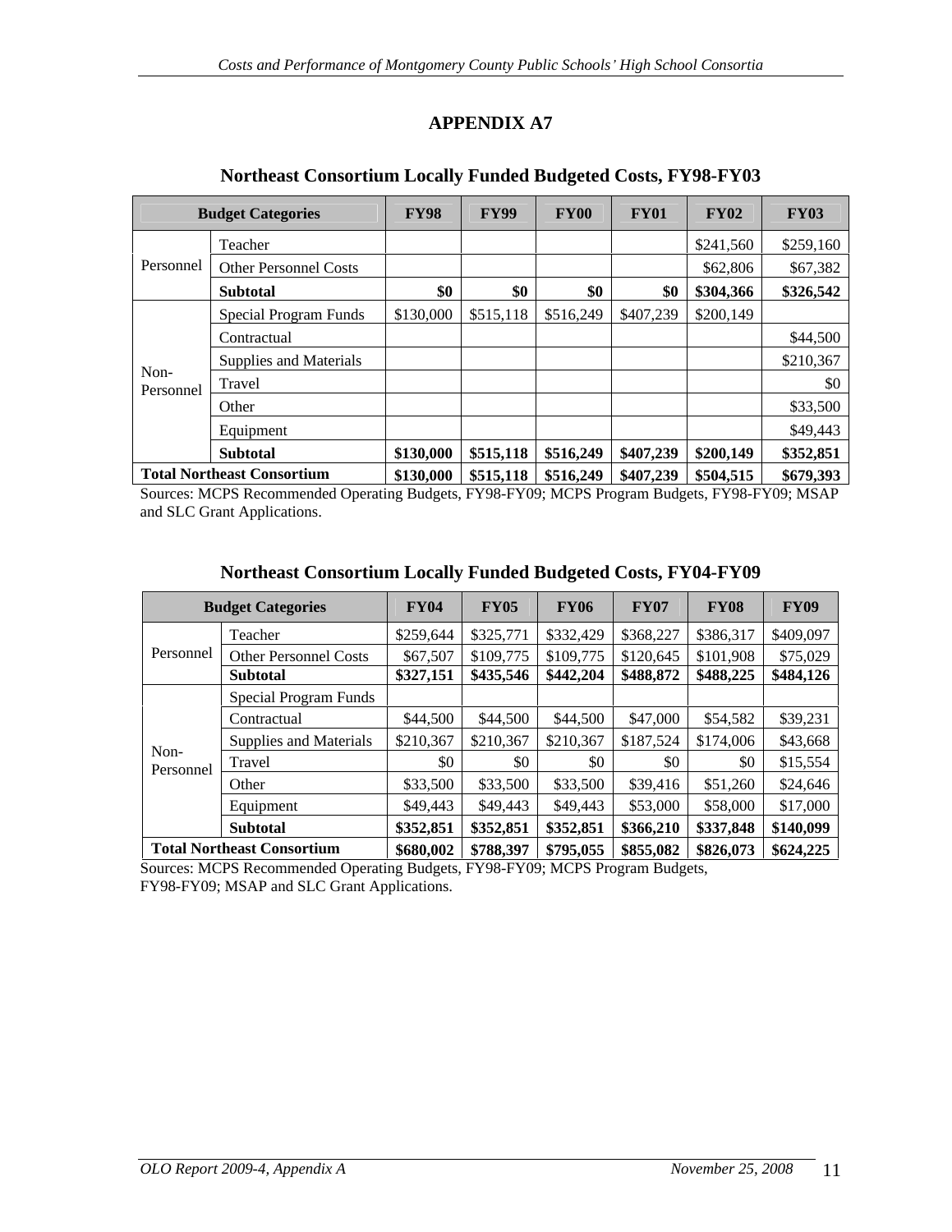|                   | <b>Budget Categories</b>          | <b>FY98</b>                                                       | <b>FY99</b> | <b>FY00</b> | <b>FY01</b> | <b>FY02</b>                                                      | <b>FY03</b> |
|-------------------|-----------------------------------|-------------------------------------------------------------------|-------------|-------------|-------------|------------------------------------------------------------------|-------------|
|                   | Teacher                           |                                                                   |             |             |             | \$241,560                                                        | \$259,160   |
|                   | Personnel Other Personnel Costs   |                                                                   |             |             |             | \$62,806                                                         | \$67,382    |
|                   | Subtotal                          | 40.                                                               |             |             |             | \$304,366                                                        | \$326,542   |
|                   | Special Program Funds             | $\vert$ \$130,000   \$515,118   \$516,249   \$407,239   \$200,149 |             |             |             |                                                                  |             |
|                   | Contractual                       |                                                                   |             |             |             |                                                                  | \$44,500    |
|                   | Supplies and Materials            |                                                                   |             |             |             |                                                                  | \$210,367   |
| Non-<br>Personnel | Travel                            |                                                                   |             |             |             |                                                                  |             |
|                   | Uther                             |                                                                   |             |             |             |                                                                  | \$33,500    |
|                   | Equipment                         |                                                                   |             |             |             |                                                                  | \$49,443    |
|                   | Subtotal                          |                                                                   |             |             |             | $\frac{\$130,000}{\$515,118}$ \\$516,249 \\$407,239 \\$200,149 \ | \$352,851   |
|                   | <b>Total Northeast Consortium</b> | \$130,000                                                         |             |             |             | $\vert$ \$515,118   \$516,249   \$407,239   \$504,515            | \$679,393   |

### **Northeast Consortium Locally Funded Budgeted Costs, FY98-FY03**

Sources: MCPS Recommended Operating Budgets, FY98-FY09; MCPS Program Budgets, FY98-FY09; MSAP and SLC Grant Applications.

|           | <b>Budget Categories</b>                                                           | <b>FY04</b> | <b>FY05</b> | <b>FY06</b>         | <b>FY07</b> | <b>FY08</b>                                                                      | <b>FY09</b> |
|-----------|------------------------------------------------------------------------------------|-------------|-------------|---------------------|-------------|----------------------------------------------------------------------------------|-------------|
|           | Teacher                                                                            |             |             |                     |             | $\mid$ \$259,644   \$325,771   \$332,429   \$368,227   \$386,317   \$409,097     |             |
|           | Personnel   Other Personnel Costs                                                  |             |             |                     |             | $$67,507$   \$109,775   \$109,775   \$120,645   \$101,908                        | \$75,029    |
|           | Subtotal                                                                           |             |             |                     |             | $\vert$ \$327,151   \$435,546   \$442,204   \$488,872   \$488,225   \$484,126    |             |
|           | Special Program Funds                                                              |             |             |                     |             |                                                                                  |             |
|           | Contractual                                                                        | \$44,500    | \$44,500    | $$44,500$ $$47,000$ |             | \$54,582                                                                         | \$39,231    |
|           | Supplies and Materials   \$210,367   \$210,367   \$210,367   \$187,524   \$174,006 |             |             |                     |             |                                                                                  | \$43,668    |
| Non-      | Trav                                                                               |             |             |                     |             |                                                                                  | \$15,554    |
| Personnel | <b>Other</b>                                                                       | \$33,500    | \$33,500    | \$33,500            | \$39,416    | \$51,260                                                                         | \$24,646    |
|           | Equipment                                                                          | \$49,443    | \$49,443    | $$49,443$ $$53,000$ |             | \$58,000                                                                         | \$17,000    |
|           | <b>Subtotal</b>                                                                    |             |             |                     |             | $\frac{1}{3352,851}$ \ \$352,851 \ \$352,851 \ \$366,210 \ \$337,848 \ \$140,099 |             |
|           | <b>Total Northeast Consortium</b>                                                  |             |             |                     |             | \$680,002   \$788,397   \$795,055   \$855,082   \$826,073   \$624,225            |             |

#### **Northeast Consortium Locally Funded Budgeted Costs, FY04-FY09**

Sources: MCPS Recommended Operating Budgets, FY98-FY09; MCPS Program Budgets, FY98-FY09; MSAP and SLC Grant Applications.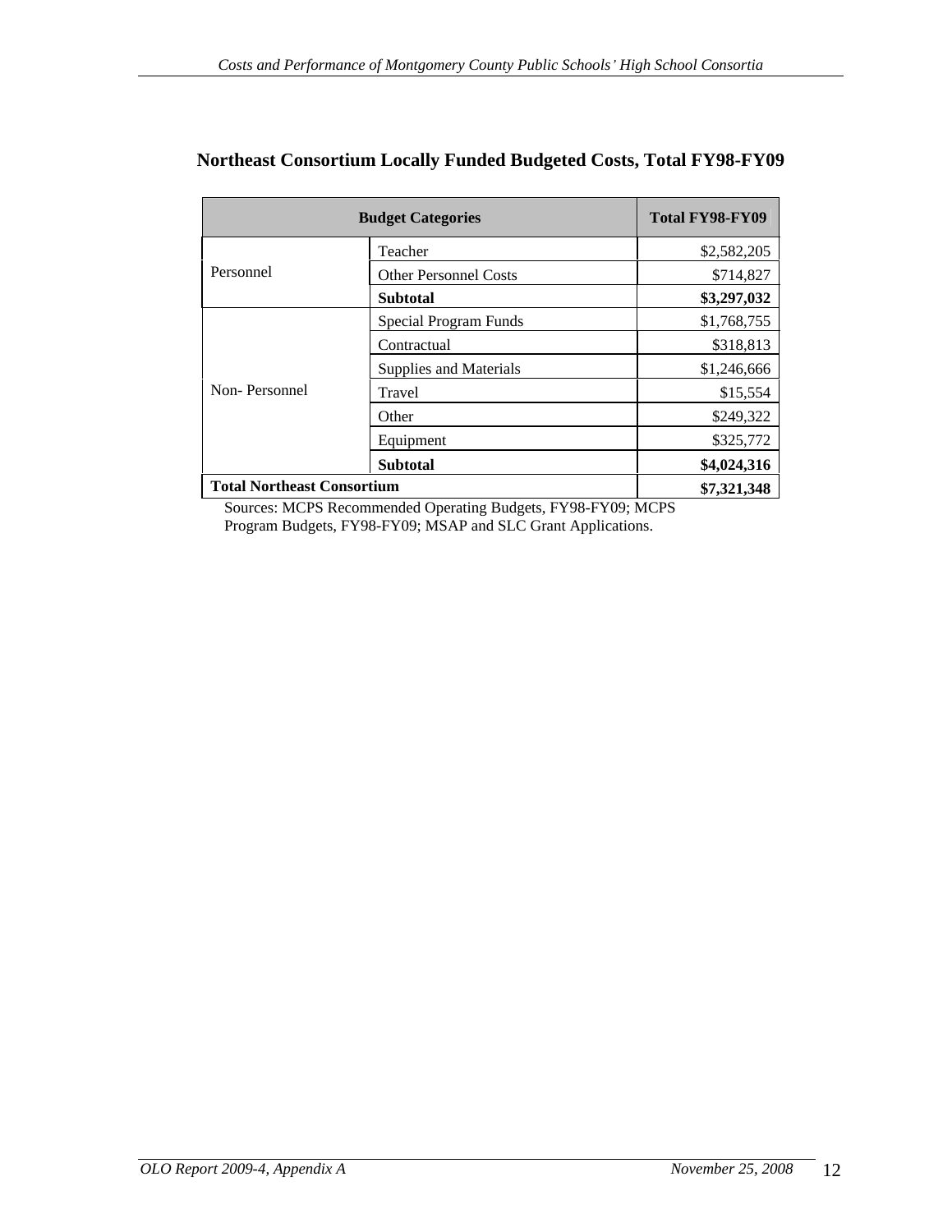|                            | <b>Budget Categories</b> | Total FY98-FY09 |
|----------------------------|--------------------------|-----------------|
|                            | Teacher                  | \$2,582,205     |
| Personnel                  | Other Personnel Costs    | \$714,827       |
|                            | <b>Subtotal</b>          | \$3,297,032     |
|                            | Special Program Funds    | \$1,768,755     |
|                            | Contractual              | \$318,813       |
|                            | Supplies and Materials   | \$1,246,666     |
| Non-Personnel              | Travel                   | \$15,554        |
|                            | Other                    | \$249,322       |
|                            | Equipment                | \$325,772       |
|                            | <b>Subtotal</b>          | \$4,024,316     |
| Total Northeast Consortium |                          | \$7,321,348     |

## **Northeast Consortium Locally Funded Budgeted Costs, Total FY98-FY09**

Sources: MCPS Recommended Operating Budgets, FY98-FY09; MCPS Program Budgets, FY98-FY09; MSAP and SLC Grant Applications.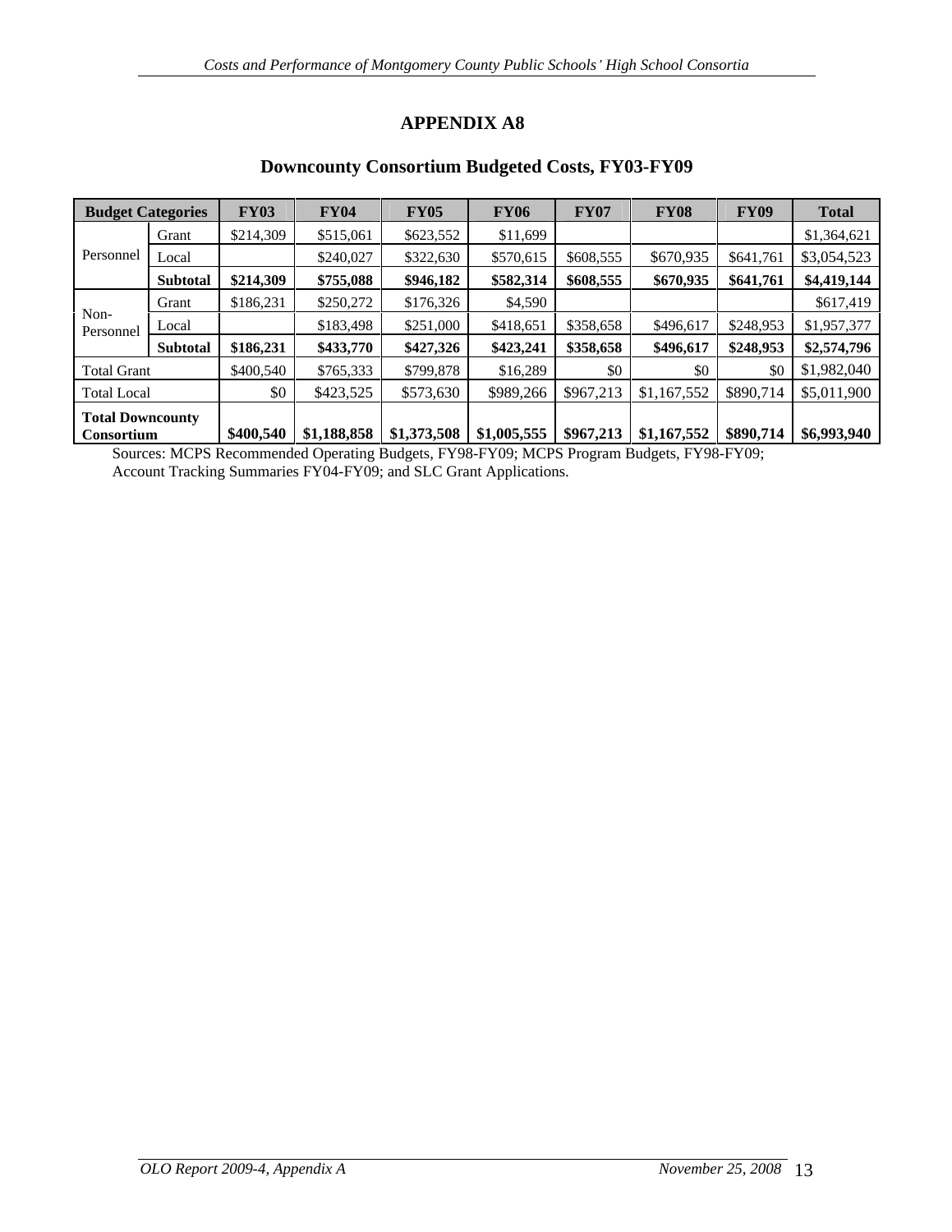### **Downcounty Consortium Budgeted Costs, FY03-FY09**

|                         | <b>Budget Categories</b> | <b>FY03</b>          | <b>FY04</b> | <b>FY05</b>                                                                                                     | <b>FY06</b>         | <b>FY07</b>            | <b>FY08</b> | <b>FY09</b> | <b>Total</b>                                               |
|-------------------------|--------------------------|----------------------|-------------|-----------------------------------------------------------------------------------------------------------------|---------------------|------------------------|-------------|-------------|------------------------------------------------------------|
|                         | Gran                     | \$214,309            | \$515,061   | \$623,552                                                                                                       | \$11,699            |                        |             |             | \$1,364,621                                                |
| Personnel Local         |                          |                      | \$240,02    | \$322,630                                                                                                       |                     | $$570,615$ \ \$608,555 | \$670,935   |             | $$641,761$ \ \$3,054,523                                   |
|                         | Subtotal                 | \$214,309            | \$755,088   | \$946,182                                                                                                       | \$582,314 \$608,555 |                        |             |             | $$670,935$ $$641,761$ $$4,419,144$                         |
|                         | Gran                     | \$186.231            | \$250,272   | \$176,326                                                                                                       | \$4,590             |                        |             |             | \$617,419                                                  |
| Non-<br>Personnel Local |                          |                      | \$183,498   | \$251,000                                                                                                       |                     | $$418,651$ \ \$358,658 | \$496,617   |             | $$248,953$ \$1,957,377                                     |
|                         |                          | Subtotal   \$186,231 | \$433,770   | \$427,326                                                                                                       |                     | $$423,241$ $$358,658$  |             |             | $$496,617$ $$248,953$ $$2,574,796$                         |
| <b>Total Grant</b>      |                          | \$400,540            | \$765,333   | \$799,878                                                                                                       | \$16,289            |                        |             |             | \$0 \$1,982,040                                            |
| <b>Total Local</b>      |                          |                      | \$423,525   | \$573,630                                                                                                       |                     |                        |             |             | $$989,266$ $$967,213$ $$1,167,552$ $$890,714$ $$5,011,900$ |
| <b>Total Downcounty</b> |                          |                      |             |                                                                                                                 |                     |                        |             |             |                                                            |
| Consortium              |                          |                      |             | $\vert$ \$400,540   \$1,188,858   \$1,373,508   \$1,005,555   \$967,213   \$1,167,552   \$890,714   \$6,993,940 |                     |                        |             |             |                                                            |

Sources: MCPS Recommended Operating Budgets, FY98-FY09; MCPS Program Budgets, FY98-FY09; Account Tracking Summaries FY04-FY09; and SLC Grant Applications.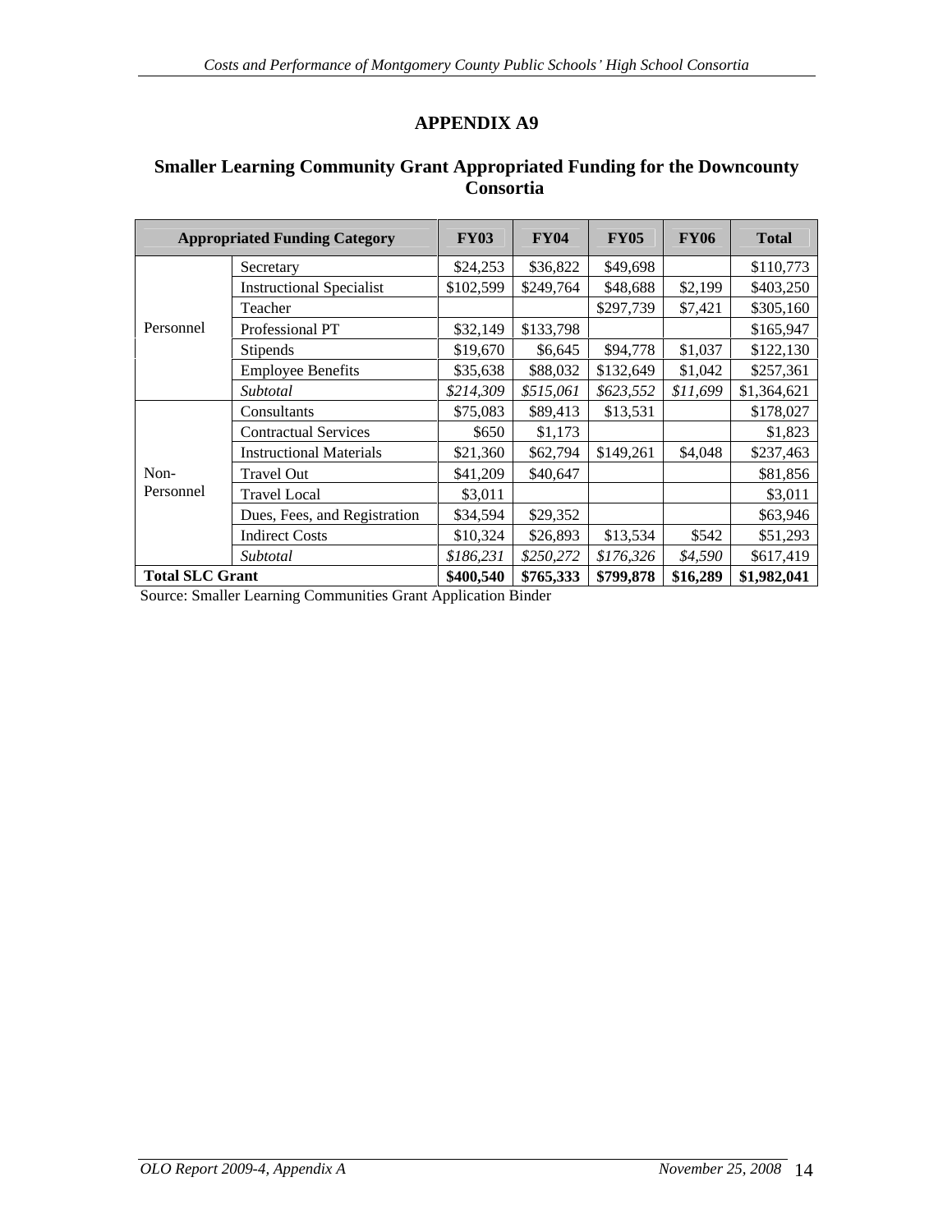|                        | <b>Appropriated Funding Category</b> | <b>FY03</b> | <b>FY04</b> | <b>FY05</b>           | <b>FY06</b> | <b>Total</b>                                          |
|------------------------|--------------------------------------|-------------|-------------|-----------------------|-------------|-------------------------------------------------------|
|                        | Secretary                            | \$24,253    | \$36,822    | \$49,698              |             | \$110,773                                             |
|                        | <b>Instructional Specialist</b>      | \$102,599   | \$249,764   | \$48,688              | \$2,199     | \$403,250                                             |
|                        | Teacher                              |             |             | \$297,739             | \$7,421     | \$305,160                                             |
| Personnel              | Professional PT                      | \$32,149    | \$133,798   |                       |             | \$165,947                                             |
|                        | Stipends                             | \$19,670    | \$6,645     | \$94,778              | \$1,037     | \$122,130                                             |
|                        | <b>Employee Benefits</b>             | \$35,638    |             | \$88,032 \$132,649    | \$1,042     | \$257,361                                             |
|                        | Subtotal                             | \$214,309   |             | $$515,061$ \$623,552  | \$11,699    | \$1,364,621                                           |
|                        | Consultants                          | \$75,083    | \$89,413    | \$13,531              |             | \$178,027                                             |
|                        | <b>Contractual Services</b>          | \$650       | \$1,173     |                       |             | \$1,823                                               |
|                        | <b>Instructional Materials</b>       | \$21,360    |             | $$62,794$ \ \$149,261 | \$4,048     | \$237,463                                             |
| Non-                   | Travel Out                           | \$41,209    | \$40,647    |                       |             | \$81,856                                              |
| Personnel              | <b>Travel Local</b>                  | \$3,011     |             |                       |             | \$3,011                                               |
|                        | Dues, Fees, and Registration         | \$34,594    | \$29,352    |                       |             | \$63,946                                              |
|                        | <b>Indirect Costs</b>                | \$10,324    | \$26,893    | \$13,534              | \$542       | \$51,293                                              |
|                        | Subtotal                             | \$186,231   |             | $$250,272$ $$176,326$ | \$4,590     | \$617,419                                             |
| <b>Total SLC Grant</b> |                                      | \$400,540   |             |                       |             | $\mid$ \$765,333   \$799,878   \$16,289   \$1,982,041 |

### **Smaller Learning Community Grant Appropriated Funding for the Downcounty Consortia**

Source: Smaller Learning Communities Grant Application Binder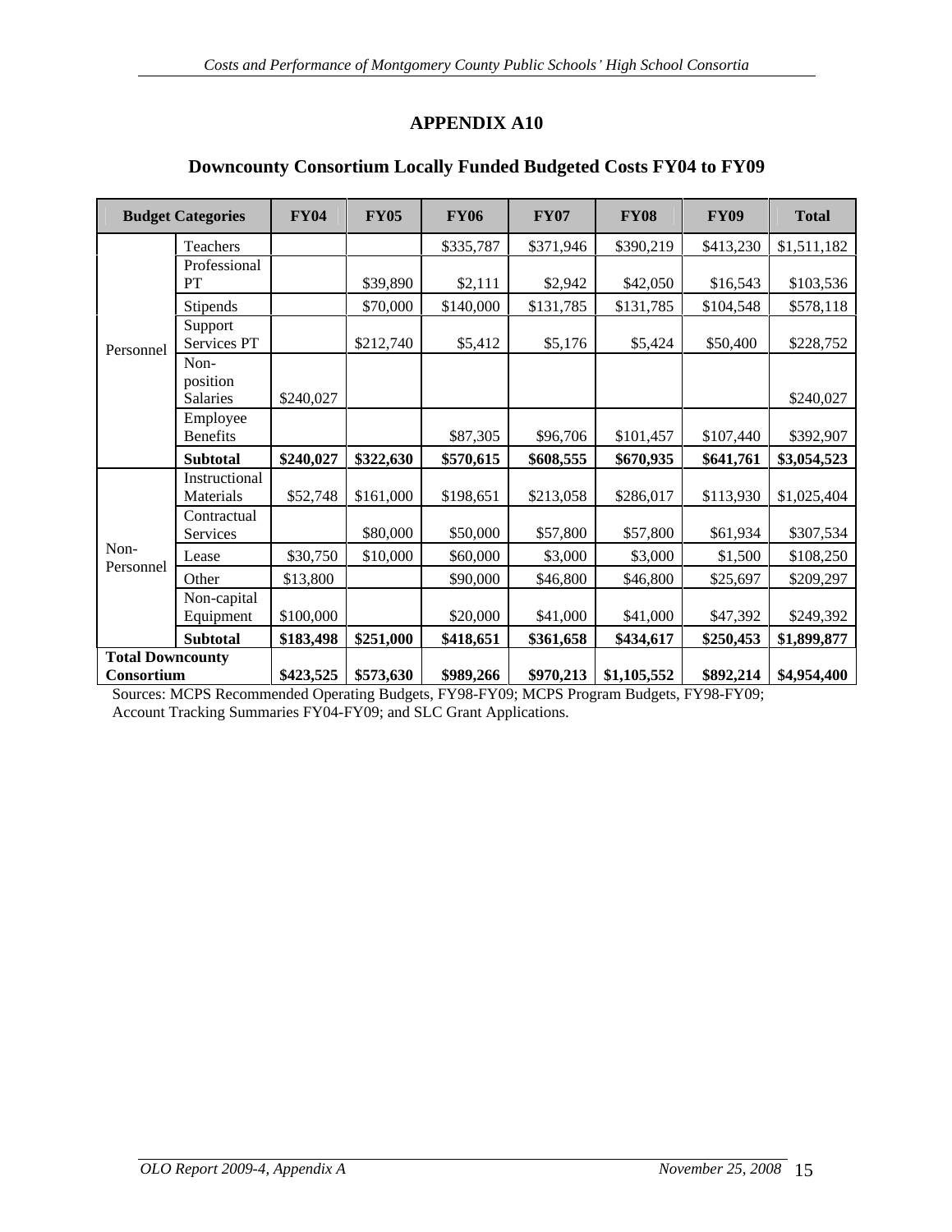|                         | <b>Budget Categories</b> | <b>FY04</b>           | <b>FY05</b>         | <b>FY06</b> | <b>FY07</b> | <b>FY08</b>              | <b>FY09</b> | <b>Total</b>            |
|-------------------------|--------------------------|-----------------------|---------------------|-------------|-------------|--------------------------|-------------|-------------------------|
|                         | Teachers                 |                       |                     | \$335,787   | \$371,946   | $$390,21$ c              | \$413,230   | \$1,511,182             |
|                         | Professional             |                       |                     |             |             |                          |             |                         |
|                         | PT                       |                       | \$39,890            | \$2,111     | \$2,942     | \$42,050                 | \$16,543    | \$103,536               |
|                         | Stipends                 |                       | \$70,000            | \$140,000   | \$131,785   | \$131,785                | \$104,548   | \$578,118               |
|                         | Support<br>Services PT   |                       | \$212,740           | \$5,412     | \$5,176     | \$5,424                  | \$50,400    | \$228,752               |
| Personnel               | Non-                     |                       |                     |             |             |                          |             |                         |
|                         | position                 |                       |                     |             |             |                          |             |                         |
|                         | Salaries                 | \$240,027             |                     |             |             |                          |             | \$240,027               |
|                         | Employee<br>Benefits     |                       |                     | \$87,305    | \$96,706    | \$101,457                | \$107,440   | \$392,907               |
|                         | Subtotal                 | $$240,027$ \$322,630  |                     | \$570,615   | \$608,555   | \$670,935                | \$641,761   | \$3,054,523             |
|                         | Instructional            |                       |                     |             |             |                          |             |                         |
|                         | Materials                |                       | $$52,748$ \$161,000 | \$198,651   | \$213,058   | \$286,01                 |             | $$113,930$ $$1,025,404$ |
|                         | Contractual              |                       |                     |             |             |                          |             |                         |
| Non-                    | Services                 |                       | \$80,000            | \$50,000    | \$57,800    | \$57,800                 | \$61,934    | \$307,534               |
| Personnel               | Lease                    | \$30,750              | \$10,000            | \$60,000    | \$3,000     | \$3,000                  | \$1,500     | \$108,250               |
|                         | Other                    | \$13,800              |                     | \$90,000    | \$46,800    | \$46,800                 | \$25,697    | \$209,297               |
|                         | Non-capital<br>Equipment | \$100,000             |                     | \$20,000    | \$41,000    | \$41,000                 | \$47,392    | \$249,392               |
|                         | Subtotal                 | \$183,498             | \$251,000           | \$418,651   | \$361,658   | \$434,617                | \$250,453   | \$1,899,877             |
| <b>Total Downcounty</b> |                          |                       |                     |             |             |                          |             |                         |
| Consortium              |                          | $ $423,525$ \s573,630 |                     | \$989,266   |             | $$970,213$   \$1,105,552 |             | $$892,214$ $$4,954,400$ |

### **Downcounty Consortium Locally Funded Budgeted Costs FY04 to FY09**

Sources: MCPS Recommended Operating Budgets, FY98-FY09; MCPS Program Budgets, FY98-FY09; Account Tracking Summaries FY04-FY09; and SLC Grant Applications.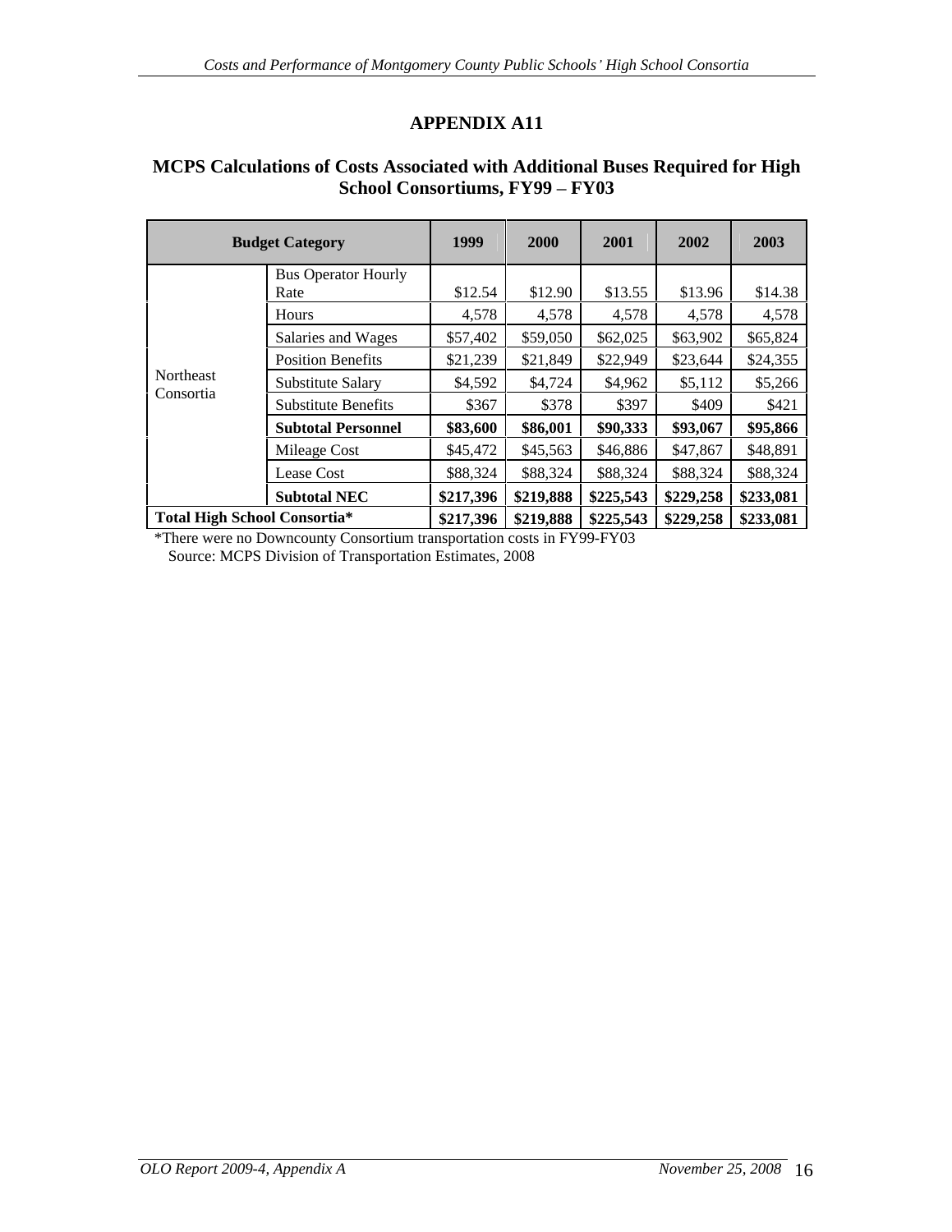### **MCPS Calculations of Costs Associated with Additional Buses Required for High School Consortiums, FY99 - FY03**

|                        | <b>Budget Category</b>              | 1999                                                              | <b>2000</b> | 2001     | 2002               | 2003     |
|------------------------|-------------------------------------|-------------------------------------------------------------------|-------------|----------|--------------------|----------|
|                        | <b>Bus Operator Hourly</b>          | \$12.54                                                           | \$12.90     | \$13.55  | \$13.96            | \$14.38  |
|                        | Hours                               | 4,578                                                             | 4,578       | 4,578    | 4,578              | 4,578    |
|                        | Salaries and Wages                  | \$57,402                                                          | $$59,050$   | \$62,025 | \$63,902           | \$65,824 |
|                        | <b>Position Benefits</b>            | \$21,239                                                          | \$21,849    | \$22,949 | \$23,644           | \$24,355 |
| Northeast<br>Consortia | Substitute Salary                   | \$4,592                                                           | \$4,724     | \$4,962  | \$5,112            | \$5,266  |
|                        | <b>Substitute Benefits</b>          | \$367                                                             | \$378       | \$397    | \$409              | \$421    |
|                        | <b>Subtotal Personnel</b>           | \$83,600                                                          | \$86,001    |          | $$90,333$ \$93,067 | \$95,866 |
|                        | Mileage Cost                        | \$45,472                                                          | \$45,563    | \$46,886 | \$47,867           | \$48,891 |
|                        | Lease Cost                          | \$88,324                                                          | \$88,324    | \$88,324 | \$88,324           | \$88,324 |
|                        | <b>Subtotal NEC</b>                 | $\mid$ \$217,396   \$219,888   \$225,543   \$229,258   \$233,081  |             |          |                    |          |
|                        | <b>Total High School Consortia*</b> | $\vert$ \$217,396   \$219,888   \$225,543   \$229,258   \$233,081 |             |          |                    |          |

\*There were no Downcounty Consortium transportation costs in FY99-FY03 Source: MCPS Division of Transportation Estimates, 2008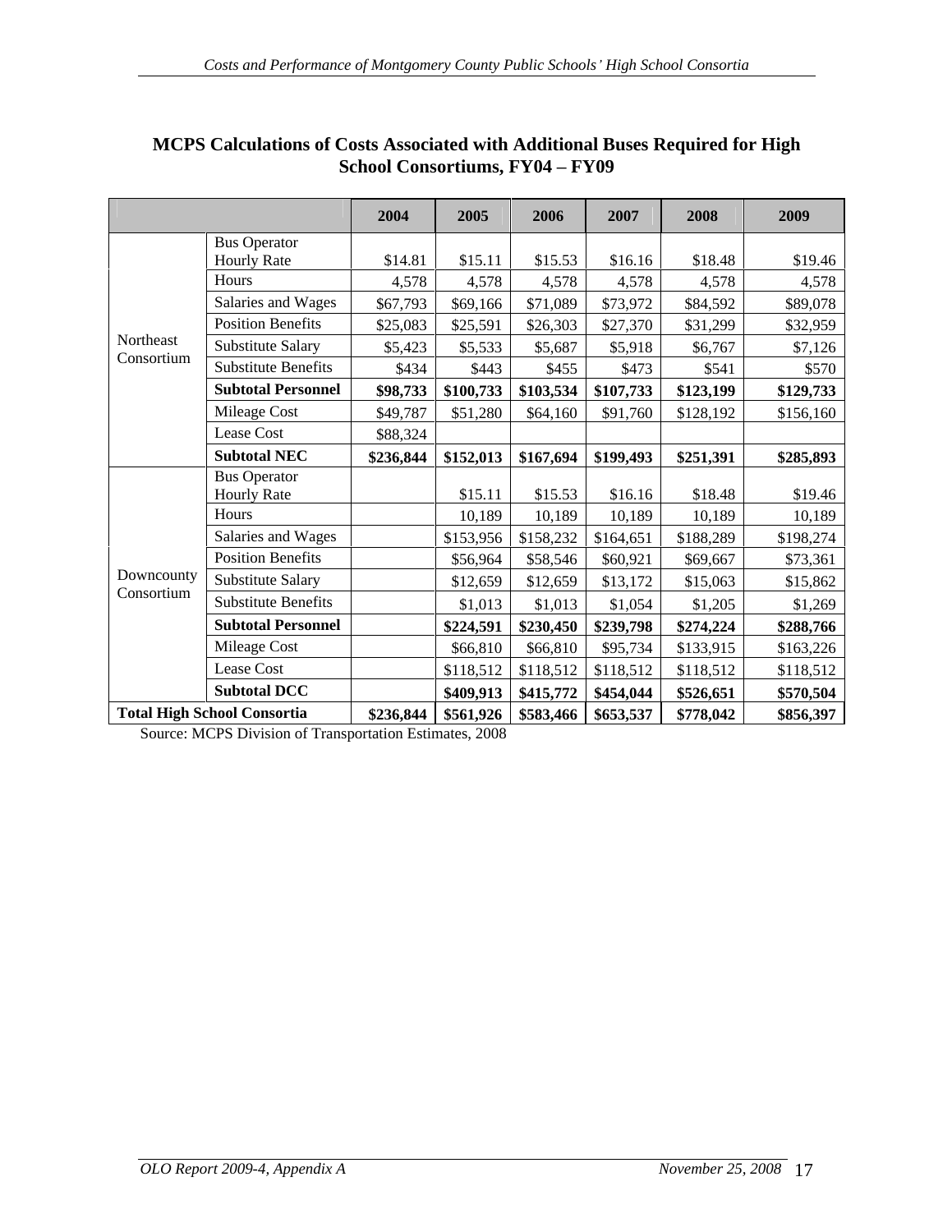|                         |                                    | 2004      | 2005                                           | 2006                               | 2007      | 2008      | 2009      |
|-------------------------|------------------------------------|-----------|------------------------------------------------|------------------------------------|-----------|-----------|-----------|
|                         | <b>Bus Operator</b>                |           |                                                |                                    |           |           |           |
|                         | <b>Hourly Rate</b>                 | \$14.81   | \$15.11                                        | \$15.53                            | \$16.16   | \$18.48   | \$19.46   |
|                         | Hours                              | 4,578     | 4,578                                          | 4,578                              | 4,578     | 4,578     | 4,578     |
|                         | Salaries and Wages                 | \$67,793  | \$69,166                                       | \$71,089                           | \$73,972  | \$84,592  | \$89,078  |
|                         | <b>Position Benefits</b>           | \$25,083  | \$25,591                                       | \$26,303                           | \$27,370  | \$31,299  | \$32,959  |
| Northeast<br>Consortium | Substitute Salary                  | \$5,423   | \$5,533                                        | \$5,687                            | \$5,918   | \$6,767   | \$7,126   |
|                         | <b>Substitute Benefits</b>         | \$434     | \$443                                          | \$455                              | \$473     | \$541     | \$570     |
|                         | <b>Subtotal Personnel</b>          | \$98,733  | \$100,733                                      | \$103,534                          | \$107,733 | \$123,199 | \$129,733 |
|                         | Mileage Cost                       | \$49,787  | \$51,280                                       | \$64,160                           | \$91,760  | \$128,192 | \$156,160 |
|                         | Lease Cost                         | \$88,324  |                                                |                                    |           |           |           |
|                         | <b>Subtotal NEC</b>                | \$236,844 | $$152,013$   \$167,694   \$199,493             |                                    |           | \$251,391 | \$285,893 |
|                         | <b>Bus Operator</b>                |           |                                                |                                    |           |           |           |
|                         | <b>Hourly Rate</b>                 |           | \$15.11                                        | \$15.53                            | \$16.16   | \$18.48   | \$19.46   |
|                         | Hours                              |           | 10,189                                         | 10,189                             | 10,189    | 10,189    | 10,189    |
|                         | Salaries and Wages                 |           | \$153,956                                      | $\vert$ \$158,232   \$164,651      |           | \$188,289 | \$198,274 |
|                         | <b>Position Benefits</b>           |           | \$56,964                                       | \$58,546                           | \$60,921  | \$69,667  | \$73,361  |
| Downcounty              | Substitute Salary                  |           | \$12,659                                       | \$12,659                           | \$13,172  | \$15,063  | \$15,862  |
| Consortium              | <b>Substitute Benefits</b>         |           | \$1,013                                        | \$1,013                            | \$1,054   | \$1,205   | \$1,269   |
|                         |                                    |           |                                                |                                    |           |           |           |
|                         | <b>Subtotal Personnel</b>          |           | \$224,591                                      | \$230,450                          | \$239,798 | \$274,224 | \$288,766 |
|                         | Mileage Cost                       |           | \$66,810                                       | \$66,810                           | \$95,734  | \$133,915 | \$163,226 |
|                         | Lease Cost                         |           | \$118,512                                      | $\vert$ \$118,512   \$118,512      |           | \$118,512 | \$118,512 |
|                         | <b>Subtotal DCC</b>                |           |                                                | $$409,913$   \$415,772   \$454,044 |           | \$526,651 | \$570,504 |
|                         | <b>Total High School Consortia</b> |           | $$236,844$   \$561,926   \$583,466   \$653,537 |                                    |           | \$778,042 | \$856,397 |

## **MCPS Calculations of Costs Associated with Additional Buses Required for High School Consortiums, FY04 - FY09**

Source: MCPS Division of Transportation Estimates, 2008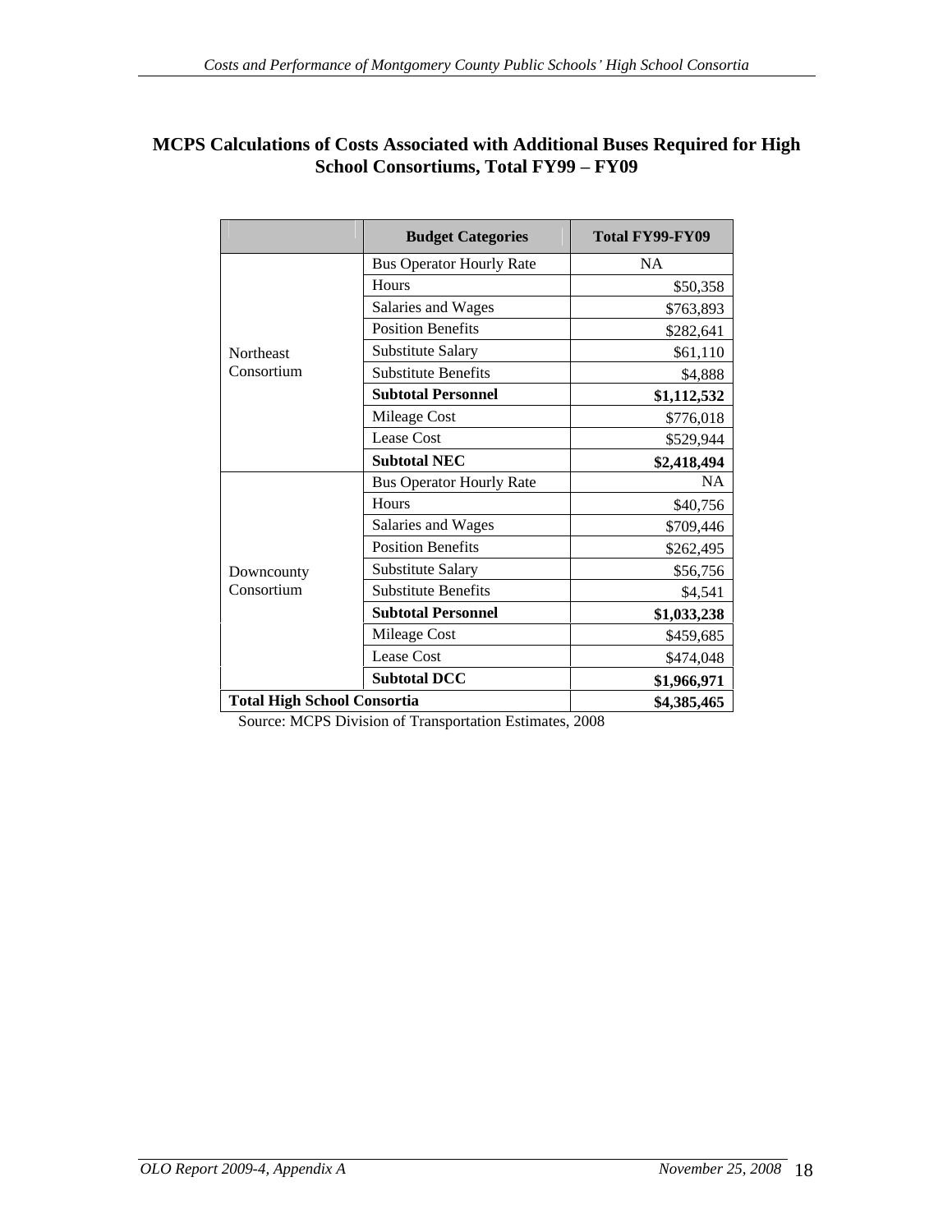### **MCPS Calculations of Costs Associated with Additional Buses Required for High School Consortiums, Total FY99 - FY09**

|                                    | <b>Budget Categories</b>        | Total FY99-FY09 |
|------------------------------------|---------------------------------|-----------------|
|                                    | <b>Bus Operator Hourly Rate</b> | NA              |
|                                    | Hours                           | \$50,358        |
|                                    | Salaries and Wages              | \$763,893       |
|                                    | <b>Position Benefits</b>        | \$282,641       |
| Northeast                          | Substitute Salary               | \$61,110        |
| Consortium                         | Substitute Benefits             | \$4,888         |
|                                    | <b>Subtotal Personnel</b>       | \$1,112,532     |
|                                    | Mileage Cost                    | \$776,018       |
|                                    | Lease Cost                      | \$529,944       |
|                                    | <b>Subtotal NEC</b>             | \$2,418,494     |
|                                    | <b>Bus Operator Hourly Rate</b> | NA              |
|                                    | Hours                           | \$40,756        |
|                                    | Salaries and Wages              | \$709,446       |
|                                    | <b>Position Benefits</b>        | \$262,495       |
| Downcounty                         | Substitute Salary               | \$56,756        |
| Consortium                         | Substitute Benefits             | \$4,541         |
|                                    | <b>Subtotal Personnel</b>       | \$1,033,238     |
|                                    | Mileage Cost                    | \$459,685       |
|                                    | Lease Cost                      | \$474,048       |
|                                    | <b>Subtotal DCC</b>             | \$1,966,971     |
| <b>Total High School Consortia</b> |                                 | \$4,385,465     |

Source: MCPS Division of Transportation Estimates, 2008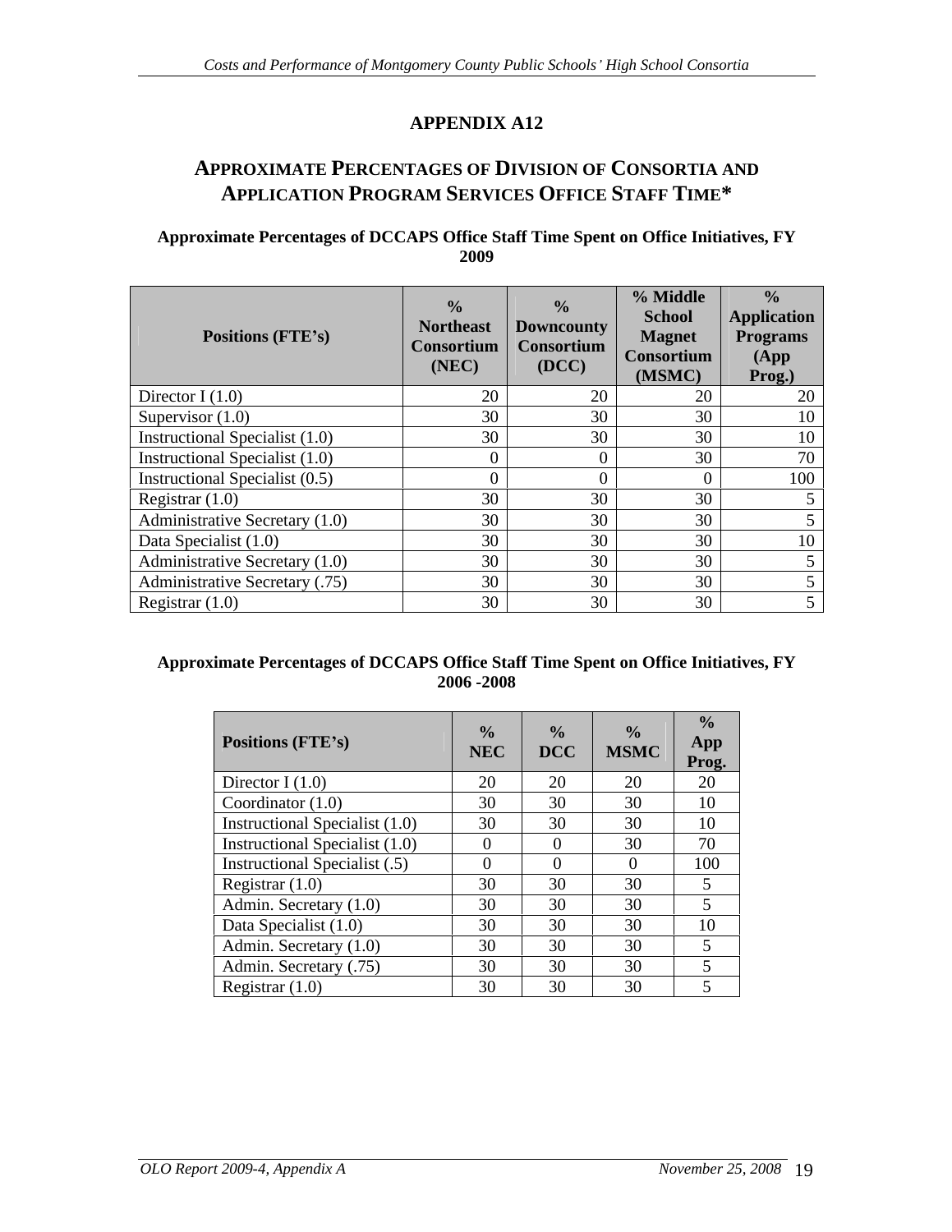# **APPROXIMATE PERCENTAGES OF DIVISION OF CONSORTIA AND APPLICATION PROGRAM SERVICES OFFICE STAFF TIME\***

#### **Approximate Percentages of DCCAPS Office Staff Time Spent on Office Initiatives, FY 2009**

| <b>Positions (FTE's)</b>              | Northeast Downcounty<br>(NEC) | Consortium   Consortium<br><b>(DCC)</b> | % Middle<br>School<br><b>Magnet</b><br>  Consortium  <br>(MSMC) | <b>Application</b><br><b>Programs</b><br>(App)<br>Prog.) |
|---------------------------------------|-------------------------------|-----------------------------------------|-----------------------------------------------------------------|----------------------------------------------------------|
| Director I $(1.0)$                    |                               |                                         |                                                                 |                                                          |
| Supervisor $(1.0)$                    |                               |                                         |                                                                 |                                                          |
| <b>Instructional Specialist (1.0)</b> |                               |                                         |                                                                 |                                                          |
| <b>Instructional Specialist (1.0)</b> |                               |                                         |                                                                 |                                                          |
| <b>Instructional Specialist (0.5)</b> |                               |                                         |                                                                 |                                                          |
| Registrar $(1.0)$                     |                               |                                         |                                                                 |                                                          |
| Administrative Secretary (1.0)        |                               |                                         |                                                                 |                                                          |
| Data Specialist (1.0)                 |                               |                                         |                                                                 |                                                          |
| <b>Administrative Secretary (1.0)</b> |                               |                                         |                                                                 |                                                          |
| Administrative Secretary (.75)        |                               |                                         |                                                                 |                                                          |
| Registrar $(1.0)$                     |                               |                                         |                                                                 |                                                          |

#### **Approximate Percentages of DCCAPS Office Staff Time Spent on Office Initiatives, FY 2006 -2008**

| Positions (FTE's)                    |  | $\begin{array}{ c c c c c c c c } \hline & \text{NEC} & \text{MSMC} & \text{app.} \ \hline \end{array}$ |     |
|--------------------------------------|--|---------------------------------------------------------------------------------------------------------|-----|
| Director I $(1.0)$                   |  |                                                                                                         |     |
| Coordinator $(1.0)$                  |  |                                                                                                         |     |
| Instructional Specialist (1.0)       |  |                                                                                                         |     |
| Instructional Specialist (1.0)       |  |                                                                                                         |     |
| <b>Instructional Specialist (.5)</b> |  |                                                                                                         | 100 |
| Registrar $(1.0)$                    |  |                                                                                                         |     |
| Admin. Secretary (1.0)               |  |                                                                                                         |     |
| Data Specialist (1.0)                |  |                                                                                                         |     |
| Admin. Secretary (1.0)               |  |                                                                                                         |     |
| Admin. Secretary (.75)               |  |                                                                                                         |     |
| Registrar $(1.0)$                    |  |                                                                                                         |     |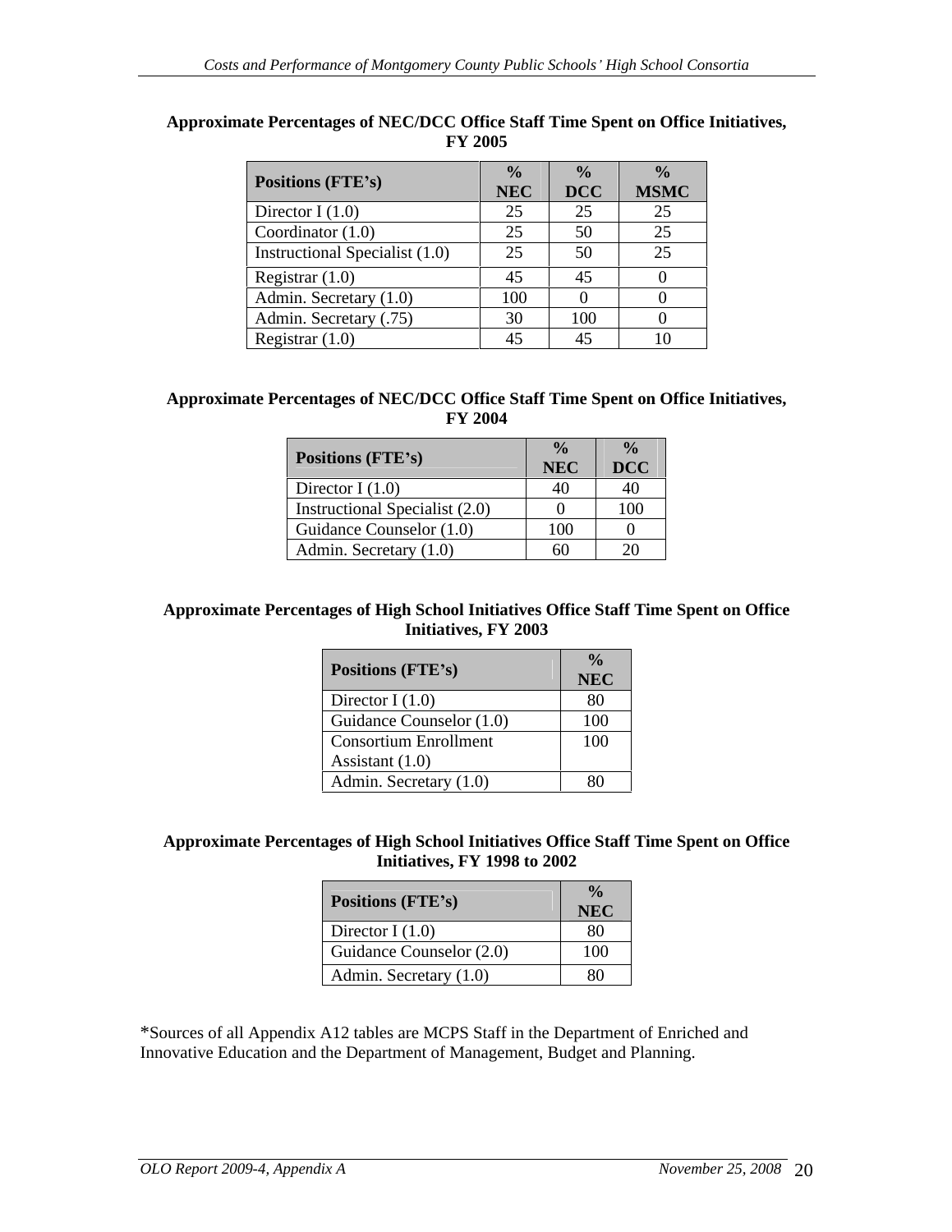| Positions (FTE's)              |     | $\vert$ NEC $\vert$ DCC $\vert$ MSMC |
|--------------------------------|-----|--------------------------------------|
| Director I $(1.0)$             |     |                                      |
| Coordinator $(1.0)$            |     |                                      |
| Instructional Specialist (1.0) |     |                                      |
| Registrar $(1.0)$              | 4.) |                                      |
| Admin. Secretary (1.0)         |     |                                      |
| Admin. Secretary (.75)         | 100 |                                      |
| Registrar $(1.0)$              |     |                                      |

#### **Approximate Percentages of NEC/DCC Office Staff Time Spent on Office Initiatives, FY 2005**

#### **Approximate Percentages of NEC/DCC Office Staff Time Spent on Office Initiatives, FY 2004**

|                                         | $\sim$ $\sim$     | $\mathbf{a}$        |
|-----------------------------------------|-------------------|---------------------|
| <b>Positions (FTE's)</b>                | NEC \             | $\vert$ DCC $\vert$ |
| Director I $(1.0)$                      |                   |                     |
| Instructional Specialist (2.0)          |                   | 100                 |
| Guidance Counselor (1.0)                | $\sim$ 0.0<br>100 |                     |
| Admin. Secretary (1.0)<br>$\sim$ $\sim$ | <u>UU</u>         | $\sim$<br>ັ້        |

#### **Approximate Percentages of High School Initiatives Office Staff Time Spent on Office Initiatives, FY 2003**

| <b>Positions (FTE's)</b> | <b>NEC</b> |
|--------------------------|------------|
| Director I $(1.0)$       | 80         |
| Guidance Counselor (1.0) | 100        |
| Consortium Enrollment    | 100        |
| Assistant $(1.0)$        |            |
| Admin. Secretary (1.0)   | 80         |

#### **Approximate Percentages of High School Initiatives Office Staff Time Spent on Office Initiatives, FY 1998 to 2002**

| <b>Positions (FTE's)</b> | <b>NEC</b> |
|--------------------------|------------|
| Director I $(1.0)$       | ററ<br>-80  |
| Guidance Counselor (2.0) | 100        |
| Admin. Secretary (1.0)   | 80         |

\*Sources of all Appendix A12 tables are MCPS Staff in the Department of Enriched and Innovative Education and the Department of Management, Budget and Planning.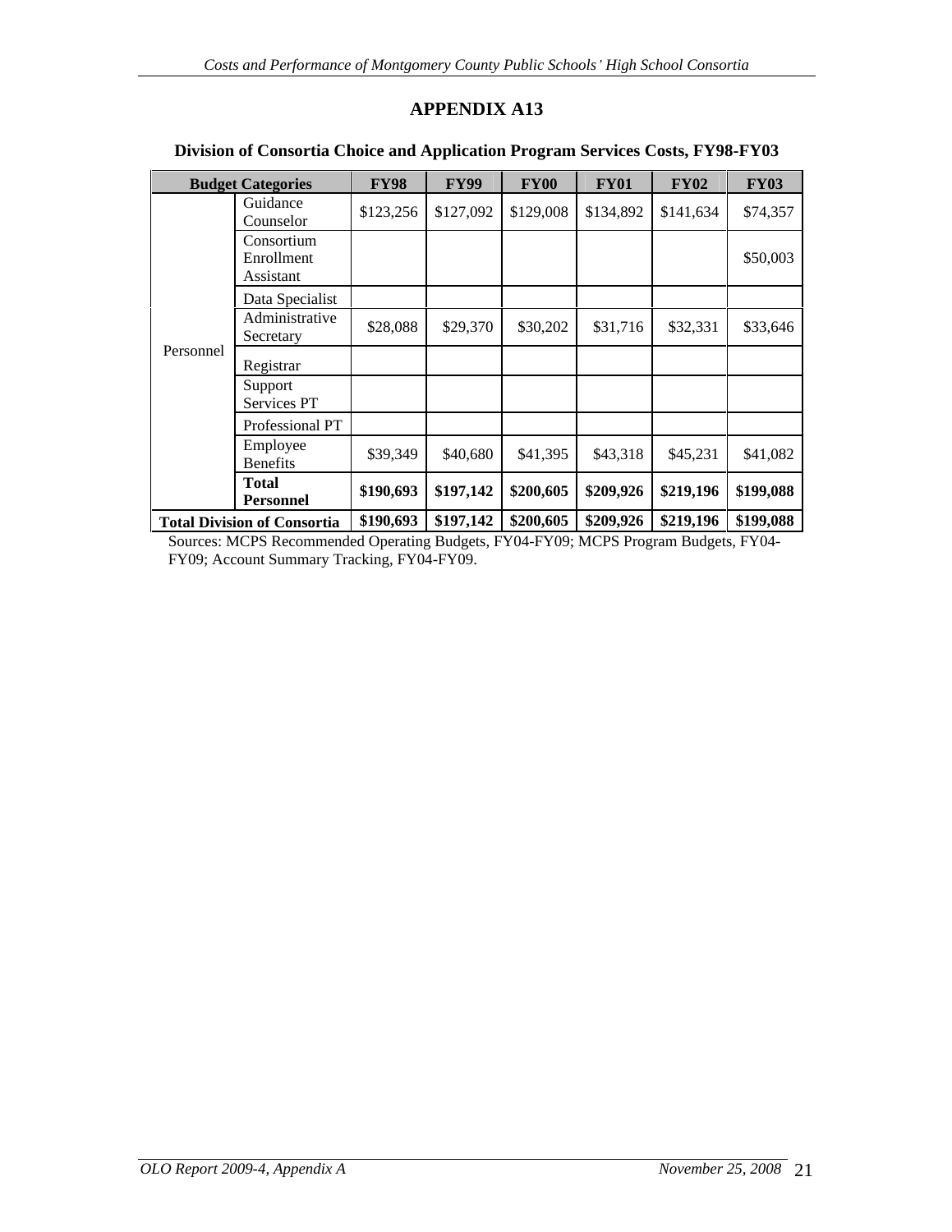|           | <b>Budget Categories</b>              | <b>FY98</b> | <b>FY99</b> | <b>FY00</b> | <b>FY01</b> | <b>FY02</b>                                                            | <b>FY03</b> |
|-----------|---------------------------------------|-------------|-------------|-------------|-------------|------------------------------------------------------------------------|-------------|
|           | Guidance<br>Counselor                 |             |             |             |             | $$123,256$ $$127,092$ $$129,008$ $$134,892$ $$141,634$                 | \$74,357    |
|           | Consortium<br>Enrollment<br>Assistant |             |             |             |             |                                                                        | \$50,003    |
|           | Data Specialist                       |             |             |             |             |                                                                        |             |
|           | Administrative<br>Secretary           | \$28,088    | \$29,370    | \$30,202    | \$31,716    | \$32,331                                                               | \$33,646    |
| Personnel | Registrar                             |             |             |             |             |                                                                        |             |
|           | Support<br>Services PT                |             |             |             |             |                                                                        |             |
|           | Professional PT                       |             |             |             |             |                                                                        |             |
|           | Employee<br>Benefits                  | \$39,349    | \$40,680    | \$41,395    | \$43,318    | \$45,231                                                               | \$41,082    |
|           | <b>Total</b><br>Personnel             |             |             |             |             | $$190,693$   \$197,142   \$200,605   \$209,926   \$219,196   \$199,088 |             |
|           | <b>Total Division of Consortia</b>    |             |             |             |             | $$190,693$   \$197,142   \$200,605   \$209,926   \$219,196   \$199,088 |             |

### **Division of Consortia Choice and Application Program Services Costs, FY98-FY03**

Sources: MCPS Recommended Operating Budgets, FY04-FY09; MCPS Program Budgets, FY04- FY09; Account Summary Tracking, FY04-FY09.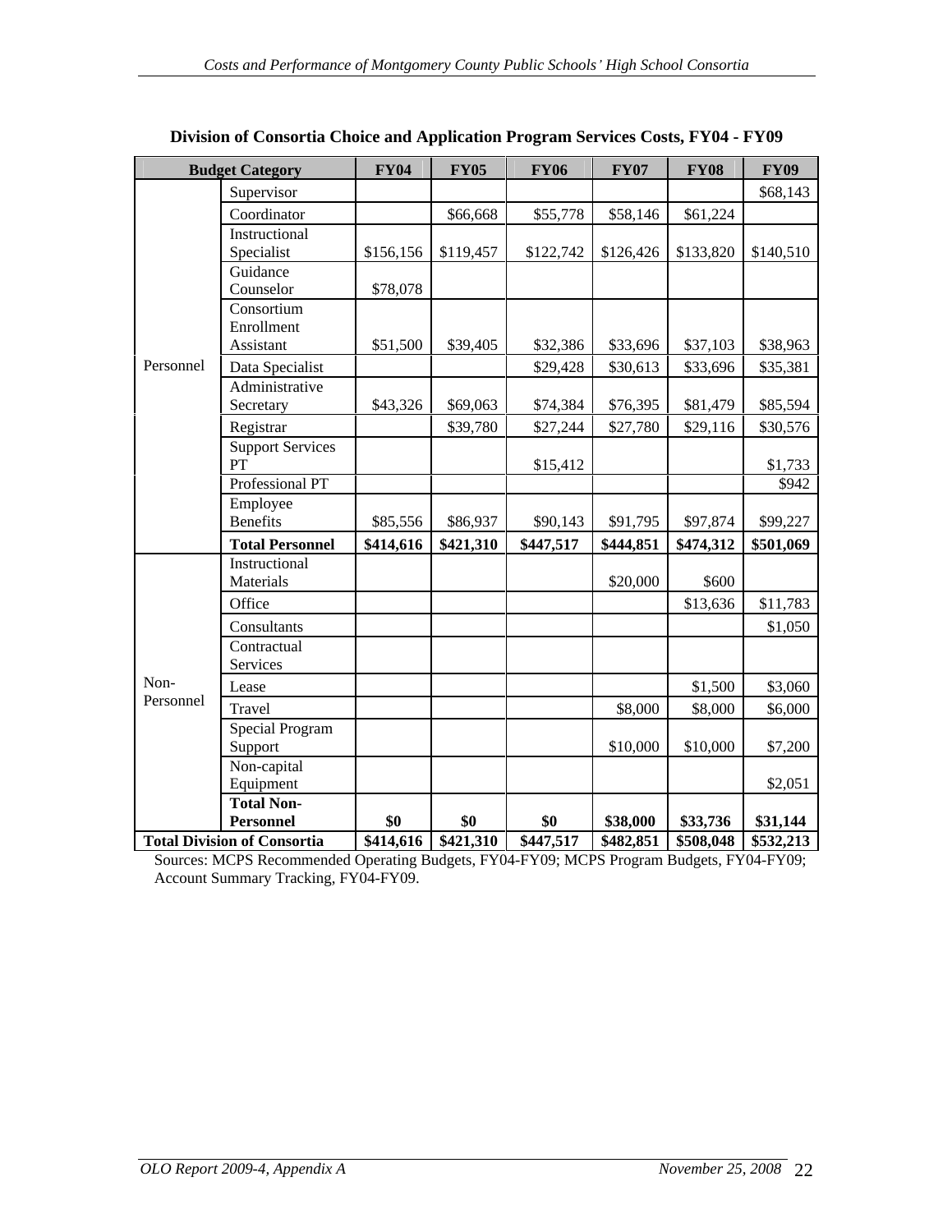|           | <b>Budget Category</b>             | <b>FY04</b>             | <b>FY05</b>          | <b>FY06</b>           | <b>FY07</b> | <b>FY08</b>                                 | <b>FY09</b>           |
|-----------|------------------------------------|-------------------------|----------------------|-----------------------|-------------|---------------------------------------------|-----------------------|
|           | Supervisor                         |                         |                      |                       |             |                                             | \$68,143              |
|           | Coordinator                        |                         | \$66,668             | \$55,778              | \$58,146    | \$61,224                                    |                       |
|           | Instructional                      |                         |                      |                       |             |                                             |                       |
|           | Specialist                         | $$156, 156$ $$119, 457$ |                      |                       |             | $$122,742$ $$126,426$ $$133,820$ $$140,510$ |                       |
|           | Guidance                           |                         |                      |                       |             |                                             |                       |
|           | Counselor                          | \$78,078                |                      |                       |             |                                             |                       |
|           | Consortium<br>Enrollment           |                         |                      |                       |             |                                             |                       |
|           | Assistant                          | \$51,500                | \$39,405             | \$32,386              | \$33,696    | \$37,103                                    | \$38,963              |
| Personnel | Data Specialist                    |                         |                      | \$29,428              | \$30,613    | \$33,696                                    | \$35,381              |
|           | Administrative                     |                         |                      |                       |             |                                             |                       |
|           | Secretary                          | \$43,326                | \$69,063             | \$74,384              | \$76,395    | \$81,479                                    | \$85,594              |
|           | Registrar                          |                         | \$39,780             | \$27,244              | \$27,780    | \$29,116                                    | \$30,576              |
|           | <b>Support Services</b>            |                         |                      |                       |             |                                             |                       |
|           | ${\cal PT}$                        |                         |                      | \$15,412              |             |                                             | \$1,733               |
|           | Professional PT                    |                         |                      |                       |             |                                             | \$942                 |
|           | Employee<br>Benefits               | \$85,556                | \$86,937             |                       | \$91,795    | \$97,874                                    |                       |
|           | <b>Total Personnel</b>             | \$414,616               | \$421,310            | \$90,143<br>\$447,517 | \$444,851   | \$474,312                                   | \$99,227<br>\$501,069 |
|           | Instructional                      |                         |                      |                       |             |                                             |                       |
|           | Materials                          |                         |                      |                       | \$20,000    | \$600                                       |                       |
|           | Office                             |                         |                      |                       |             | \$13,636                                    | \$11,783              |
|           | Consultants                        |                         |                      |                       |             |                                             | \$1,050               |
|           | Contractual                        |                         |                      |                       |             |                                             |                       |
|           | Services                           |                         |                      |                       |             |                                             |                       |
| Non-      | Lease                              |                         |                      |                       |             | \$1,500                                     | \$3,060               |
| Personnel | Travel                             |                         |                      |                       | \$8,000     | \$8,000                                     | \$6,000               |
|           | <b>Special Program</b>             |                         |                      |                       |             |                                             |                       |
|           | Support                            |                         |                      |                       | \$10,000    | \$10,000                                    | \$7,200               |
|           | Non-capital                        |                         |                      |                       |             |                                             |                       |
|           | Equipment                          |                         |                      |                       |             |                                             | \$2,051               |
|           | <b>Total Non-</b><br>Personnel     | \$0                     | \$0                  | \$0                   | \$38,000    | \$33,736                                    | \$31,144              |
|           | <b>Total Division of Consortia</b> |                         | $$414,616$ \$421,310 | \$447,517             | \$482,851   | $\frac{1}{508,048}$ \$532,213               |                       |

**Division of Consortia Choice and Application Program Services Costs, FY04 - FY09**

Sources: MCPS Recommended Operating Budgets, FY04-FY09; MCPS Program Budgets, FY04-FY09; Account Summary Tracking, FY04-FY09.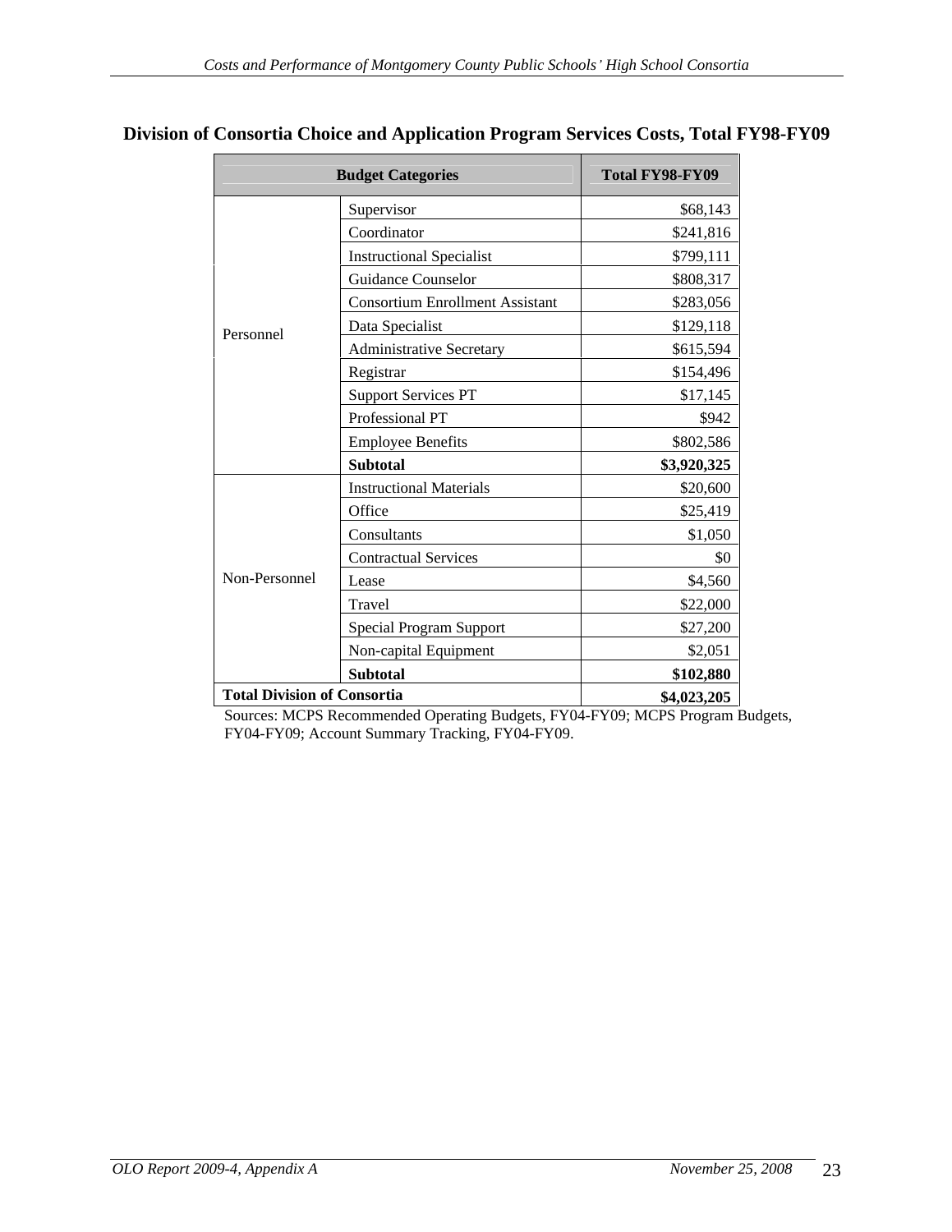|                             | <b>Budget Categories</b>               | Total FY98-FY09 |
|-----------------------------|----------------------------------------|-----------------|
|                             | Supervisor                             | \$68,143        |
|                             | Coordinator                            | \$241,816       |
|                             | <b>Instructional Specialist</b>        | \$799,111       |
|                             | Guidance Counselor                     | \$808,317       |
|                             | <b>Consortium Enrollment Assistant</b> | \$283,056       |
|                             | Data Specialist                        | \$129,118       |
| Personnel                   | <b>Administrative Secretary</b>        | \$615,594       |
|                             | Registrar                              | \$154,496       |
|                             | Support Services PT                    | \$17,145        |
|                             | Professional PT                        | \$942           |
|                             | <b>Employee Benefits</b>               | \$802,586       |
|                             | Subtotal                               | \$3,920,325     |
|                             | <b>Instructional Materials</b>         | \$20,600        |
|                             | Office                                 | \$25,419        |
|                             | Consultants                            | \$1,050         |
|                             | <b>Contractual Services</b>            | \$0             |
| Non-Personnel               | Lease                                  | \$4,560         |
|                             | Travel                                 | \$22,000        |
|                             | Special Program Support                | \$27,200        |
|                             | Non-capital Equipment                  | \$2,051         |
|                             | Subtotal                               | \$102,880       |
| Total Division of Consortia |                                        | \$4,023,205     |

### **Division of Consortia Choice and Application Program Services Costs, Total FY98-FY09**

Sources: MCPS Recommended Operating Budgets, FY04-FY09; MCPS Program Budgets, FY04-FY09; Account Summary Tracking, FY04-FY09.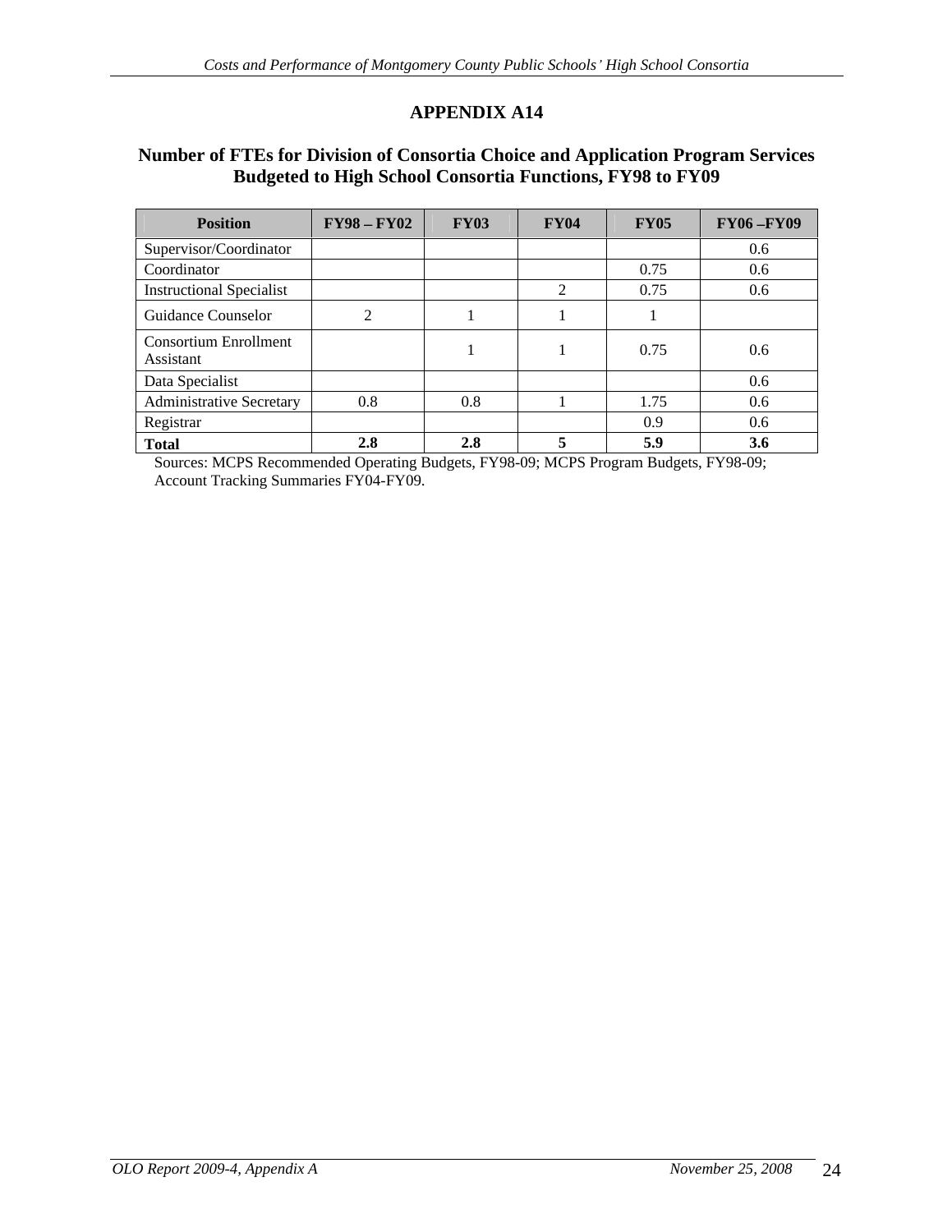## **Number of FTEs for Division of Consortia Choice and Application Program Services Budgeted to High School Consortia Functions, FY98 to FY09**

| Position                           | $\mid$ FY98 - FY02 | <b>FY03</b> | <b>FY04</b> | <b>FY05</b> | <b>FY06-FY09</b> |
|------------------------------------|--------------------|-------------|-------------|-------------|------------------|
| Supervisor/Coordinator             |                    |             |             |             | 0.6              |
| Coordinator                        |                    |             |             | 0.75        | $0.6\,$          |
| <b>Instructional Specialist</b>    |                    |             |             | 0.75        | $0.6\,$          |
| <b>Guidance Counselor</b>          |                    |             |             |             |                  |
| Consortium Enrollment<br>Assistant |                    |             |             | 0.75        | $0.6\,$          |
| Data Specialist                    |                    |             |             |             | 0.6              |
| Administrative Secretary           | 0.8                | 0.8         |             | 1.75        | 0.6              |
| Registrar                          |                    |             |             | 0.9         | $0.6\,$          |
| Total                              | 2.8                | 2.5         |             | 5.9         | 3.6              |

Sources: MCPS Recommended Operating Budgets, FY98-09; MCPS Program Budgets, FY98-09; Account Tracking Summaries FY04-FY09.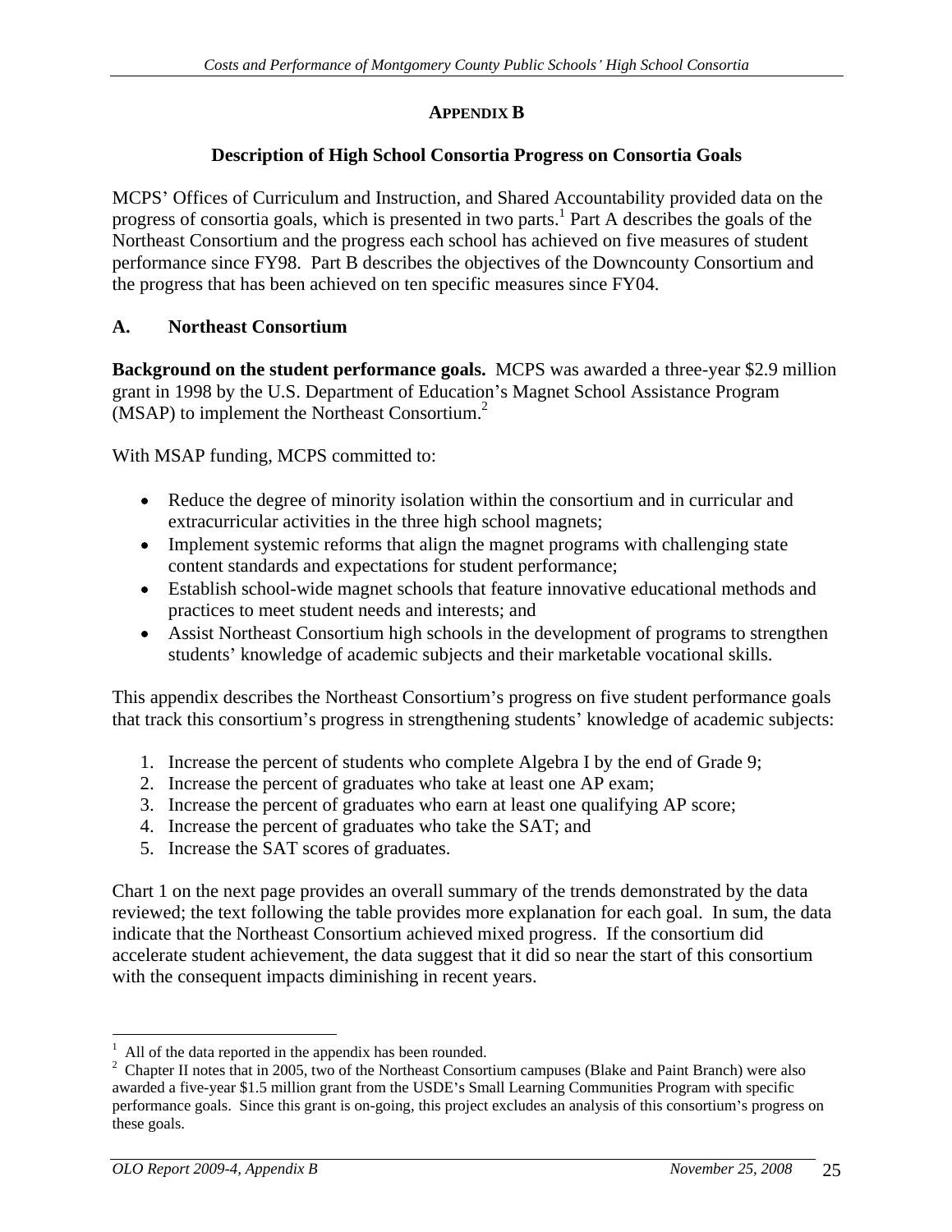## **APPENDIX B**

# **Description of High School Consortia Progress on Consortia Goals**

MCPS' Offices of Curriculum and Instruction, and Shared Accountability provided data on the progress of consortia goals, which is presented in two parts.<sup>1</sup> Part A describes the goals of the Northeast Consortium and the progress each school has achieved on five measures of student performance since FY98. Part B describes the objectives of the Downcounty Consortium and the progress that has been achieved on ten specific measures since FY04.

# **A. Northeast Consortium**

**Background on the student performance goals.** MCPS was awarded a three-year \$2.9 million grant in 1998 by the U.S. Department of Education's Magnet School Assistance Program  $(MSAP)$  to implement the Northeast Consortium.<sup>2</sup> (MSAP) to implement the Northeast Consortium.<sup>2</sup><br>With MSAP funding, MCPS committed to:

- Reduce the degree of minority isolation within the consortium and in curricular and extracurricular activities in the three high school magnets;
- Implement systemic reforms that align the magnet programs with challenging state content standards and expectations for student performance;
- Establish school-wide magnet schools that feature innovative educational methods and practices to meet student needs and interests; and
- Assist Northeast Consortium high schools in the development of programs to strengthen students' knowledge of academic subjects and their marketable vocational skills.

This appendix describes the Northeast Consortium's progress on five student performance goals that track this consortium's progress in strengthening students' knowledge of academic subjects:

- 1. Increase the percent of students who complete Algebra I by the end of Grade 9;
- 2. Increase the percent of graduates who take at least one AP exam;
- 3. Increase the percent of graduates who earn at least one qualifying AP score;
- 4. Increase the percent of graduates who take the SAT; and
- 5. Increase the SAT scores of graduates.

Chart 1 on the next page provides an overall summary of the trends demonstrated by the data reviewed; the text following the table provides more explanation for each goal. In sum, the data indicate that the Northeast Consortium achieved mixed progress. If the consortium did accelerate student achievement, the data suggest that it did so near the start of this consortium with the consequent impacts diminishing in recent years.

 $\frac{1}{1}$  All of the data reported in the eppendix has been reunded

<sup>&</sup>lt;sup>1</sup> All of the data reported in the appendix has been rounded.<br><sup>2</sup> Chapter II notes that in 2005, two of the Northeast Consortium campuses (Blake and Paint Branch) were also awarded a five-year \$1.5 million grant from the USDE's Small Learning Communities Program with specific performance goals. Since this grant is on-going, this project excludes an analysis of this consortium's progress on these goals.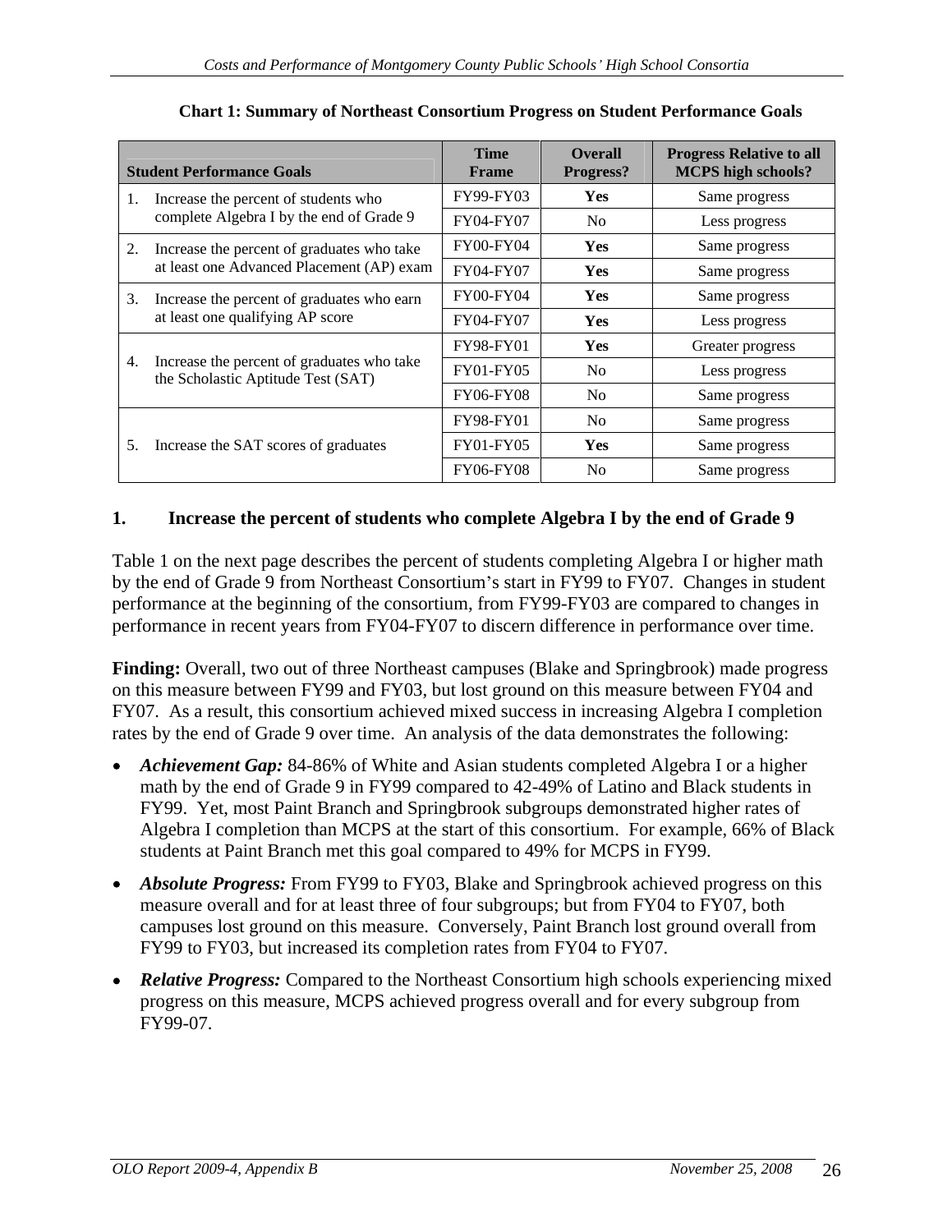| <b>Student Performance Goals</b>                                                 | <b>Time</b><br>Frame | <b>Overall</b><br>Progress? | <b>Progress Relative to all</b><br><b>MCPS</b> high schools? |
|----------------------------------------------------------------------------------|----------------------|-----------------------------|--------------------------------------------------------------|
| Increase the percent of students who                                             | FY99-FY03            | Yes                         | Same progress                                                |
| complete Algebra I by the end of Grade 9                                         | FY04-FY07            | N <sub>o</sub>              | Less progress                                                |
| Increase the percent of graduates who take                                       | FY00-FY04            | Yes                         | Same progress                                                |
| at least one Advanced Placement (AP) exam                                        | FY04-FY07            | Yes                         | Same progress                                                |
| Increase the percent of graduates who earn                                       | FY00-FY04            | Yes                         | Same progress                                                |
| at least one qualifying AP score                                                 | FY04-FY07            | Yes                         | Less progress                                                |
|                                                                                  | FY98-FY01            | Yes                         | Greater progress                                             |
| Increase the percent of graduates who take<br>the Scholastic Aptitude Test (SAT) | FY01-FY05            | No                          | Less progress                                                |
|                                                                                  | <b>FY06-FY08</b>     | No                          | Same progress                                                |
|                                                                                  | FY98-FY01            | No                          | Same progress                                                |
| Increase the SAT scores of graduates                                             | FY01-FY05            | Yes                         | Same progress                                                |
|                                                                                  | FY06-FY08            | No                          | Same progress                                                |

#### **Chart 1: Summary of Northeast Consortium Progress on Student Performance Goals**

## **1. Increase the percent of students who complete Algebra I by the end of Grade 9**

Table 1 on the next page describes the percent of students completing Algebra I or higher math by the end of Grade 9 from Northeast Consortium's start in FY99 to FY07. Changes in student performance at the beginning of the consortium, from FY99-FY03 are compared to changes in performance in recent years from FY04-FY07 to discern difference in performance over time.

Finding: Overall, two out of three Northeast campuses (Blake and Springbrook) made progress on this measure between FY99 and FY03, but lost ground on this measure between FY04 and FY07. As a result, this consortium achieved mixed success in increasing Algebra I completion rates by the end of Grade 9 over time. An analysis of the data demonstrates the following:

- Achievement Gap: 84-86% of White and Asian students completed Algebra I or a higher math by the end of Grade 9 in FY99 compared to 42-49% of Latino and Black students in FY99. Yet, most Paint Branch and Springbrook subgroups demonstrated higher rates of Algebra I completion than MCPS at the start of this consortium. For example, 66% of Black students at Paint Branch met this goal compared to 49% for MCPS in FY99.
- *Absolute Progress:* From FY99 to FY03, Blake and Springbrook achieved progress on this measure overall and for at least three of four subgroups; but from FY04 to FY07, both campuses lost ground on this measure. Conversely, Paint Branch lost ground overall from FY99 to FY03, but increased its completion rates from FY04 to FY07.
- *Relative Progress:* Compared to the Northeast Consortium high schools experiencing mixed progress on this measure, MCPS achieved progress overall and for every subgroup from FY99-07.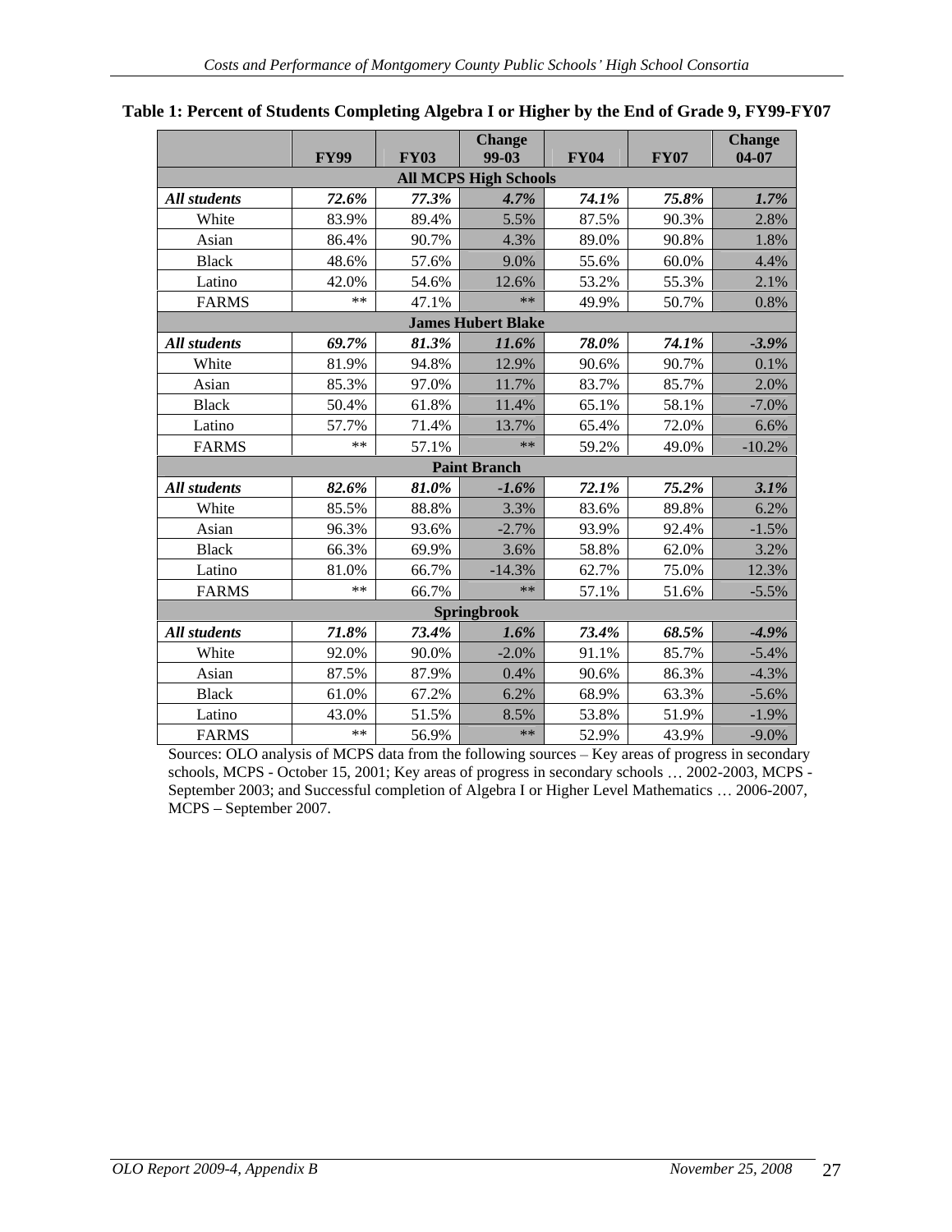|                     | <b>FY99</b> | <b>Change</b><br><b>FY03</b><br>$99-03$ | <b>FY04</b>         | <b>FY07</b> | Change<br>$04-07$ |
|---------------------|-------------|-----------------------------------------|---------------------|-------------|-------------------|
|                     |             | <b>All MCPS High Schools</b>            |                     |             |                   |
| <b>All students</b> | 72.6%       | 77.3%<br>4.7%                           | $74.1\%$            | 75.8%       | 1.7%              |
| White               | 83.9%       | 89.4%<br>5.5%                           | 87.5%               | 90.3%       | 2.8%              |
| Asian               | 86.4%       | 90.7%<br>4.3%                           | 89.0%               | 90.8%       | 1.8%              |
| <b>Black</b>        | 48.6%       | 57.6%<br>9.0%                           | 55.6%               | 60.0%       | 4.4%              |
| Latino              | 42.0%       | 54.6%<br>12.6%                          | 53.2%               | 55.3%       | 2.1%              |
| <b>FARMS</b>        | $***$ 1     | 47.1%                                   | 49.9%<br>$**$       | 50.7%       | 0.8%              |
|                     |             | <b>James Hubert Blake</b>               |                     |             |                   |
| <b>All students</b> | 69.7%       | 81.3%<br>$11.6\%$                       | 78.0%               | 74.1%       | $-3.9\%$          |
| White               | 81.9%       | 94.8%<br>12.9%                          | $90.6\%$            | 90.7%       | 0.1%              |
| Asian               | 85.3%       | 97.0%<br>11.7%                          | 83.7%               | 85.7%       | 2.09              |
| <b>Black</b>        | 50.4%       | 11.4%<br>61.8%                          | $65.1\%$            | 58.1%       | $-7.0%$           |
| Latino              | 57.7%       | 71.4%<br>13.7%                          | 65.4%               | 72.0%       | 6.6%              |
| <b>FARMS</b>        | $***$       | 57.1%                                   | 59.2%               | 49.0%       | $-10.2%$          |
|                     |             | <b>Paint Branch</b>                     |                     |             |                   |
| All students        | 82.6%       | 81.0%<br>$-1.6\%$                       | $72.1\%$            | 75.2%       | 3.1%              |
| White               | 85.5%       | 88.8%<br>3.3%                           | 83.6%               | 89.8%       | 6.2%              |
| Asian               | 96.3%       | 93.6%<br>$-2.7\%$                       | 93.9%               | 92.4%       | $-1.5%$           |
| <b>Black</b>        | 66.3%       | 69.9%<br>3.6%                           | 58.8%               | 62.0%       | 3.2%              |
| Latino              | 81.0%       | 66.7%<br>$-14.3%$                       | 62.7%               | 75.0%       | 12.3%             |
| <b>FARMS</b>        | $***$ 1     | 66.7%                                   | 57.1%<br>$**$       | 51.6%       | $-5.5%$           |
|                     |             | Springbrook                             |                     |             |                   |
| All students        | 71.8%       | 73.4%                                   | $73.4\%$<br>$1.6\%$ | 68.5%       | $-4.9%$           |
| White               | 92.0%       | 90.0%<br>$-2.0\%$                       | $91.1\%$            | 85.7%       | $-5.4%$           |
| Asian               | 87.5%       | 87.9%<br>$0.4\%$                        | 90.6%               | 86.3%       | $-4.3%$           |
| Black               | 61.0%       | 67.2%<br>6.2%                           | 68.9%               | 63.3%       | $-5.6\%$          |
| Latino              | 43.0%       | 51.5%<br>8.5%                           | 53.8%               | 51.9%       | $-1.9\%$          |
| <b>FARMS</b>        | ** 1        | 56.9%                                   | 52.9%<br>$**$       | 43.9%       | $-9.0\%$          |

#### **Table 1: Percent of Students Completing Algebra I or Higher by the End of Grade 9, FY99-FY07**

Sources: OLO analysis of MCPS data from the following sources - Key areas of progress in secondary schools, MCPS - October 15, 2001; Key areas of progress in secondary schools ... 2002-2003, MCPS -September 2003; and Successful completion of Algebra I or Higher Level Mathematics ... 2006-2007, MCPS - September 2007.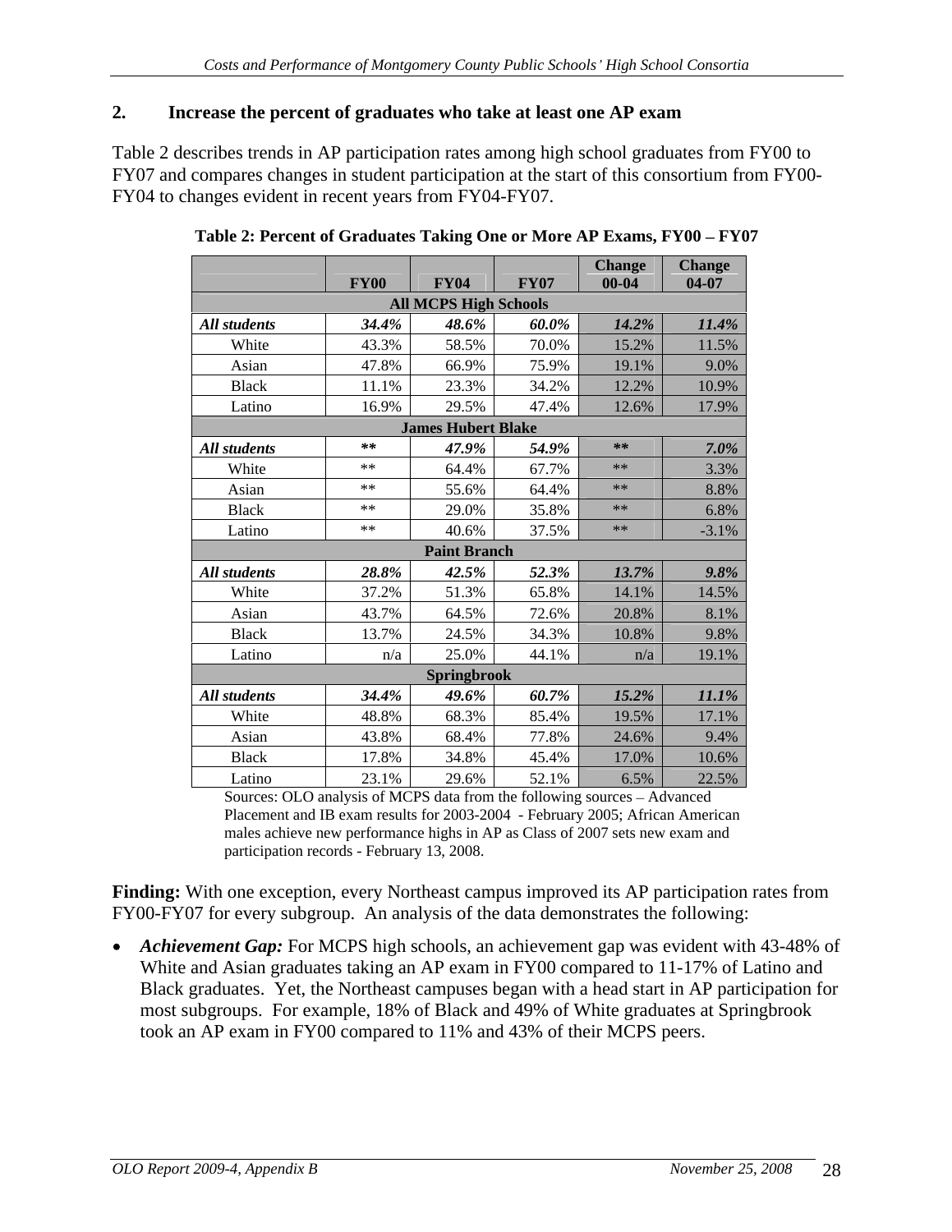### **2. Increase the percent of graduates who take at least one AP exam**

Table 2 describes trends in AP participation rates among high school graduates from FY00 to FY07 and compares changes in student participation at the start of this consortium from FY00- FY04 to changes evident in recent years from FY04-FY07.

|              |             |                              |             | Change   Change |         |
|--------------|-------------|------------------------------|-------------|-----------------|---------|
|              | <b>FY00</b> | <b>FY04</b>                  | <b>FY07</b> | $00 - 04$       | $04-07$ |
|              |             | <b>All MCPS High Schools</b> |             |                 |         |
| All students | 34.4%       | 48.6%                        | 60.0%       | $14.2\%$        | 11.4%   |
| White        | 43.3%       | 58.5%                        | 70.0%       | $15.2\%$        | 11.5%   |
| Asian        | 47.8%       | 66.9%                        | 75.9%       | 19.1%           | 9.0%    |
| <b>Black</b> | 11.1%       | 23.3%                        | 34.2%       | $12.2\%$        | 10.9%   |
| Latino       | 16.9%       | 29.5%                        | 47.4%       | $12.6\%$        | 17.9%   |
|              |             | <b>James Hubert Blake</b>    |             |                 |         |
| All students | **          | 47.9%                        | 54.9%       | **              | $7.0\%$ |
| White        | $***$       | 64.4%                        | 67.7%       | $***$           | 3.3%    |
| Asian        | **          | 55.6%                        | 64.4%       | $***$           | 8.8%    |
| <b>Black</b> | $***$       | 29.0%                        | 35.8%       | **              | 6.8%    |
| Latino       | **          | 40.6%                        | 37.5%       | **              | $-3.1%$ |
|              |             | <b>Paint Branch</b>          |             |                 |         |
| All students | $28.8\%$    | 42.5%                        | 52.3%       | $13.7\%$        | 9.8%    |
| White        | 37.2%       | 51.3%                        | 65.8%       | $14.1\%$        | 14.5%   |
| Asian        | 43.7%       | 64.5%                        | 72.6%       | 20.8%           | 8.1%    |
| <b>Black</b> | 13.7%       | 24.5%                        | 34.3%       | 10.8%           | 9.8%    |
| Latino       | n/a         | 25.0%                        | 44.1%       | n/a             | 19.1%   |
|              |             | Springbrook                  |             |                 |         |
| All students | 34.4%       | 49.6%                        | 60.7%       | $15.2\%$        | 11.1%   |
| White        | 48.8%       | 68.3%                        | 85.4%       | 19.5%           | 17.1%   |
|              |             |                              | 77.8%       |                 |         |
| Asian        | 43.8%       | 68.4%                        |             | 24.6%           | 9.4%    |
| <b>Black</b> | 17.8%       | 34.8%                        | 45.4%       | 17.0%           | 10.6%   |
| Latino       | 23.1%       | 29.6%                        | 52.1%       | $6.5\%$         | 22.5%   |

Table 2: Percent of Graduates Taking One or More AP Exams, FY00 - FY07

Sources: OLO analysis of MCPS data from the following sources – Advanced Placement and IB exam results for 2003-2004 - February 2005; African American males achieve new performance highs in AP as Class of 2007 sets new exam and participation records - February 13, 2008.

**Finding:** With one exception, every Northeast campus improved its AP participation rates from FY00-FY07 for every subgroup. An analysis of the data demonstrates the following:

*Achievement Gap:* For MCPS high schools, an achievement gap was evident with 43-48% of  $\bullet$ White and Asian graduates taking an AP exam in FY00 compared to 11-17% of Latino and Black graduates. Yet, the Northeast campuses began with a head start in AP participation for most subgroups. For example, 18% of Black and 49% of White graduates at Springbrook took an AP exam in FY00 compared to 11% and 43% of their MCPS peers.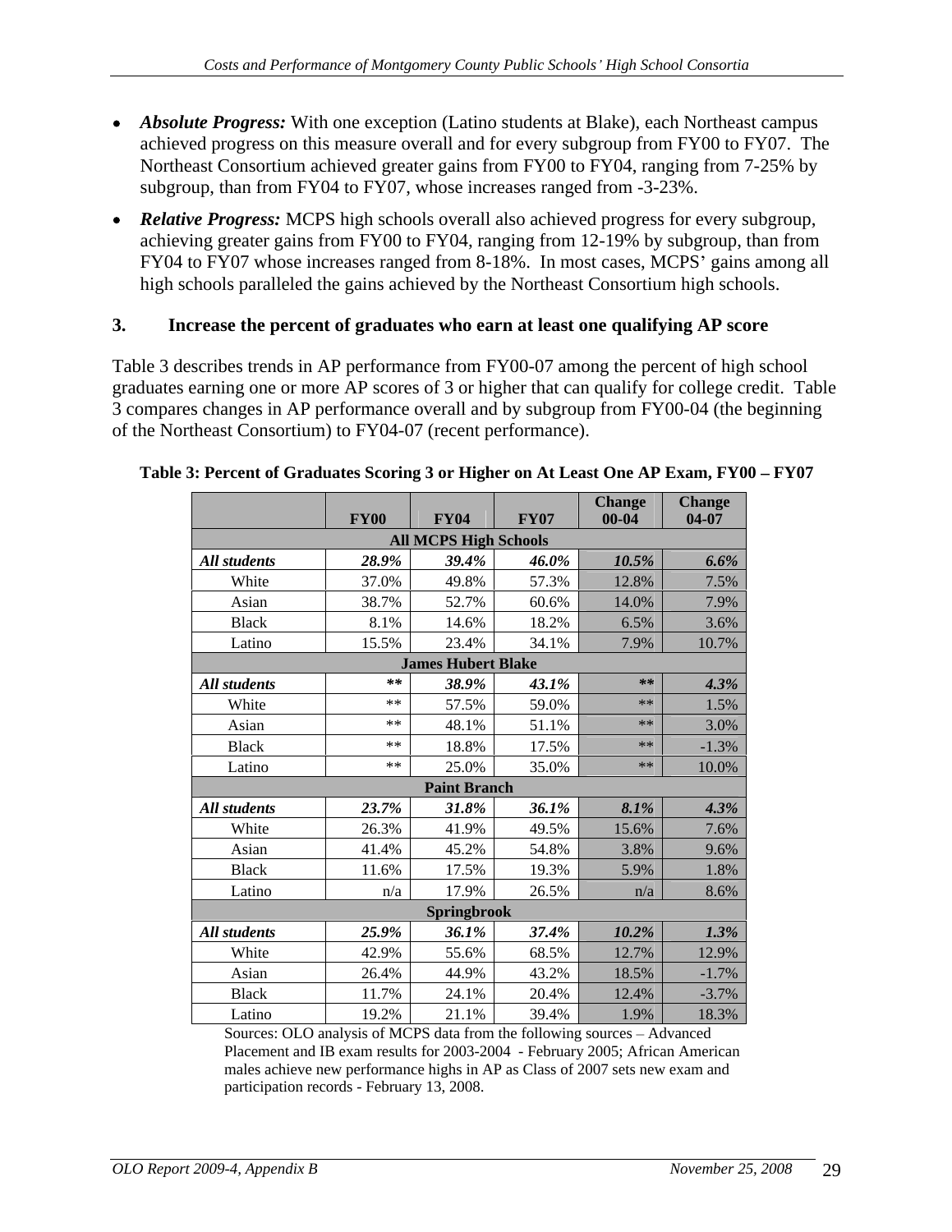- *Absolute Progress:* With one exception (Latino students at Blake), each Northeast campus achieved progress on this measure overall and for every subgroup from FY00 to FY07. The Northeast Consortium achieved greater gains from FY00 to FY04, ranging from 7-25% by subgroup, than from FY04 to FY07, whose increases ranged from -3-23%.
- *Relative Progress:* MCPS high schools overall also achieved progress for every subgroup, achieving greater gains from FY00 to FY04, ranging from 12-19% by subgroup, than from FY04 to FY07 whose increases ranged from 8-18%. In most cases, MCPS' gains among all high schools paralleled the gains achieved by the Northeast Consortium high schools.

#### **3. Increase the percent of graduates who earn at least one qualifying AP score**

Table 3 describes trends in AP performance from FY00-07 among the percent of high school graduates earning one or more AP scores of 3 or higher that can qualify for college credit. Table 3 compares changes in AP performance overall and by subgroup from FY00-04 (the beginning of the Northeast Consortium) to FY04-07 (recent performance).

|              |             |                              |             |           | <b>Change</b> |
|--------------|-------------|------------------------------|-------------|-----------|---------------|
|              | <b>FY00</b> | <b>FY04</b>                  | <b>FY07</b> | $00 - 04$ | $04-07$       |
|              |             | <b>All MCPS High Schools</b> |             |           |               |
| All students | 28.9%       | 39.4%                        | 46.0%       | $10.5\%$  | $6.6\%$       |
| White        | 37.0%       | 49.8%                        | 57.3%       | 12.8%     | 7.5%          |
| Asian        | 38.7%       | 52.7%                        | 60.6%       | 14.0%     | 7.9%          |
| <b>Black</b> | 8.1%        | 14.6%                        | 18.2%       | 6.5%      | 3.6%          |
| Latino       | 15.5%       | 23.4%                        | 34.1%       | 7.9%      | 10.7%         |
|              |             | <b>James Hubert Blake</b>    |             |           |               |
|              | $***$       |                              |             | **        | $4.3\%$       |
| All students |             | 38.9%                        | 43.1%       |           |               |
| White        | ** I        | 57.5%                        | 59.0%       | **        | 1.5%          |
| Asian        | **          | 48.1%                        | 51.1%       | **        | 3.0%          |
| <b>Black</b> | **          | 18.8%                        | 17.5%       | $**$      | $-1.3%$       |
| Latino       | ** ∣        | 25.0%                        | 35.0%       | **        | 10.0%         |
|              |             | <b>Paint Branch</b>          |             |           |               |
| All students | 23.7%       | $31.8\%$                     | $36.1\%$    | $8.1\%$   | 4.3%          |
| White        | 26.3%       | 41.9%                        | 49.5%       | 15.6%     | 7.6%          |
| Asian        | 41.4%       | 45.2%                        | 54.8%       | 3.8%      | 9.6%          |
| Black        | 11.6%       | 17.5%                        | 19.3%       | 5.9%      | 1.8%          |
| Latino       | n/a         | 17.9%                        | 26.5%       | n/a       | 8.6%          |
|              |             |                              |             |           |               |
|              |             | Springbrook                  |             |           |               |
| All students | 25.9%       | 36.1%                        | 37.4%       | $10.2\%$  | 1.3%          |
| White        | 42.9%       | 55.6%                        | 68.5%       | $12.7\%$  | 12.9%         |
| Asian        | 26.4%       | 44.9%                        | 43.2%       | 18.5%     | $-1.7\%$      |
| <b>Black</b> | 11.7%       | 24.1%                        | 20.4%       | 12.4%     | $-3.7%$       |
| Latino       | 19.2%       | 21.1%                        | 39.4%       | $1.9\%$   | 18.3%         |

#### Table 3: Percent of Graduates Scoring 3 or Higher on At Least One AP Exam, FY00 - FY07

Sources: OLO analysis of MCPS data from the following sources – Advanced Placement and IB exam results for 2003-2004 - February 2005; African American males achieve new performance highs in AP as Class of 2007 sets new exam and participation records - February 13, 2008.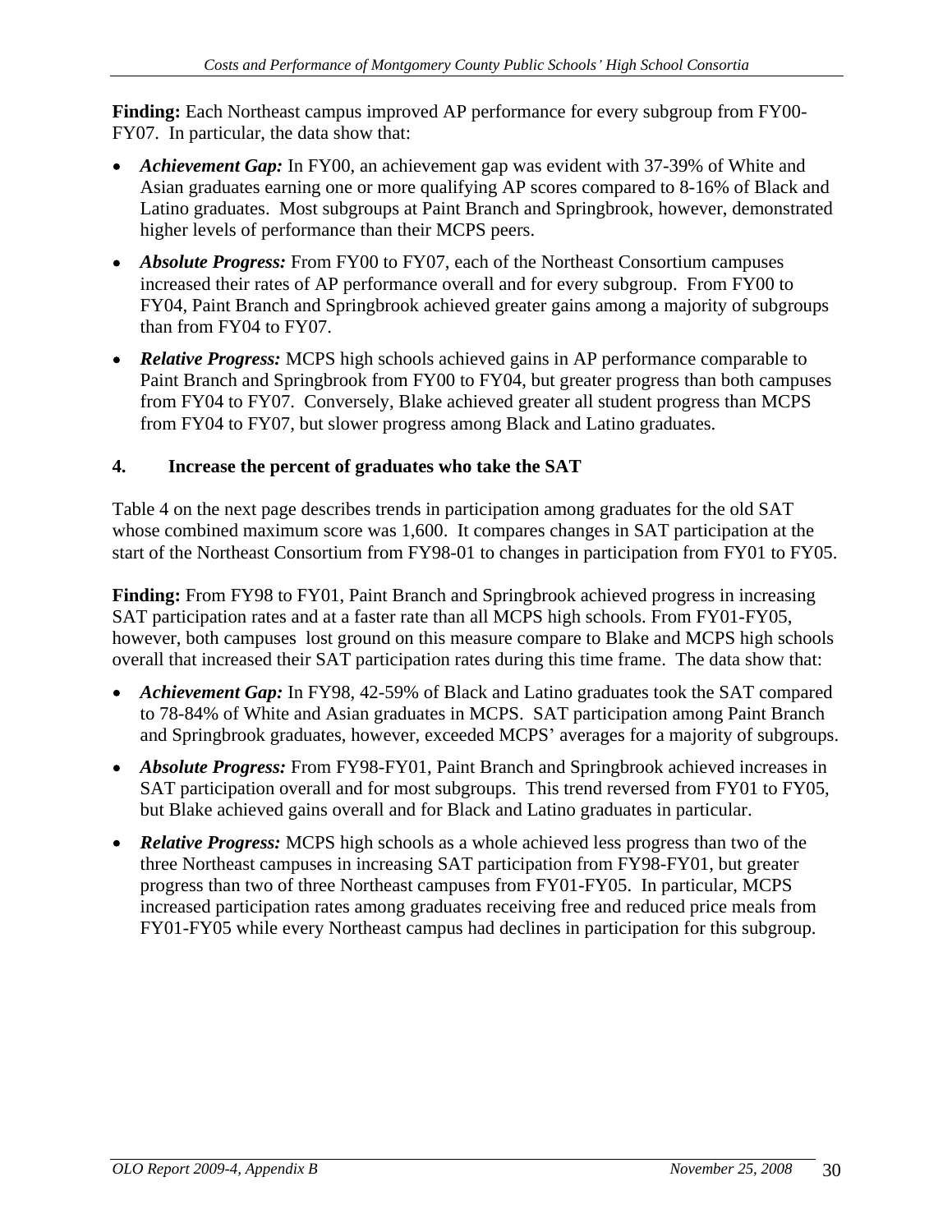**Finding:** Each Northeast campus improved AP performance for every subgroup from FY00- FY07. In particular, the data show that:

- *Achievement Gap:* In FY00, an achievement gap was evident with 37-39% of White and Asian graduates earning one or more qualifying AP scores compared to 8-16% of Black and Latino graduates. Most subgroups at Paint Branch and Springbrook, however, demonstrated higher levels of performance than their MCPS peers.
- *Absolute Progress:* From FY00 to FY07, each of the Northeast Consortium campuses increased their rates of AP performance overall and for every subgroup. From FY00 to FY04, Paint Branch and Springbrook achieved greater gains among a majority of subgroups than from FY04 to FY07.
- *Relative Progress:* MCPS high schools achieved gains in AP performance comparable to Paint Branch and Springbrook from FY00 to FY04, but greater progress than both campuses from FY04 to FY07. Conversely, Blake achieved greater all student progress than MCPS from FY04 to FY07, but slower progress among Black and Latino graduates.

### **4. Increase the percent of graduates who take the SAT**

Table 4 on the next page describes trends in participation among graduates for the old SAT whose combined maximum score was 1,600. It compares changes in SAT participation at the start of the Northeast Consortium from FY98-01 to changes in participation from FY01 to FY05.

**Finding:** From FY98 to FY01, Paint Branch and Springbrook achieved progress in increasing SAT participation rates and at a faster rate than all MCPS high schools. From FY01-FY05, however, both campuses lost ground on this measure compare to Blake and MCPS high schools overall that increased their SAT participation rates during this time frame. The data show that:

- *Achievement Gap:* In FY98, 42-59% of Black and Latino graduates took the SAT compared to 78-84% of White and Asian graduates in MCPS. SAT participation among Paint Branch and Springbrook graduates, however, exceeded MCPS' averages for a majority of subgroups.
- *Absolute Progress:* From FY98-FY01, Paint Branch and Springbrook achieved increases in SAT participation overall and for most subgroups. This trend reversed from FY01 to FY05, but Blake achieved gains overall and for Black and Latino graduates in particular.
- *Relative Progress:* MCPS high schools as a whole achieved less progress than two of the three Northeast campuses in increasing SAT participation from FY98-FY01, but greater progress than two of three Northeast campuses from FY01-FY05. In particular, MCPS increased participation rates among graduates receiving free and reduced price meals from FY01-FY05 while every Northeast campus had declines in participation for this subgroup.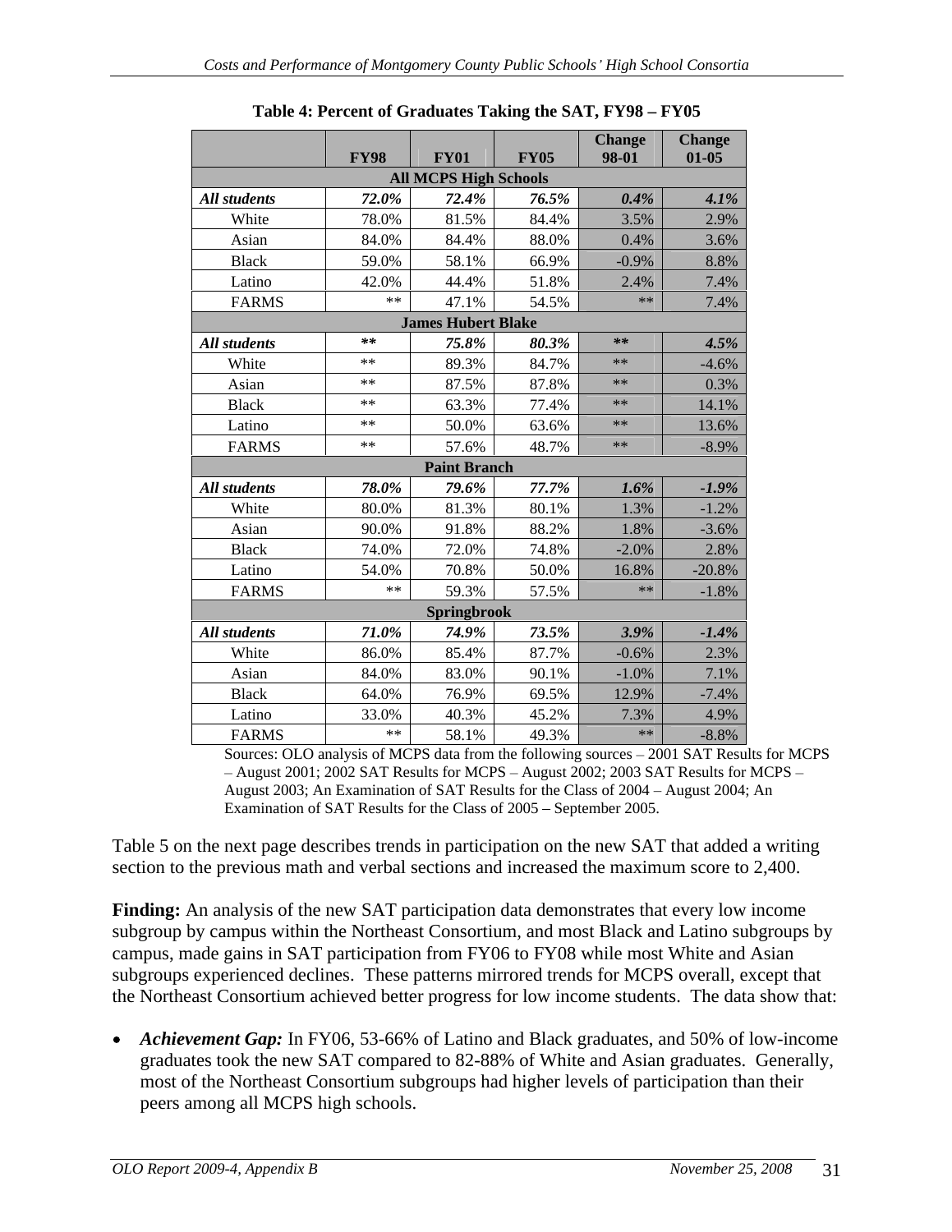| All students<br>White<br>Asian<br><b>Black</b><br>Latino<br>FARMS<br><b>All students</b><br>White<br>Asian<br><b>Black</b><br>Latino | <b>FY98</b><br>72.0%<br>78.0%<br>84.0%<br>59.0%<br>42.0%<br>** | <b>FY01</b><br><b>All MCPS High Schools</b><br>72.4%<br>81.5%<br>84.4%<br>58.1%<br>44.4% | <b>FY05</b><br>76.5%<br>84.4%<br>88.0%<br>66.9% | 98-01<br>$0.4\%$<br>3.5%<br>$0.4\%$ | $01-05$<br>2.9% |
|--------------------------------------------------------------------------------------------------------------------------------------|----------------------------------------------------------------|------------------------------------------------------------------------------------------|-------------------------------------------------|-------------------------------------|-----------------|
|                                                                                                                                      |                                                                |                                                                                          |                                                 |                                     | $4.1\%$         |
|                                                                                                                                      |                                                                |                                                                                          |                                                 |                                     |                 |
|                                                                                                                                      |                                                                |                                                                                          |                                                 |                                     |                 |
|                                                                                                                                      |                                                                |                                                                                          |                                                 |                                     | 3.6%            |
|                                                                                                                                      |                                                                |                                                                                          |                                                 | $-0.9\%$                            | 8.8%            |
|                                                                                                                                      |                                                                |                                                                                          | 51.8%                                           | 2.4%                                | 7.4%            |
|                                                                                                                                      |                                                                | 47.1%                                                                                    | 54.5%                                           | **                                  | 7.4%            |
|                                                                                                                                      |                                                                | <b>James Hubert Blake</b>                                                                |                                                 |                                     |                 |
|                                                                                                                                      | $***$                                                          | 75.8%                                                                                    | 80.3%                                           | **                                  | 4.5%            |
|                                                                                                                                      | $***$                                                          | 89.3%                                                                                    | 84.7%                                           | **                                  | $-4.6\%$        |
|                                                                                                                                      | $***$                                                          | 87.5%                                                                                    | 87.8%                                           | $***$                               | 0.3%            |
|                                                                                                                                      | **                                                             | 63.3%                                                                                    | 77.4%                                           | $***$                               | 14.1%           |
|                                                                                                                                      | $***$                                                          | 50.0%                                                                                    | 63.6%                                           | $**$                                | 13.6%           |
| FARMS                                                                                                                                | $***$                                                          | 57.6%                                                                                    | 48.7%                                           | **                                  | $-8.9\%$        |
|                                                                                                                                      |                                                                | <b>Paint Branch</b>                                                                      |                                                 |                                     |                 |
| All students                                                                                                                         | 78.0%                                                          | 79.6%                                                                                    | 77.7%                                           | $1.6\%$                             | $-1.9\%$        |
| White                                                                                                                                | 80.0%                                                          | 81.3%                                                                                    | 80.1%                                           | 1.3%                                | $-1.2%$         |
| Asian                                                                                                                                | 90.0%                                                          | 91.8%                                                                                    | 88.2%                                           | $1.8\%$                             | $-3.6\%$        |
| Black                                                                                                                                | 74.0%                                                          | 72.0%                                                                                    | 74.8%                                           | $-2.0\%$                            | 2.8%            |
| Latino                                                                                                                               | 54.0%                                                          | 70.8%                                                                                    | 50.0%                                           | 16.8%                               | $-20.8\%$       |
| <b>FARMS</b>                                                                                                                         | $***$                                                          | 59.3%                                                                                    | 57.5%                                           | $***$                               | $-1.8\%$        |
|                                                                                                                                      |                                                                | Springbrook                                                                              |                                                 |                                     |                 |
| All students                                                                                                                         | 71.0%                                                          | 74.9%                                                                                    | 73.5%                                           | $3.9\%$                             | $-1.4\%$        |
| White                                                                                                                                | 86.0%                                                          | 85.4%                                                                                    | 87.7%                                           | $-0.6\%$                            | 2.3%            |
| Asian                                                                                                                                | 84.0%                                                          | 83.0%                                                                                    | 90.1%                                           | $-1.0\%$                            | 7.1%            |
| Black                                                                                                                                | 64.0%                                                          | 76.9%<br>40.3%                                                                           | 69.5%<br>45.2%                                  | 12.9%<br>7.3%                       | $-7.4\%$        |
| Latino<br><b>FARMS</b>                                                                                                               | 33.0%                                                          |                                                                                          |                                                 |                                     | 4.9%            |

**Table 4: Percent of Graduates Taking the SAT, FY98 - FY05** 

Sources: OLO analysis of MCPS data from the following sources 2001 SAT Results for MCPS  $-$  August 2001; 2002 SAT Results for MCPS  $-$  August 2002; 2003 SAT Results for MCPS  $-$ August 2003; An Examination of SAT Results for the Class of 2004 - August 2004; An Examination of SAT Results for the Class of  $2005$  – September 2005.

Table 5 on the next page describes trends in participation on the new SAT that added a writing section to the previous math and verbal sections and increased the maximum score to 2,400.

**Finding:** An analysis of the new SAT participation data demonstrates that every low income subgroup by campus within the Northeast Consortium, and most Black and Latino subgroups by campus, made gains in SAT participation from FY06 to FY08 while most White and Asian subgroups experienced declines. These patterns mirrored trends for MCPS overall, except that the Northeast Consortium achieved better progress for low income students. The data show that:

*Achievement Gap:* In FY06, 53-66% of Latino and Black graduates, and 50% of low-income graduates took the new SAT compared to 82-88% of White and Asian graduates. Generally, most of the Northeast Consortium subgroups had higher levels of participation than their peers among all MCPS high schools.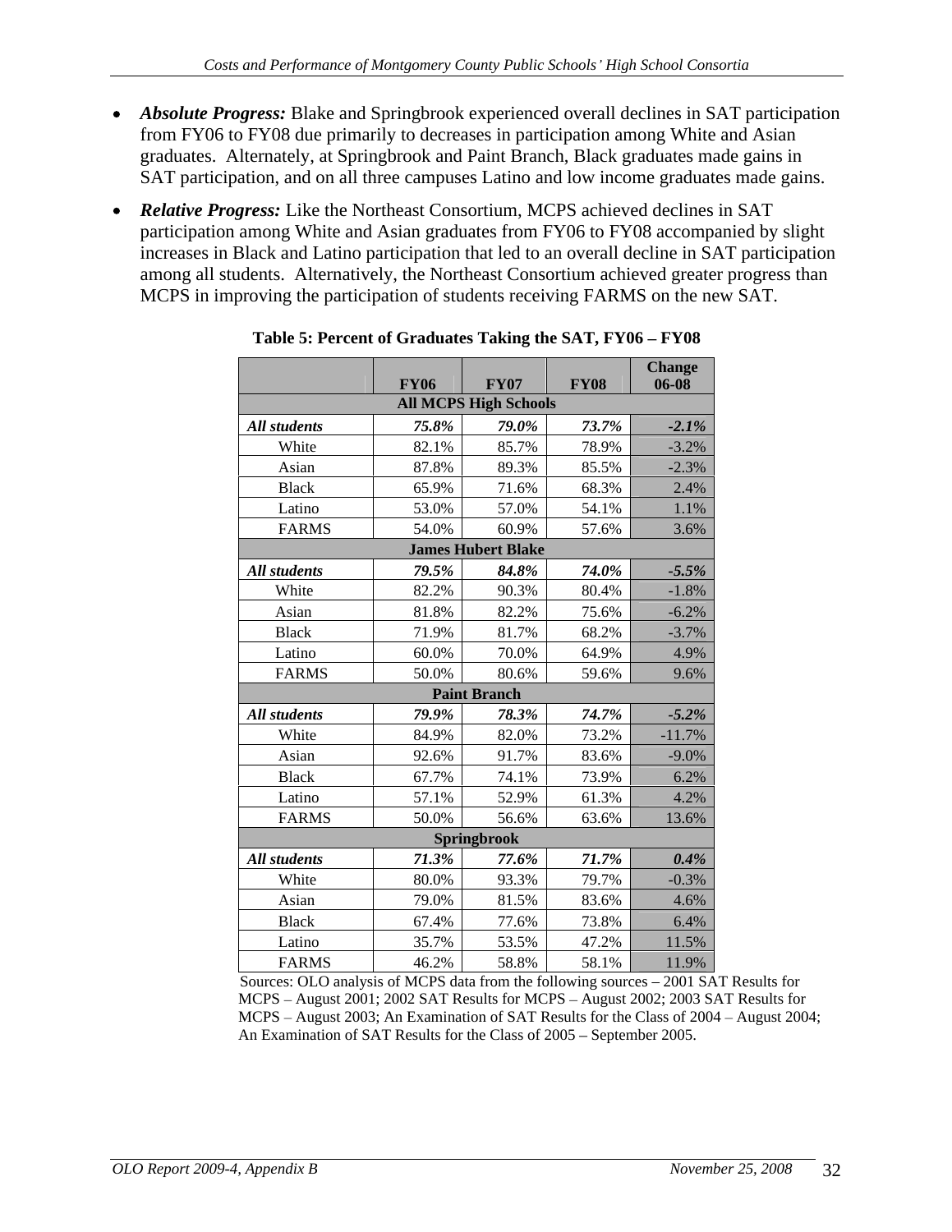- *Absolute Progress:* Blake and Springbrook experienced overall declines in SAT participation from FY06 to FY08 due primarily to decreases in participation among White and Asian graduates. Alternately, at Springbrook and Paint Branch, Black graduates made gains in SAT participation, and on all three campuses Latino and low income graduates made gains.
- *Relative Progress:* Like the Northeast Consortium, MCPS achieved declines in SAT participation among White and Asian graduates from FY06 to FY08 accompanied by slight increases in Black and Latino participation that led to an overall decline in SAT participation among all students. Alternatively, the Northeast Consortium achieved greater progress than MCPS in improving the participation of students receiving FARMS on the new SAT.

|                     |             |                              |             | <b>Change</b> |
|---------------------|-------------|------------------------------|-------------|---------------|
|                     | <b>FY06</b> | $\bf FY07$                   | <b>FY08</b> | $06 - 08$     |
|                     |             | <b>All MCPS High Schools</b> |             |               |
| <b>All students</b> | 75.8%       | 79.0%                        | 73.7%       | $-2.1\%$      |
| White               | 82.1%       | 85.7%                        | 78.9%       | $-3.2\%$      |
| Asian               | 87.8%       | 89.3%                        | 85.5%       | $-2.3%$       |
| <b>Black</b>        | 65.9%       | 71.6%                        | 68.3%       | 2.4%          |
| Latino              | 53.0%       | 57.0%                        | 54.1%       | 1.1%          |
| <b>FARMS</b>        | 54.0%       | 60.9%                        | 57.6%       | 3.6%          |
|                     |             | <b>James Hubert Blake</b>    |             |               |
| All students        | 79.5%       | $84.8\%$                     | 74.0%       | $-5.5\%$      |
| White               | 82.2%       | 90.3%                        | 80.4%       | $-1.8\%$      |
| Asian               | 81.8%       | 82.2%                        | 75.6%       | $-6.2\%$      |
| Black               | 71.9%       | 81.7%                        | 68.2%       | $-3.7%$       |
| Latino              | 60.0%       | 70.0%                        | 64.9%       | 4.9%          |
| <b>FARMS</b>        | 50.0%       | 80.6%                        | 59.6%       | 9.6%          |
|                     |             | <b>Paint Branch</b>          |             |               |
| All students        | 79.9%       | 78.3%                        | 74.7%       | $-5.2\%$      |
| White               | 84.9%       | 82.0%                        | 73.2%       | $-11.7%$      |
| Asian               | 92.6%       | 91.7%                        | 83.6%       | $-9.0\%$      |
| Black               | 67.7%       | 74.1%                        | 73.9%       | 6.2%          |
| Latino              | 57.1%       | 52.9%                        | 61.3%       | 4.2%          |
| FARMS               | 50.0%       | 56.6%                        | 63.6%       | 13.6%         |
|                     |             | Springbrook                  |             |               |
| All students        | $71.3\%$    | 77.6%                        | 71.7%       | $0.4\%$       |
| White               | 80.0%       | 93.3%                        | 79.7%       | $-0.3\%$      |
| Asian               | 79.0%       | 81.5%                        | 83.6%       | 4.6%          |
| Black               | 67.4%       | 77.6%                        | 73.8%       | 6.4%          |
| Latino              | 35.7%       | 53.5%                        | 47.2%       | 11.5%         |
| <b>FARMS</b>        | 46.2%       | 58.8%                        | 58.1%       | 11.9%         |

Table 5: Percent of Graduates Taking the SAT, FY06 - FY08

Sources: OLO analysis of MCPS data from the following sources – 2001 SAT Results for MCPS - August 2001; 2002 SAT Results for MCPS - August 2002; 2003 SAT Results for MCPS – August 2003; An Examination of SAT Results for the Class of 2004 – August 2004; An Examination of SAT Results for the Class of 2005 - September 2005.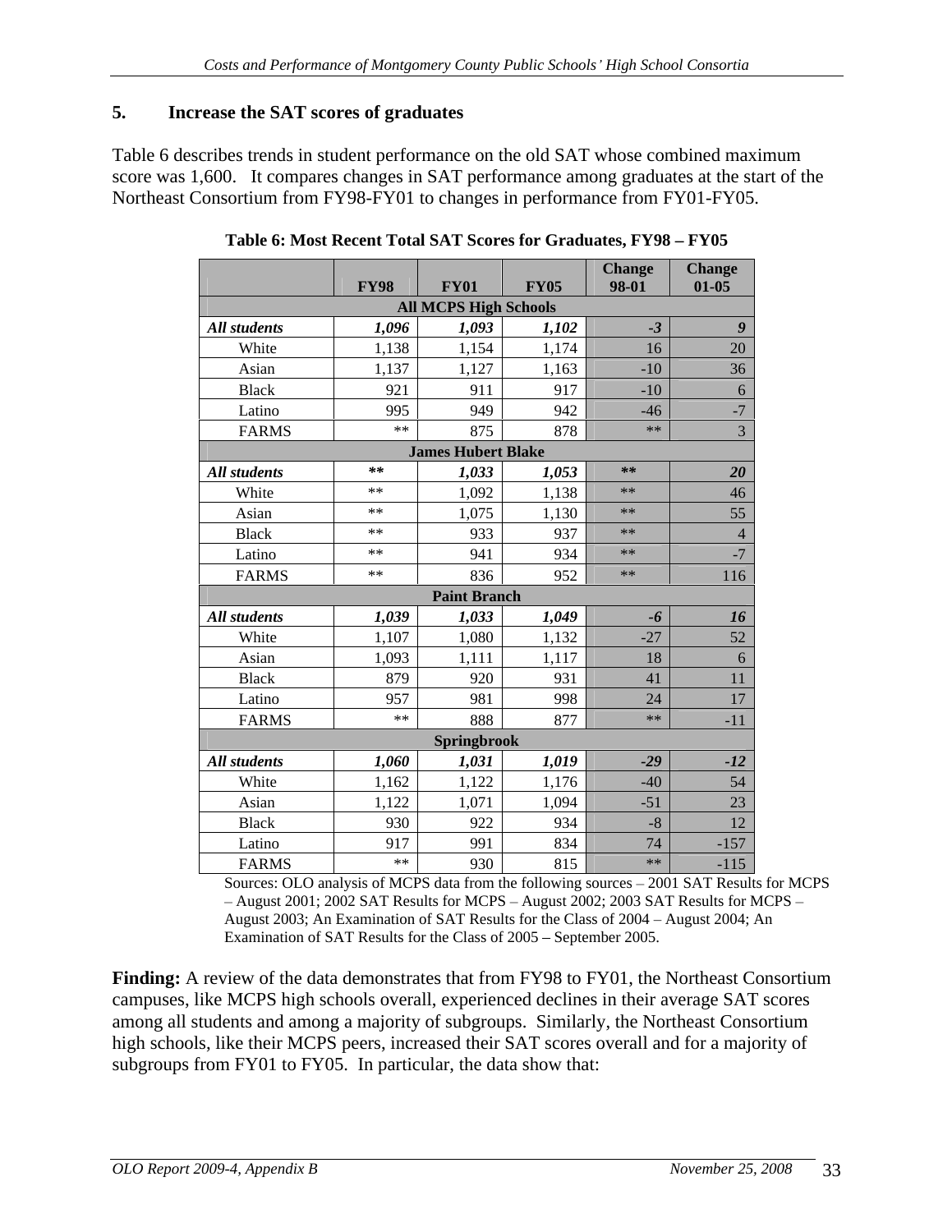# **5. Increase the SAT scores of graduates**

Table 6 describes trends in student performance on the old SAT whose combined maximum score was 1,600. It compares changes in SAT performance among graduates at the start of the Northeast Consortium from FY98-FY01 to changes in performance from FY01-FY05.

|                     |              |                                             | <b>FY05</b> | <b>Change</b><br>98-01 | <b>Change</b><br>$01-05$ |
|---------------------|--------------|---------------------------------------------|-------------|------------------------|--------------------------|
|                     | <b>FY98</b>  | <b>FY01</b><br><b>All MCPS High Schools</b> |             |                        |                          |
| All students        | 1,096        | 1,093                                       | 1,102       | $-3$                   |                          |
| White               | 1,138        | 1,154                                       | 1,174       | 16                     | 20                       |
| Asian               | 1,137        | 1,127                                       | 1,163       | $-10$                  | 36                       |
| Black               | 921          |                                             | 917         | $-10$                  |                          |
|                     |              | 911                                         |             |                        | 6                        |
| Latino              | 995<br>$***$ | 949                                         | 942         | $-46$<br>$***$         |                          |
| <b>FARMS</b>        |              | 875                                         | 878         |                        |                          |
|                     |              | <b>James Hubert Blake</b>                   |             |                        |                          |
| All students        | $**$         | 1,033                                       | 1,053       | **                     | 20                       |
| White               | $**$         | 1,092                                       | 1,138       | $**$                   | 46                       |
| Asian               | $**$         | 1,075                                       | 1,130       | $***$                  | 55                       |
| <b>Black</b>        | $***$        | 933                                         | 937         | **                     |                          |
| Latino              | $***$        | 941                                         | 934         | $**$                   | $\sqrt{ }$<br>$\equiv$ . |
| <b>FARMS</b>        | $***$        | 836                                         | 952         | $**$                   | 116                      |
|                     |              | <b>Paint Branch</b>                         |             |                        |                          |
| All students        | 1,039        | 1,033                                       | 1,049       | $-6$                   | <b>16</b>                |
| White               | 1,107        | 1,080                                       | 1,132       | $-27$                  | 52                       |
| Asian               | 1,093        | 1,111                                       | 1,117       | 18                     | 6                        |
| <b>Black</b>        | 879          | 920                                         | 931         | 41                     | 11                       |
| Latino              | 957          | 981                                         | 998         | 24                     | 17                       |
| <b>FARMS</b>        | $**$         | 888                                         | 877         | $**$                   | $-11$                    |
|                     |              | Springbrook                                 |             |                        |                          |
| <b>All students</b> | 1,060        | 1,031                                       | 1,019       | $-29$                  | $-12$                    |
| White               | 1,162        | 1,122                                       | 1,176       | $-40$                  | 54                       |
| Asian               | 1,122        | 1,071                                       | 1,094       | $-51$                  | 23                       |
| Black               | 930          | 922                                         | 934         | $-8$                   | 12                       |
| Latino              | 917          | 991                                         | 834         | 74                     | $-157$                   |
| <b>FARMS</b>        | **           | 930                                         | 815         | $***$                  | $-115$                   |

**Table 6: Most Recent Total SAT Scores for Graduates, FY98 - FY05** 

Sources: OLO analysis of MCPS data from the following sources 2001 SAT Results for MCPS  $-$  August 2001; 2002 SAT Results for MCPS  $-$  August 2002; 2003 SAT Results for MCPS  $-$ August 2003; An Examination of SAT Results for the Class of 2004 - August 2004; An Examination of SAT Results for the Class of  $2005$  – September 2005.

**Finding:** A review of the data demonstrates that from FY98 to FY01, the Northeast Consortium campuses, like MCPS high schools overall, experienced declines in their average SAT scores among all students and among a majority of subgroups. Similarly, the Northeast Consortium high schools, like their MCPS peers, increased their SAT scores overall and for a majority of subgroups from FY01 to FY05. In particular, the data show that: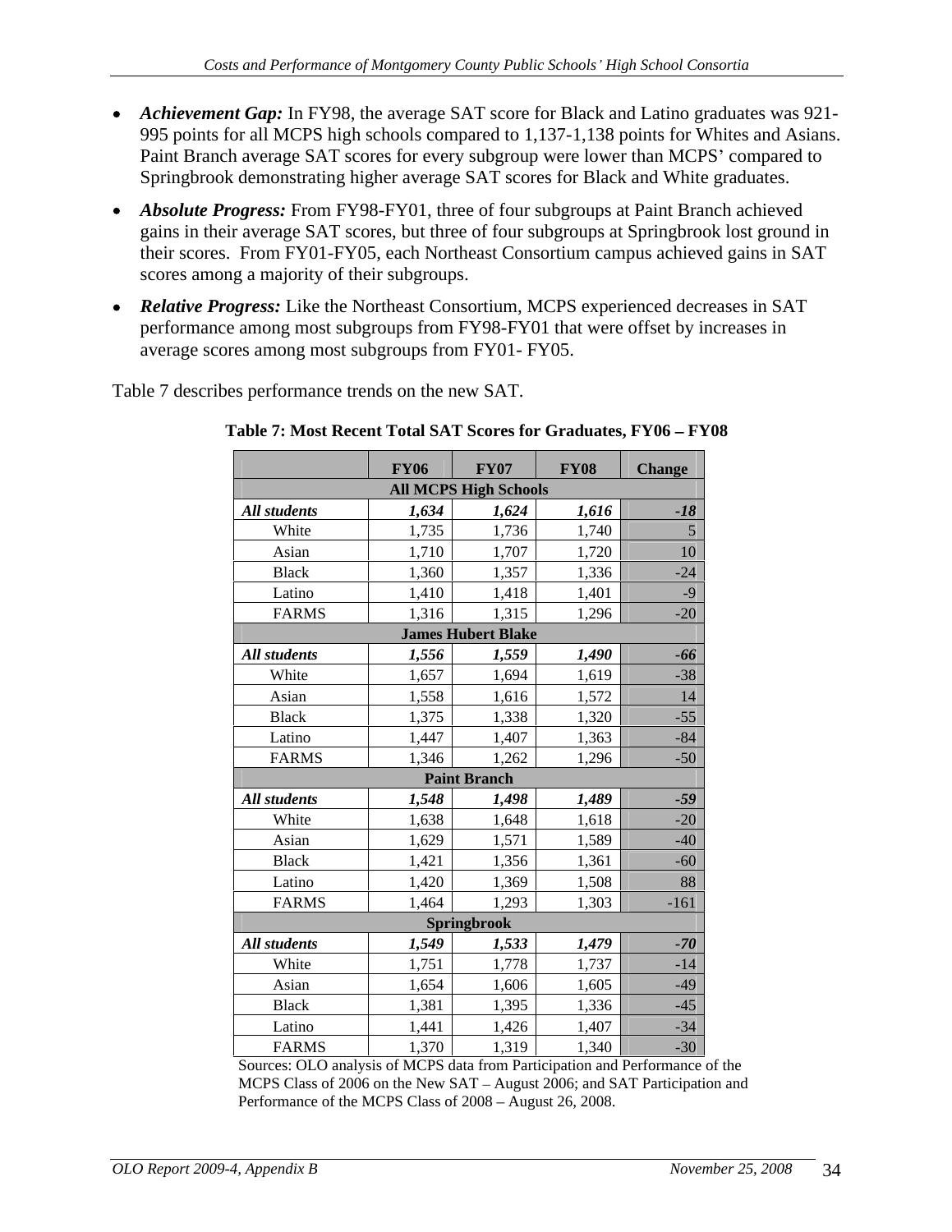- *Achievement Gap:* In FY98, the average SAT score for Black and Latino graduates was 921- 995 points for all MCPS high schools compared to 1,137-1,138 points for Whites and Asians. Paint Branch average SAT scores for every subgroup were lower than MCPS' compared to Springbrook demonstrating higher average SAT scores for Black and White graduates.
- *Absolute Progress:* From FY98-FY01, three of four subgroups at Paint Branch achieved gains in their average SAT scores, but three of four subgroups at Springbrook lost ground in their scores. From FY01-FY05, each Northeast Consortium campus achieved gains in SAT scores among a majority of their subgroups.
- *Relative Progress:* Like the Northeast Consortium, MCPS experienced decreases in SAT performance among most subgroups from FY98-FY01 that were offset by increases in average scores among most subgroups from FY01- FY05.

Table 7 describes performance trends on the new SAT.

|                     | <b>FY06</b> | <b>FY07</b>                  | <b>FY08</b> | <b>Change</b>     |
|---------------------|-------------|------------------------------|-------------|-------------------|
|                     |             | <b>All MCPS High Schools</b> |             |                   |
| <b>All students</b> | 1,634       | 1,624                        | 1,616       | $-18$             |
| White               | 1,735       | 1,736                        | 1,740       | $5\overline{)}$   |
| Asian               | 1,710       | 1,707                        | 1,720       | $10\,$            |
| <b>Black</b>        | 1,360       | 1,357                        | 1,336       | $-24$             |
| Latino              | 1,410       | 1,418                        | 1,401       | $-9$              |
| FARMS               | 1,316       | 1,315                        | 1,296       | $\overline{-20}$  |
|                     |             | <b>James Hubert Blake</b>    |             |                   |
| All students        | 1,556       | 1,559                        | 1,490       | $-66$             |
| White               | 1,657       | 1,694                        | 1,619       | $-38$             |
| Asian               | 1,558       | 1,616                        | 1,572       | 14                |
| Black               | 1,375       | 1,338                        | 1,320       | $-55$             |
| Latino              | 1,447       | 1,407                        | 1,363       | $-84$             |
| <b>FARMS</b>        | 1,346       | 1,262                        | 1,296       | $-50$             |
|                     |             | <b>Paint Branch</b>          |             |                   |
| All students        | 1,548       | 1,498                        | 1,489       | $-59$             |
| White               | 1,638       | 1,648                        | 1,618       | $-20$             |
| Asian               | 1,629       | 1,571                        | 1,589       | $-40$<br>$-60$    |
| <b>Black</b>        | 1,421       | 1,356                        | 1,361       |                   |
| Latino              | 1,420       | 1,369                        | 1,508       | 88                |
| <b>FARMS</b>        | 1,464       | 1,293                        | 1,303       | $-161$            |
|                     |             | Springbrook                  |             |                   |
| All students        | 1,549       | 1,533                        | 1,479       | $-70$             |
| White               | 1,751       | 1,778                        | 1,737       | $-14$             |
| Asian               | 1,654       | 1,606                        | 1,605       |                   |
| <b>Black</b>        | 1,381       | 1,395                        | 1,336       | $\frac{-49}{-45}$ |
| Latino              | 1,441       | 1,426                        | 1,407       | $\frac{-34}{-30}$ |
| FARMS               | 1,370       | 1,319                        | 1,340       |                   |

Table 7: Most Recent Total SAT Scores for Graduates, FY06 - FY08

Sources: OLO analysis of MCPS data from Participation and Performance of the MCPS Class of 2006 on the New SAT – August 2006; and SAT Participation and Performance of the MCPS Class of 2008 - August 26, 2008.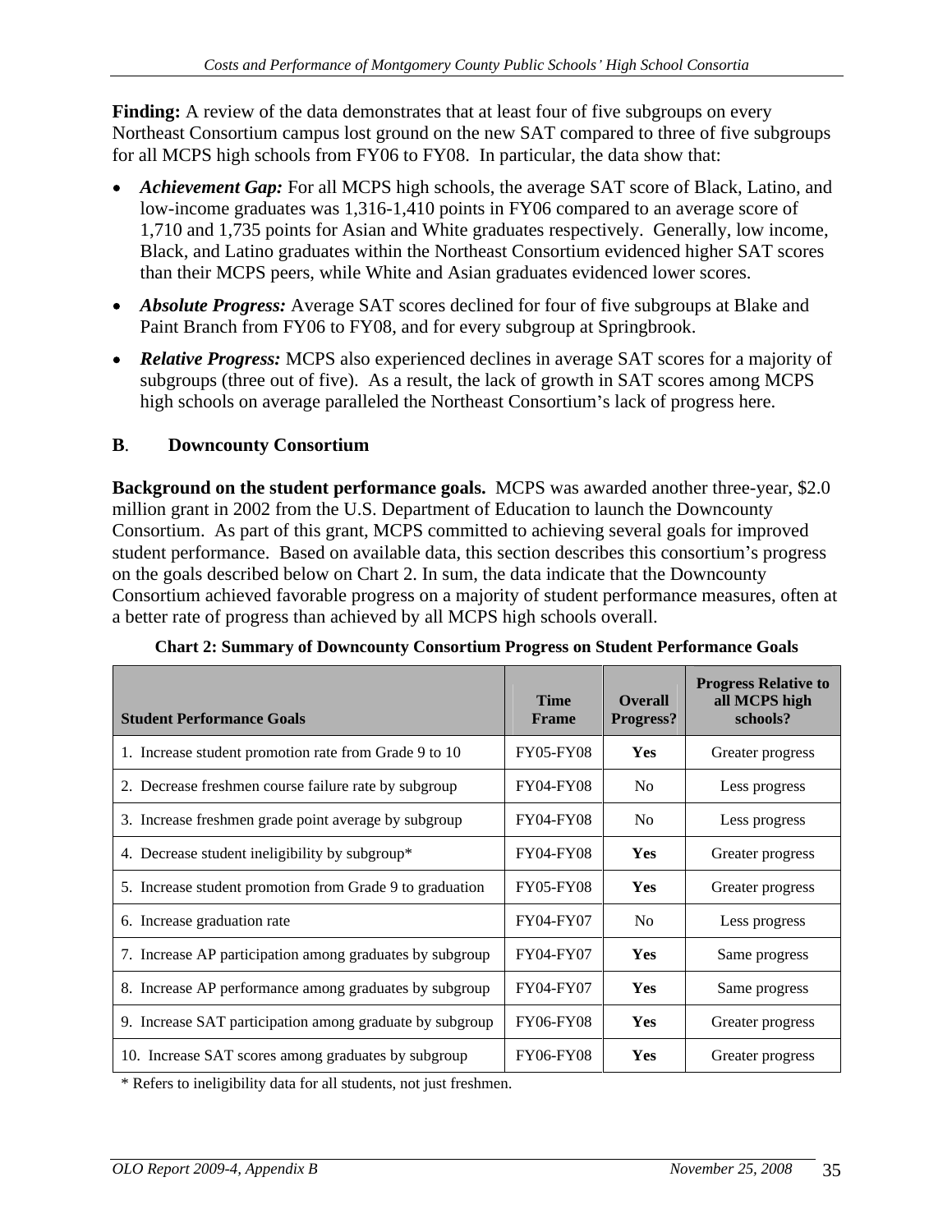**Finding:** A review of the data demonstrates that at least four of five subgroups on every Northeast Consortium campus lost ground on the new SAT compared to three of five subgroups for all MCPS high schools from FY06 to FY08. In particular, the data show that:

- *Achievement Gap:* For all MCPS high schools, the average SAT score of Black, Latino, and low-income graduates was 1,316-1,410 points in FY06 compared to an average score of 1,710 and 1,735 points for Asian and White graduates respectively. Generally, low income, Black, and Latino graduates within the Northeast Consortium evidenced higher SAT scores than their MCPS peers, while White and Asian graduates evidenced lower scores.
- *Absolute Progress:* Average SAT scores declined for four of five subgroups at Blake and Paint Branch from FY06 to FY08, and for every subgroup at Springbrook.
- *Relative Progress:* MCPS also experienced declines in average SAT scores for a majority of subgroups (three out of five). As a result, the lack of growth in SAT scores among MCPS high schools on average paralleled the Northeast Consortium's lack of progress here.

## **B**. **Downcounty Consortium**

**Background on the student performance goals.** MCPS was awarded another three-year, \$2.0 million grant in 2002 from the U.S. Department of Education to launch the Downcounty Consortium. As part of this grant, MCPS committed to achieving several goals for improved student performance. Based on available data, this section describes this consortium's progress on the goals described below on Chart 2. In sum, the data indicate that the Downcounty Consortium achieved favorable progress on a majority of student performance measures, often at a better rate of progress than achieved by all MCPS high schools overall.

| <b>Student Performance Goals</b>                         | <b>Time</b><br>Frame | <b>Overall</b><br>Progress? | <b>Progress Relative to</b><br>all MCPS high<br>schools? |
|----------------------------------------------------------|----------------------|-----------------------------|----------------------------------------------------------|
| . Increase student promotion rate from Grade 9 to 10     | <b>FY05-FY08</b>     | Yes                         | Greater progress                                         |
| 2. Decrease freshmen course failure rate by subgroup     | <b>FY04-FY08</b>     | No                          | Less progress                                            |
| 3. Increase freshmen grade point average by subgroup     | <b>FY04-FY08</b>     | <b>No</b>                   | Less progress                                            |
| 4. Decrease student ineligibility by subgroup*           | FY04-FY08            | Yes                         | Greater progress                                         |
| 5. Increase student promotion from Grade 9 to graduation | <b>FY05-FY08</b>     | Yes                         | Greater progress                                         |
| 6. Increase graduation rate                              | FY04-FY07            | N <sub>o</sub>              | Less progress                                            |
| '. Increase AP participation among graduates by subgroup | FY04-FY07            | Yes                         | Same progress                                            |
| 8. Increase AP performance among graduates by subgroup   | FY04-FY07            | Yes                         | Same progress                                            |
| 9. Increase SAT participation among graduate by subgroup | <b>FY06-FY08</b>     | Yes                         | Greater progress                                         |
| 10. Increase SAT scores among graduates by subgroup      | FY06-FY08            | Yes                         | Greater progress                                         |

**Chart 2: Summary of Downcounty Consortium Progress on Student Performance Goals**

\* Refers to ineligibility data for all students, not just freshmen.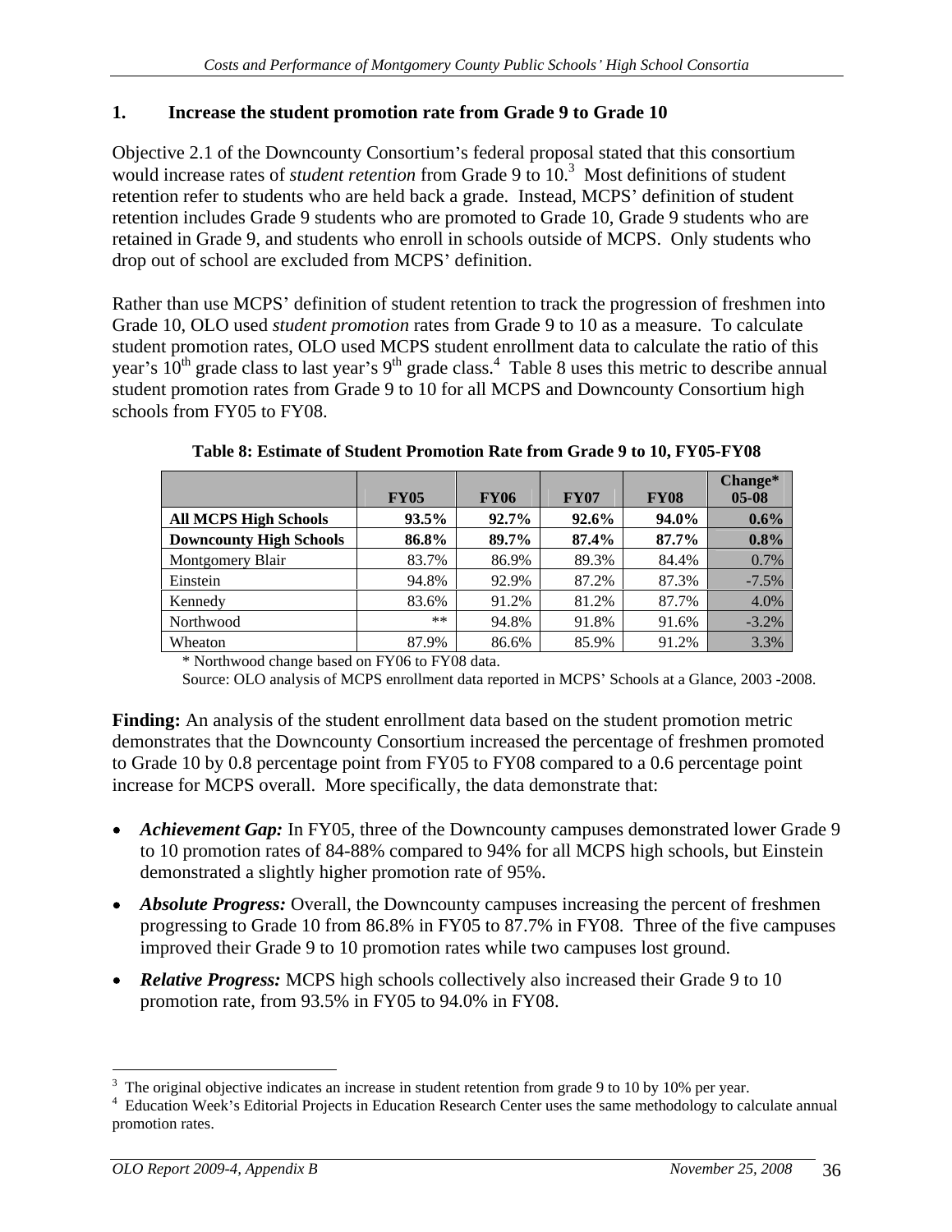### **1. Increase the student promotion rate from Grade 9 to Grade 10**

Objective 2.1 of the Downcounty Consortium's federal proposal stated that this consortium would increase rates of *student retention* from Grade 9 to 10.<sup>3</sup> Most definitions of student retention refer to students who are held back a grade. Instead, MCPS' definition of student retention includes Grade 9 students who are promoted to Grade 10, Grade 9 students who are retained in Grade 9, and students who enroll in schools outside of MCPS. Only students who drop out of school are excluded from MCPS' definition.

Rather than use MCPS' definition of student retention to track the progression of freshmen into Grade 10, OLO used *student promotion* rates from Grade 9 to 10 as a measure. To calculate student promotion rates, OLO used MCPS student enrollment data to calculate the ratio of this year's  $10^{\text{th}}$  grade class to last year's 9<sup>th</sup> grade class.<sup>4</sup> Table 8 uses this metric to describe annual student promotion rates from Grade 9 to 10 for all MCPS and Downcounty Consortium high schools from FY05 to FY08.

|                                | <b>FY05</b>   | <b>FY06</b> | <b>FY07</b> |         |             |
|--------------------------------|---------------|-------------|-------------|---------|-------------|
| <b>All MCPS High Schools</b>   | 93.5%         |             | $92.6\%$    | 94.0%   | $0.6\%$     |
| <b>Downcounty High Schools</b> | $0 \leq 00$ / |             | $87.4\%$    | 87.7%   | $0.8\%$     |
| Montgomery Blair               |               |             |             |         |             |
| Einstein                       | 94.8%         |             | 57. Z % L   | 7.3%    |             |
| Kennedv                        |               |             |             |         | $\Delta$ 0% |
| Northwood                      |               |             | IXY OI      | 1.6%    |             |
| Wheaton                        | 7.9%          | $86.6\%$    | 85.9%       | $1.2\%$ |             |

**Table 8: Estimate of Student Promotion Rate from Grade 9 to 10, FY05-FY08** 

\* Northwood change based on FY06 to FY08 data.

Source: OLO analysis of MCPS enrollment data reported in MCPS' Schools at a Glance, 2003 -2008.

**Finding:** An analysis of the student enrollment data based on the student promotion metric demonstrates that the Downcounty Consortium increased the percentage of freshmen promoted to Grade 10 by 0.8 percentage point from FY05 to FY08 compared to a 0.6 percentage point increase for MCPS overall. More specifically, the data demonstrate that:

- Achievement Gap: In FY05, three of the Downcounty campuses demonstrated lower Grade 9 to 10 promotion rates of 84-88% compared to 94% for all MCPS high schools, but Einstein demonstrated a slightly higher promotion rate of 95%.
- *Absolute Progress:* Overall, the Downcounty campuses increasing the percent of freshmen progressing to Grade 10 from 86.8% in FY05 to 87.7% in FY08. Three of the five campuses improved their Grade 9 to 10 promotion rates while two campuses lost ground.
- *Relative Progress:* MCPS high schools collectively also increased their Grade 9 to 10 promotion rate, from 93.5% in FY05 to 94.0% in FY08.

The original objective indicates an increase in student retention from grade 9 to 10 by 10% per year.

Education Week's Editorial Projects in Education Research Center uses the same methodology to calculate annual promotion rates.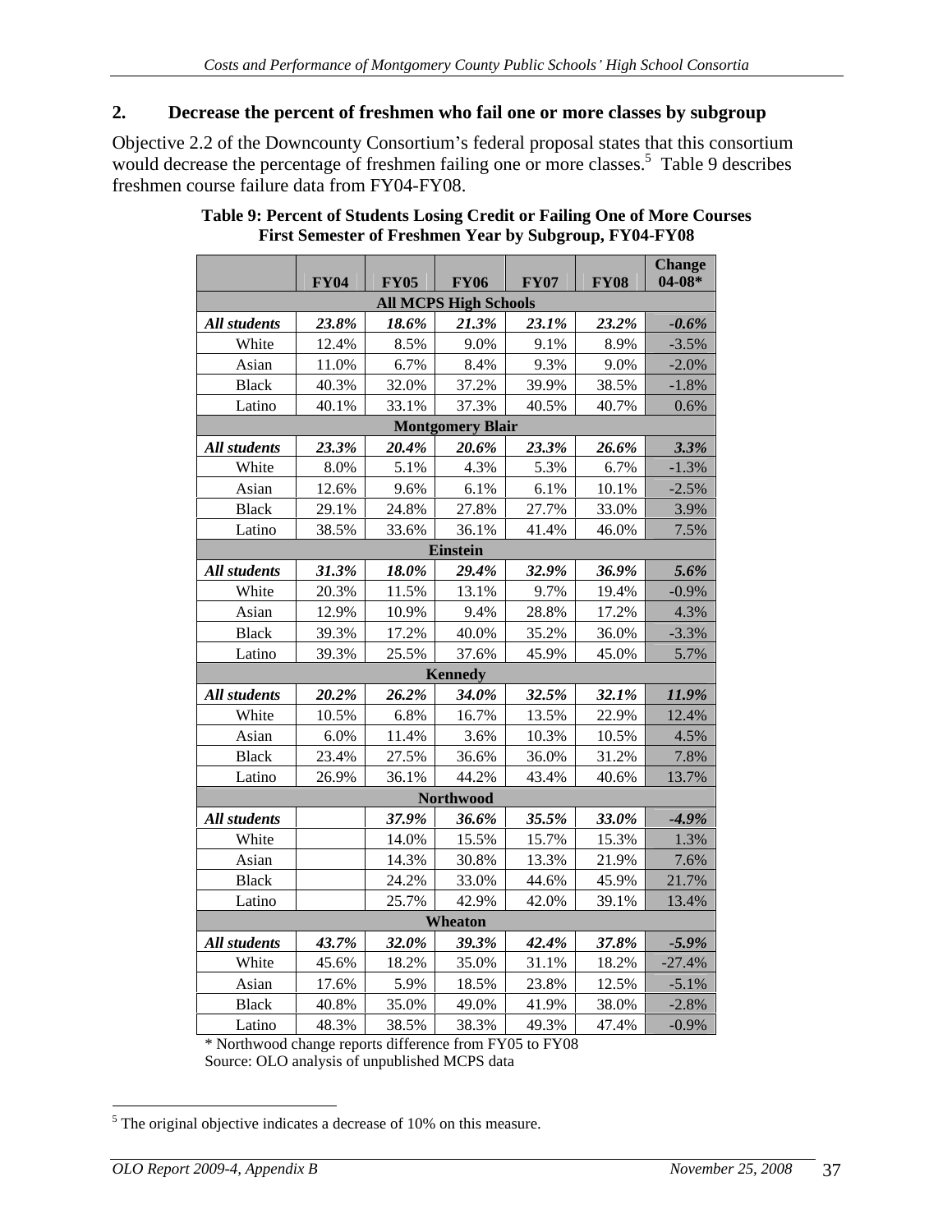#### **2. Decrease the percent of freshmen who fail one or more classes by subgroup**

Objective 2.2 of the Downcounty Consortium's federal proposal states that this consortium would decrease the percentage of freshmen failing one or more classes.<sup>5</sup> Table 9 describes freshmen course failure data from FY04-FY08.

|              |         |                                              |                         |             | <b>EX04</b> FY05 FY06 FY07 FY08 Change |          |
|--------------|---------|----------------------------------------------|-------------------------|-------------|----------------------------------------|----------|
|              |         | <b>All MCPS High Schools</b>                 |                         |             |                                        |          |
| All students |         | $23.8\%$ $18.6\%$ $21.3\%$ $23.1\%$ $23.2\%$ |                         |             |                                        | $-0.6\%$ |
| White        | 12.4%   | 8.5%                                         | 9.0%                    |             | 9.1% 8.9%                              | $-3.5%$  |
| Asian        | 11.0%   | 6.7%                                         | 8.4%                    |             | $9.3\%$ $9.0\%$ $-2.0\%$               |          |
| <b>Black</b> |         | 40.3% 32.0% 37.2%                            |                         |             | 39.9% 38.5% -1.8%                      |          |
| Latino       |         |                                              |                         |             | 40.1% 33.1% 37.3% 40.5% 40.7% 0.6%     |          |
|              |         |                                              | <b>Montgomery Blair</b> |             |                                        |          |
| All students |         | $23.3\%$ 20.4% 20.6%                         |                         |             | $23.3\%$ 26.6%                         | 3.3%     |
| White        | 8.0%    |                                              | 5.1% 4.3%               |             | 5.3% 6.7%                              | $-1.3\%$ |
|              | 12.6%   | 9.6%                                         | 6.1%                    |             | 6.1% 10.1%                             |          |
| Asian        |         | 29.1% 24.8% 27.8%                            |                         | 27.7% 33.0% |                                        | $-2.5\%$ |
| Black        |         |                                              |                         |             |                                        | 3.9%     |
| Latino       |         |                                              | Einstein                |             | $38.5\%$ 33.6% 36.1% 41.4% 46.0% 7.5%  |          |
| All students |         | $31.3\%$ $18.0\%$ $29.4\%$                   |                         |             | $32.9\%$ 36.9%                         | 5.6%     |
| White        |         | 20.3% 11.5% 13.1%                            |                         |             | 9.7% 19.4%                             | $-0.9\%$ |
|              | 12.9%   |                                              | 9.4%                    |             |                                        |          |
| Asian        |         | 10.9%                                        |                         | 28.8% 17.2% |                                        | 4.3%     |
| Black        | 39.3%   | 17.2%                                        | 40.0%                   |             | 35.2% 36.0%                            | $-3.3\%$ |
| Latino       |         |                                              |                         |             | 39.3% 25.5% 37.6% 45.9% 45.0% 5.7%     |          |
|              |         |                                              | Kennedy                 |             | $32.5\%$ $32.1\%$ $11.9\%$             |          |
| All students |         | $20.2\%$ 26.2% 34.0%                         | 6.8% 16.7%              |             |                                        |          |
| White        | 10.5%   |                                              |                         |             | 13.5% 22.9% 12.4%                      |          |
| Asian        | $6.0\%$ | 11.4%                                        | 3.6%                    |             | 10.3% 10.5% 4.5%                       |          |
| <b>Black</b> |         | 23.4% 27.5% 36.6%                            |                         | 36.0% 31.2% |                                        | 7.8%     |
| Latino       |         |                                              |                         |             | 26.9% 36.1% 44.2% 43.4% 40.6% 13.7%    |          |
|              |         |                                              | Northwood               |             |                                        |          |
| All students |         | 37.9% 36.6%                                  |                         |             | $35.5\%$ $33.0\%$ $-4.9\%$             |          |
| White        |         | 14.0% 15.5%                                  |                         |             | 15.7% 15.3%                            | 1.3%     |
| Asian        |         | 14.3% 30.8%                                  |                         |             | 13.3% 21.9%                            | 7.6%     |
| Black        |         | 24.2%                                        | 33.0%                   |             | 44.6% 45.9% 21.7%                      |          |
| Latino       |         | 25.7%                                        | 42.9%                   |             | 42.0% 39.1% 13.4%                      |          |
|              |         |                                              | Wheaton                 |             |                                        |          |
| All students |         | $43.7\%$ 32.0% 39.3%                         |                         |             | $42.4\%$ $37.8\%$ $-5.9\%$             |          |
| White        |         | 45.6% 18.2% 35.0%                            |                         |             | 31.1% 18.2% -27.4%                     |          |
| Asian        | 17.6%   | 5.9%                                         | 18.5%                   | 23.8% 12.5% |                                        | $-5.1\%$ |
| Black        | 40.8%   | 35.0%                                        | 49.0%                   | 41.9% 38.0% |                                        | $-2.8\%$ |
| Latino       |         |                                              |                         |             | 48.3% 38.5% 38.3% 49.3% 47.4% -0.9%    |          |

#### **Table 9: Percent of Students Losing Credit or Failing One of More Courses First Semester of Freshmen Year by Subgroup, FY04-FY08**

\* Northwood change reports difference from FY05 to FY08 Source: OLO analysis of unpublished MCPS data

<sup>&</sup>lt;sup>5</sup> The original objective indicates a decrease of 10% on this measure.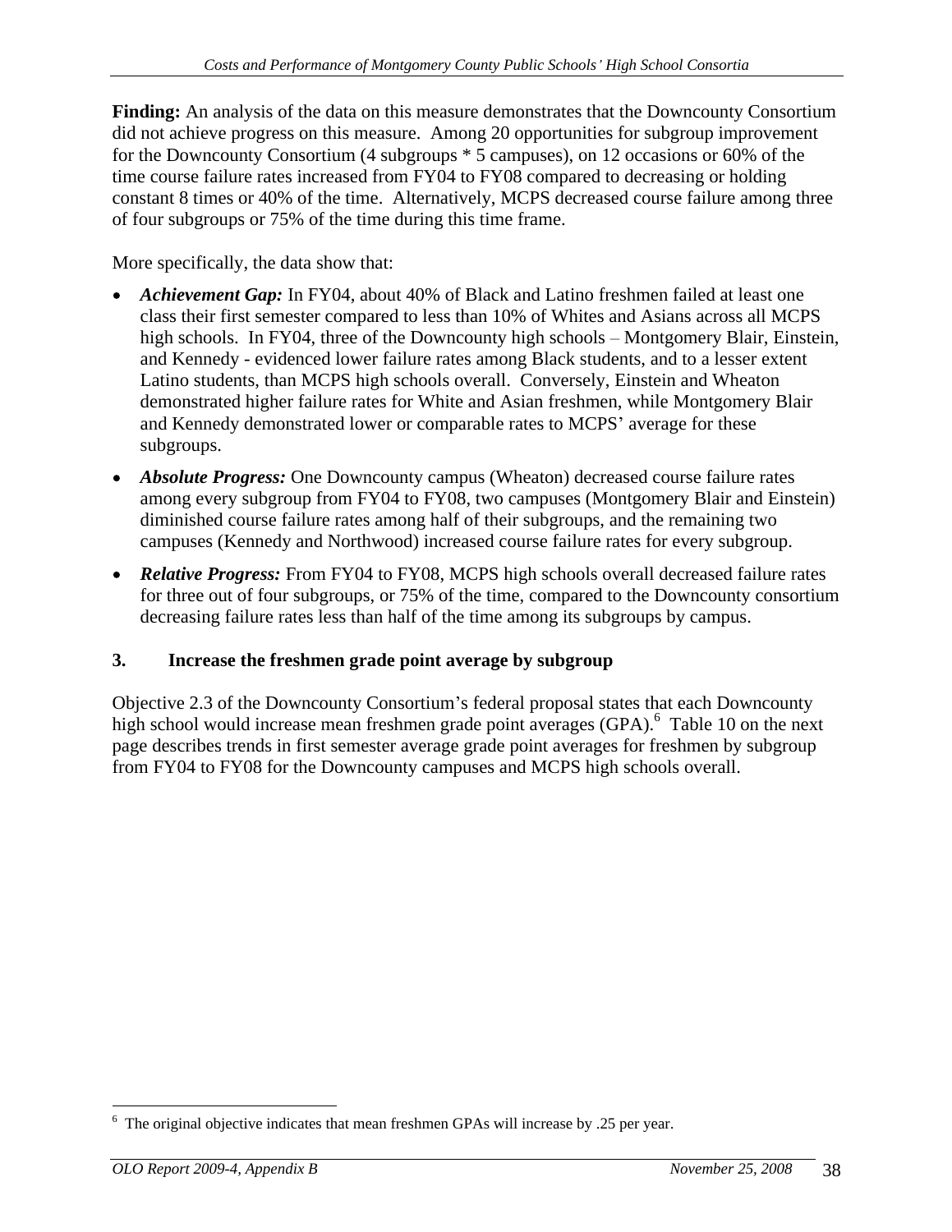**Finding:** An analysis of the data on this measure demonstrates that the Downcounty Consortium did not achieve progress on this measure. Among 20 opportunities for subgroup improvement for the Downcounty Consortium (4 subgroups \* 5 campuses), on 12 occasions or 60% of the time course failure rates increased from FY04 to FY08 compared to decreasing or holding constant 8 times or 40% of the time. Alternatively, MCPS decreased course failure among three of four subgroups or 75% of the time during this time frame.

More specifically, the data show that:

- *Achievement Gap:* In FY04, about 40% of Black and Latino freshmen failed at least one class their first semester compared to less than 10% of Whites and Asians across all MCPS high schools. In FY04, three of the Downcounty high schools – Montgomery Blair, Einstein, and Kennedy - evidenced lower failure rates among Black students, and to a lesser extent Latino students, than MCPS high schools overall. Conversely, Einstein and Wheaton demonstrated higher failure rates for White and Asian freshmen, while Montgomery Blair and Kennedy demonstrated lower or comparable rates to MCPS' average for these subgroups. The state of the state of the state of the state of the state of the state of the state of the state of the state of the state of the state of the state of the state of the state of the state of the state of the
- *Absolute Progress:* One Downcounty campus (Wheaton) decreased course failure rates among every subgroup from FY04 to FY08, two campuses (Montgomery Blair and Einstein) diminished course failure rates among half of their subgroups, and the remaining two campuses (Kennedy and Northwood) increased course failure rates for every subgroup.
- *Relative Progress:* From FY04 to FY08, MCPS high schools overall decreased failure rates for three out of four subgroups, or 75% of the time, compared to the Downcounty consortium decreasing failure rates less than half of the time among its subgroups by campus.

## **3. Increase the freshmen grade point average by subgroup**

Objective 2.3 of the Downcounty Consortium's federal proposal states that each Downcounty high school would increase mean freshmen grade point averages (GPA).<sup>6</sup> Table 10 on the next page describes trends in first semester average grade point averages for freshmen by subgroup from FY04 to FY08 for the Downcounty campuses and MCPS high schools overall.

<sup>&</sup>lt;sup>6</sup> The original objective indicates that mean freshmen GPAs will increase by .25 per year.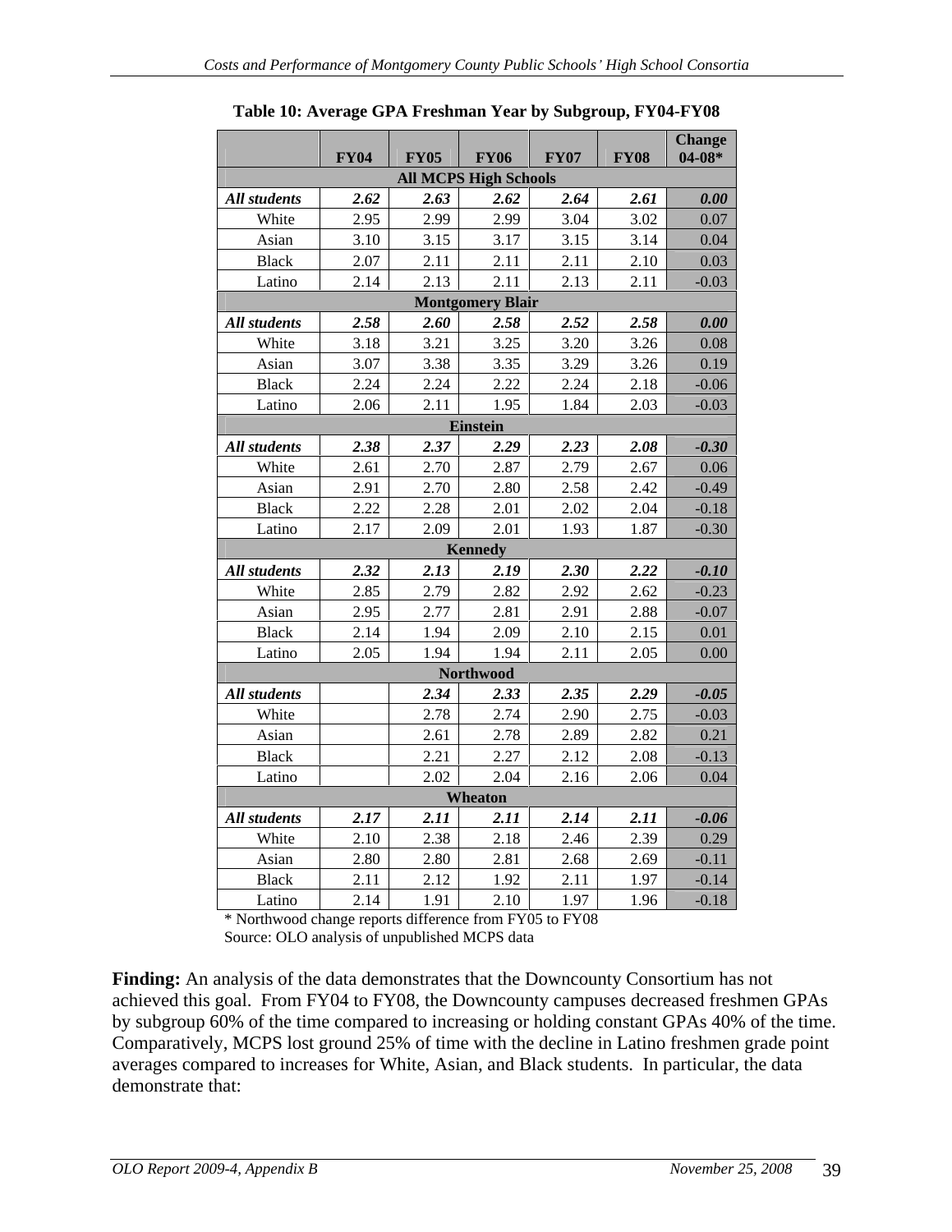|                 | <b>FY04</b> | <b>FY05</b>  | <b>FY06</b>                  | <b>FY07</b>  | <b>FY08</b>  | <b>Change</b><br>$04-08*$ |
|-----------------|-------------|--------------|------------------------------|--------------|--------------|---------------------------|
|                 |             |              | <b>All MCPS High Schools</b> |              |              |                           |
| All students    | 2.62        | 2.63         | 2.62                         | 2.64         | 2.61         | 0.00                      |
| White           | 2.95        | 2.99         | 2.99                         | 3.04         | 3.02         | 0.07                      |
| Asian           | 3.10        | 3.15         | 3.17                         | 3.15         | 3.14         | 0.04                      |
| Black           | 2.07        | 2.11         | 2.11                         | 2.11         | 2.10         | 0.03                      |
| Latino          | 2.14        | 2.13         | 2.11                         | 2.13         | 2.11         | $-0.03$                   |
|                 |             |              | <b>Montgomery Blair</b>      |              |              |                           |
| All students    | 2.58        | 2.60         | 2.58                         | 2.52         | 2.58         | 0.00                      |
| White           | 3.18        | 3.21         | 3.25                         | 3.20         | 3.26         | 0.08                      |
| Asian           | 3.07        | 3.38         | 3.35                         | 3.29         | 3.26         | 0.19                      |
| Black           | 2.24        | 2.24         | 2.22                         | 2.24         | 2.18         | $-0.06$                   |
| Latino          | 2.06        | 2.11         | 1.95                         | 1.84         | 2.03         | $-0.03$                   |
|                 |             |              | Einstein                     |              |              |                           |
| All students    | 2.38        | 2.37         | 2.29                         | 2.23         | 2.08         | $-0.30$                   |
| White           | 2.61        | 2.70         | 2.87                         | 2.79         | 2.67         | 0.06                      |
| Asian           | 2.91        | 2.70         | 2.80                         | 2.58         | 2.42         | $-0.49$                   |
| Black           | 2.22        | 2.28         | 2.01                         | 2.02         | 2.04         | $-0.18$                   |
| Latino          | 2.17        | 2.09         | 2.01                         | 1.93         | 1.87         | $-0.30$                   |
|                 |             |              | Kennedy                      |              |              |                           |
| All students    | 2.32        | 2.13         | 2.19                         | 2.30         | 2.22         | $-0.10$                   |
| White           | 2.85        | 2.79         | 2.82                         | 2.92         | 2.62         | $-0.23$                   |
| Asian           | 2.95        | 2.77         | 2.81                         | 2.91         | 2.88         | $-0.07$                   |
| Black           | 2.14        | 1.94         | 2.09                         | 2.10         | 2.15         | 0.01                      |
| Latino          | 2.05        | 1.94         | 1.94                         | 2.11         | 2.05         | 0.00                      |
|                 |             |              | Northwood                    |              |              |                           |
| All students    |             | 2.34         | 2.33                         | 2.35         | 2.29         | $-0.05$                   |
| White           |             | 2.78         | 2.74                         | 2.90         | 2.75         | $-0.03$                   |
| Asian           |             | 2.61         | 2.78                         | 2.89         | 2.82<br>2.08 | 0.21                      |
| Black<br>Latino |             | 2.21<br>2.02 | 2.27<br>2.04                 | 2.12<br>2.16 | 2.06         | $-0.13$<br>0.04           |
|                 |             |              | Wheaton                      |              |              |                           |
| All students    | 2.17        | 2.11         | 2.11                         | 2.14         | 2.11         | $-0.06$                   |
| White           | 2.10        | 2.38         | 2.18                         | 2.46         | 2.39         | 0.29                      |
| Asian           | 2.80        | 2.80         | 2.81                         | 2.68         | 2.69         | $-0.11$                   |
| Black           | 2.11        | 2.12         | 1.92                         | 2.11         | 1.97         | $-0.14$                   |
| Latino          | 2.14        | 1.91         | 2.10                         | 1.97         | 1.96         | $-0.18$                   |

**Table 10: Average GPA Freshman Year by Subgroup, FY04-FY08**

\* Northwood change reports difference from FY05 to FY08 Source: OLO analysis of unpublished MCPS data

**Finding:** An analysis of the data demonstrates that the Downcounty Consortium has not achieved this goal. From FY04 to FY08, the Downcounty campuses decreased freshmen GPAs by subgroup 60% of the time compared to increasing or holding constant GPAs 40% of the time. Comparatively, MCPS lost ground 25% of time with the decline in Latino freshmen grade point averages compared to increases for White, Asian, and Black students. In particular, the data demonstrate that: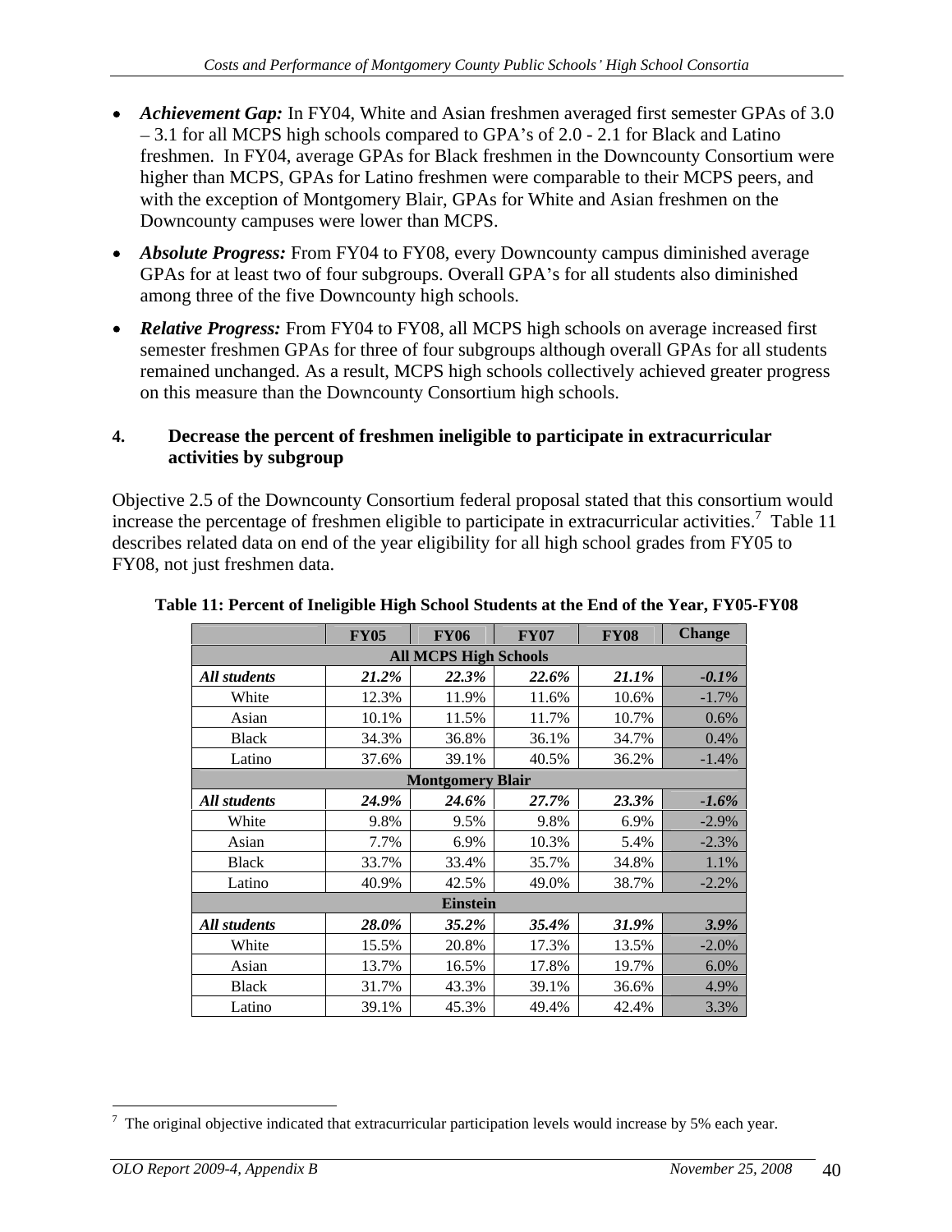- *Achievement Gap:* In FY04, White and Asian freshmen averaged first semester GPAs of 3.0  $-3.1$  for all MCPS high schools compared to GPA's of 2.0 - 2.1 for Black and Latino freshmen. In FY04, average GPAs for Black freshmen in the Downcounty Consortium were higher than MCPS, GPAs for Latino freshmen were comparable to their MCPS peers, and with the exception of Montgomery Blair, GPAs for White and Asian freshmen on the Downcounty campuses were lower than MCPS.
- *Absolute Progress:* From FY04 to FY08, every Downcounty campus diminished average GPAs for at least two of four subgroups. Overall GPA's for all students also diminished among three of the five Downcounty high schools.
- *Relative Progress:* From FY04 to FY08, all MCPS high schools on average increased first semester freshmen GPAs for three of four subgroups although overall GPAs for all students remained unchanged. As a result, MCPS high schools collectively achieved greater progress on this measure than the Downcounty Consortium high schools.

### **4. Decrease the percent of freshmen ineligible to participate in extracurricular activities by subgroup**

Objective 2.5 of the Downcounty Consortium federal proposal stated that this consortium would increase the percentage of freshmen eligible to participate in extracurricular activities.<sup>7</sup> Table 11 Table 11 describes related data on end of the year eligibility for all high school grades from FY05 to FY08, not just freshmen data.

|              | FY05     | <b>FY06</b>                  | FY07  | <b>FY08</b> | Change   |
|--------------|----------|------------------------------|-------|-------------|----------|
|              |          | <b>All MCPS High Schools</b> |       |             |          |
| All students | $21.2\%$ | 22.3%                        | 22.6% | $21.1\%$    | $-0.1\%$ |
| White        | 12.3%    | 11.9%                        | 11.6% | 10.6%       | $-1.7%$  |
| Asian        | 10.1%    | 11.5%                        | 11.7% | 10.7%       | 0.6%     |
| <b>Black</b> | 34.3%    | 36.8%                        | 36.1% | 34.7%       | 0.4%     |
| Latino       | 37.6%    | 39.1%                        | 40.5% | 36.2%       | $-1.4%$  |
|              |          | <b>Montgomery Blair</b>      |       |             |          |
| All students | 24.9%    | 24.6%                        | 27.7% | 23.3%       | $-1.6\%$ |
| White        | 9.8%     | 9.5%                         | 9.8%  | $6.9\%$     | $-2.9%$  |
| Asian        | 7.7%     | 6.9%                         | 10.3% | $5.4\%$     | $-2.3%$  |
| <b>Black</b> | 33.7%    | 33.4%                        | 35.7% | 34.8%       | 1.1%     |
| Latino       | 40.9%    | 42.5%                        | 49.0% | 38.7%       | $-2.2%$  |
|              |          | Einstein                     |       |             |          |
| All students | $28.0\%$ | 35.2%                        | 35.4% | $31.9\%$    | 3.9%     |
| White        | 15.5%    | 20.8%                        | 17.3% | 13.5%       | $-2.0%$  |
| Asian        | 13.7%    | 16.5%                        | 17.8% | 19.7%       | 6.0%     |
| <b>Black</b> | 31.7%    | 43.3%                        | 39.1% | 36.6%       | 4.9%     |
| Latino       | 39.1%    | 45.3%                        | 49.4% | 42.4%       | 3.3%     |

#### **Table 11: Percent of Ineligible High School Students at the End of the Year, FY05-FY08**

<sup>&</sup>lt;sup>7</sup> The original objective indicated that extracurricular participation levels would increase by 5% each year.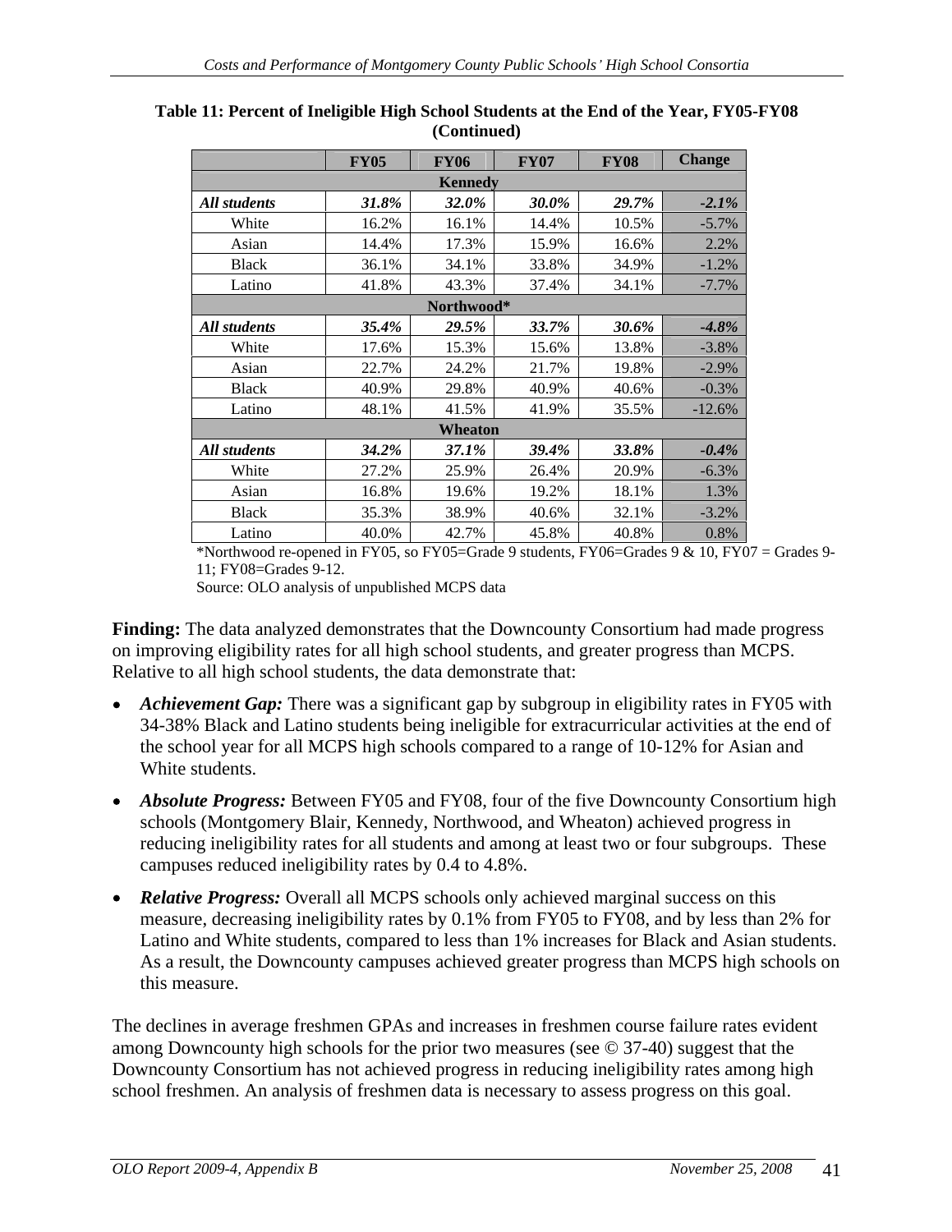|              |          |            | FY05   FY06   FY07   FY08   Change |          |          |
|--------------|----------|------------|------------------------------------|----------|----------|
|              |          | Kennedy    |                                    |          |          |
| All students | $31.8\%$ | 32.0%      | 30.0%                              | 29.7%    | $-2.1%$  |
| White        | 16.2%    | 16.1%      | 14.4%                              | 10.5%    | $-5.7%$  |
| Asian        | 14.4%    | 17.3%      | 15.9%                              | 16.6%    | 2.2%     |
| <b>Black</b> | 36.1%    | 34.1%      | 33.8%                              | 34.9%    | $-1.2%$  |
| Latino       | 41.8%    | 43.3%      | 37.4%                              | 34.1%    | $-7.7%$  |
|              |          | Northwood* |                                    |          |          |
| All students | 35.4%    | 29.5%      | 33.7%                              | $30.6\%$ | $-4.8%$  |
| White        | 17.6%    | 15.3%      | 15.6%                              | 13.8%    | $-3.8%$  |
| Asian        | 22.7%    | 24.2%      | 21.7%                              | 19.8%    | $-2.9%$  |
| <b>Black</b> | 40.9%    | 29.8%      | 40.9%                              | 40.6%    | $-0.3%$  |
| Latino       | 48.1%    | 41.5%      | 41.9%                              | 35.5%    | $-12.6%$ |
|              |          | Wheaton    |                                    |          |          |
| All students | 34.2%    | 37.1%      | $39.4\%$                           | 33.8%    | $-0.4%$  |
| White        | 27.2%    | 25.9%      | 26.4%                              | 20.9%    | $-6.3%$  |
| Asian        | 16.8%    | 19.6%      | 19.2%                              | 18.1%    | 1.3%     |
| <b>Black</b> | 35.3%    | 38.9%      | 40.6%                              | 32.1%    | $-3.2%$  |
| Latino       | 40.0%    | 42.7%      | 45.8%                              | 40.8%    | 0.8%     |

**Table 11: Percent of Ineligible High School Students at the End of the Year, FY05-FY08 (Continued)**

\*Northwood re-opened in FY05, so FY05=Grade 9 students, FY06=Grades 9  $\&$  10, FY07 = Grades 9-11; FY08=Grades 9-12.

Source: OLO analysis of unpublished MCPS data

**Finding:** The data analyzed demonstrates that the Downcounty Consortium had made progress on improving eligibility rates for all high school students, and greater progress than MCPS. Relative to all high school students, the data demonstrate that:

- *Achievement Gap:* There was a significant gap by subgroup in eligibility rates in FY05 with 34-38% Black and Latino students being ineligible for extracurricular activities at the end of the school year for all MCPS high schools compared to a range of 10-12% for Asian and White students. White students.
- *Absolute Progress:* Between FY05 and FY08, four of the five Downcounty Consortium high schools (Montgomery Blair, Kennedy, Northwood, and Wheaton) achieved progress in reducing ineligibility rates for all students and among at least two or four subgroups. These campuses reduced ineligibility rates by 0.4 to 4.8%.
- *Relative Progress:* Overall all MCPS schools only achieved marginal success on this measure, decreasing ineligibility rates by 0.1% from FY05 to FY08, and by less than 2% for Latino and White students, compared to less than 1% increases for Black and Asian students. As a result, the Downcounty campuses achieved greater progress than MCPS high schools on this measure.

The declines in average freshmen GPAs and increases in freshmen course failure rates evident among Downcounty high schools for the prior two measures (see © 37-40) suggest that the Downcounty Consortium has not achieved progress in reducing ineligibility rates among high school freshmen. An analysis of freshmen data is necessary to assess progress on this goal.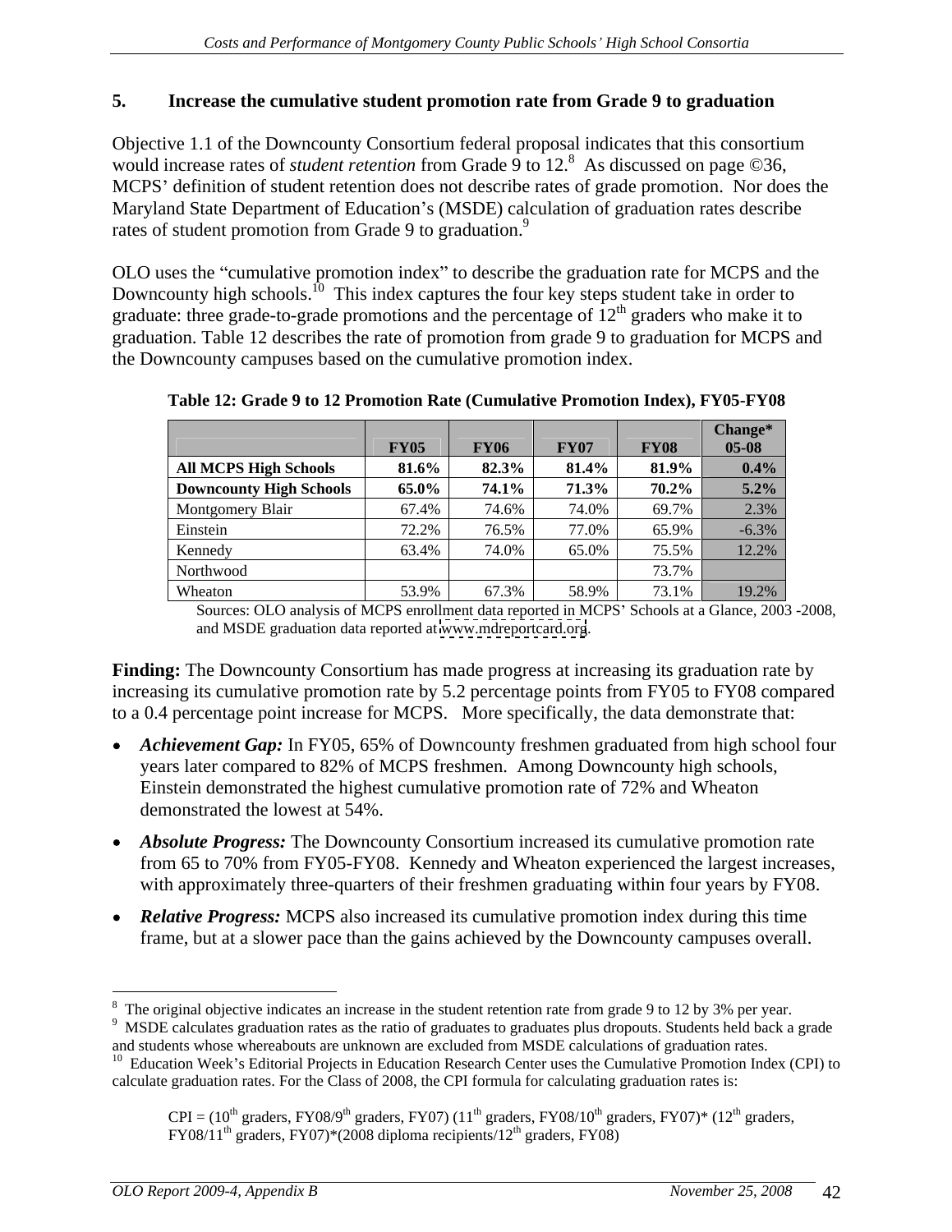### **5. Increase the cumulative student promotion rate from Grade 9 to graduation**

Objective 1.1 of the Downcounty Consortium federal proposal indicates that this consortium would increase rates of *student retention* from Grade 9 to 12.<sup>8</sup> As discussed on page ©36, MCPS' definition of student retention does not describe rates of grade promotion. Nor does the Maryland State Department of Education's (MSDE) calculation of graduation rates describe rates of student promotion from Grade 9 to graduation.<sup>9</sup>

rates of student promotion from Grade 9 to graduation.<sup>9</sup><br>OLO uses the "cumulative promotion index" to describe the graduation rate for MCPS and the Downcounty high schools.<sup>10</sup> This index captures the four key steps student take in order to graduate: three grade-to-grade promotions and the percentage of  $12<sup>th</sup>$  graders who make it to graduation. Table 12 describes the rate of promotion from grade 9 to graduation for MCPS and the Downcounty campuses based on the cumulative promotion index.

|                                | <b>FY05</b> | <b>FY06</b> | FY07    | FY08  | 05-08   |
|--------------------------------|-------------|-------------|---------|-------|---------|
| <b>All MCPS High Schools</b>   | $81.6\%$    | 82.3%       | 81.4% L | 81.9% | $0.4\%$ |
| <b>Downcounty High Schools</b> |             |             |         |       | $5.2\%$ |
| Montgomery Blair               |             |             |         |       |         |
| Einsteir                       |             |             |         |       |         |
| Kennedy                        |             |             |         |       |         |
| Northwood                      |             |             |         |       |         |
| Wheaton                        |             |             | 58.9%   |       | 19.2%   |

**Table 12: Grade 9 to 12 Promotion Rate (Cumulative Promotion Index), FY05-FY08** 

Sources: OLO analysis of MCPS enrollment data reported in MCPS' Schools at a Glance, 2003 -2008, and MSDE graduation data reported at [www.mdreportcard.org](http://www.mdreportcard.org).

**Finding:** The Downcounty Consortium has made progress at increasing its graduation rate by increasing its cumulative promotion rate by 5.2 percentage points from FY05 to FY08 compared to a 0.4 percentage point increase for MCPS. More specifically, the data demonstrate that:

- Achievement Gap: In FY05, 65% of Downcounty freshmen graduated from high school four years later compared to 82% of MCPS freshmen. Among Downcounty high schools, Einstein demonstrated the highest cumulative promotion rate of 72% and Wheaton demonstrated the lowest at 54%.
- *Absolute Progress:* The Downcounty Consortium increased its cumulative promotion rate from 65 to 70% from FY05-FY08. Kennedy and Wheaton experienced the largest increases, with approximately three-quarters of their freshmen graduating within four years by FY08.
- *Relative Progress:* MCPS also increased its cumulative promotion index during this time frame, but at a slower pace than the gains achieved by the Downcounty campuses overall.

 $\frac{8 \text{ The original choice in the graph of the graph of the graph of the graph of the graph of the graph of the graph of the graph of the graph.}$ <sup>8</sup> The original objective indicates an increase in the student retention rate from grade 9 to 12 by 3% per year.  $9.98 \times 10^{-9}$  MSDE calculates are duation rates as the ratio of graduates to graduates plus drepouts. Stud

<sup>&</sup>lt;sup>9</sup> MSDE calculates graduation rates as the ratio of graduates to graduates plus dropouts. Students held back a grade and students whose whereabouts are unknown are excluded from MSDE calculations of graduation rates.

 $10$  Education Week's Editorial Projects in Education Research Center uses the Cumulative Promotion Index (CPI) to calculate graduation rates. For the Class of 2008, the CPI formula for calculating graduation rates is:

 $CPI = (10<sup>th</sup> graders, FY08/9<sup>th</sup> graders, FY07) (11<sup>th</sup> graders, FY08/10<sup>th</sup> graders, FY07)* (12<sup>th</sup> graders,$  $FY08/11<sup>th</sup>$  graders,  $FY07)*(2008$  diploma recipients/12<sup>th</sup> graders,  $FY08)$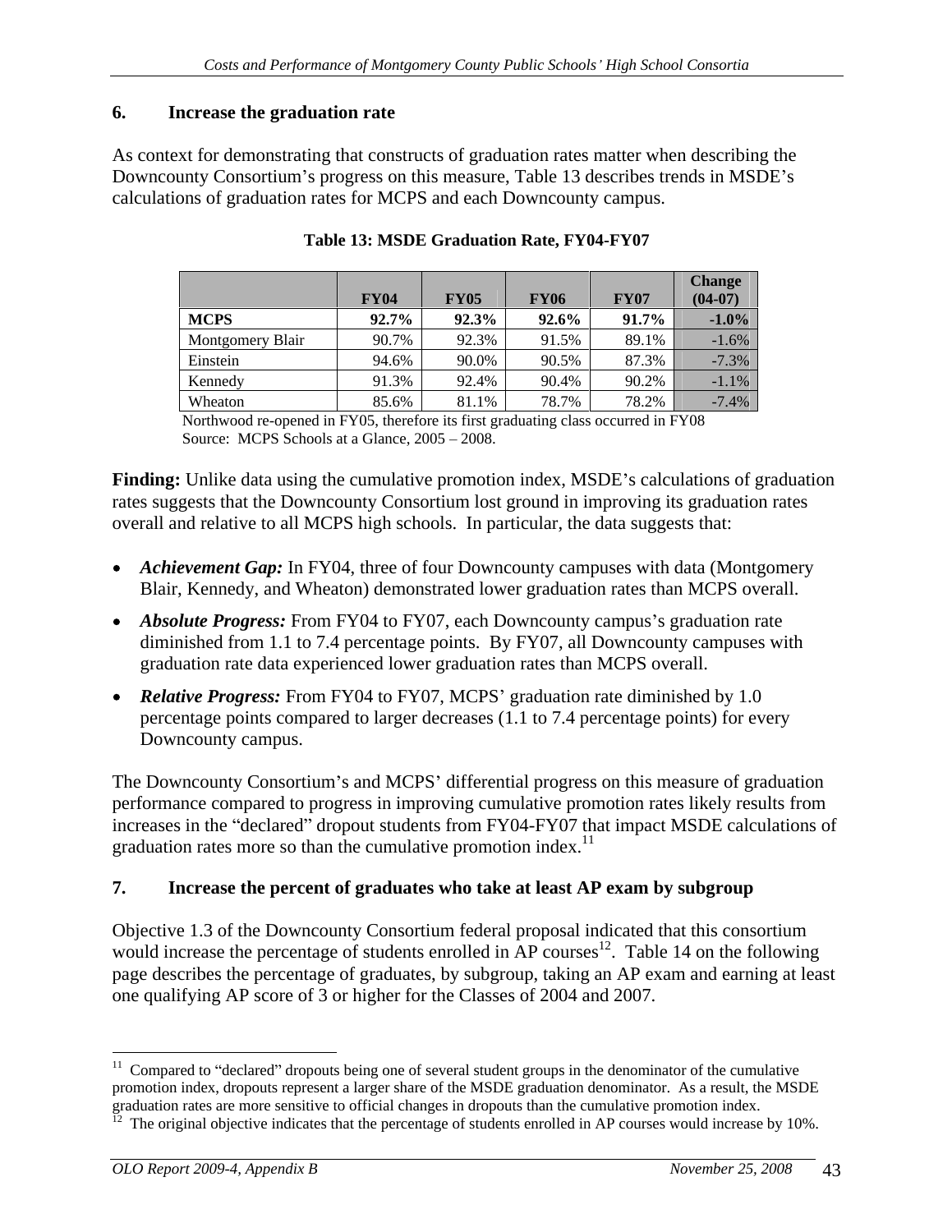#### **6. Increase the graduation rate**

As context for demonstrating that constructs of graduation rates matter when describing the Downcounty Consortium's progress on this measure, Table 13 describes trends in MSDE's calculations of graduation rates for MCPS and each Downcounty campus.

|                  | <b>FY04</b>  | <b>FY05</b> | <b>FY06</b> | <b>FY07</b> | (A)                |
|------------------|--------------|-------------|-------------|-------------|--------------------|
| <b>MCPS</b>      | 92. L'A      |             | $92.6\%$ 1  |             | $91.7\%$ -1.0%     |
| Montgomery Blair |              |             |             |             |                    |
| Einstein         | 44 6%        |             |             |             |                    |
| Kennedy          | <b>YI</b> 1% |             |             |             | $-1$ $\frac{9}{6}$ |
| Wheaton          | 85.6%        |             |             |             | -7.4%              |

#### **Table 13: MSDE Graduation Rate, FY04-FY07**

Northwood re-opened in FY05, therefore its first graduating class occurred in FY08 Source: MCPS Schools at a Glance,  $2005 - 2008$ .

**Finding:** Unlike data using the cumulative promotion index, MSDE's calculations of graduation rates suggests that the Downcounty Consortium lost ground in improving its graduation rates overall and relative to all MCPS high schools. In particular, the data suggests that:

- Achievement Gap: In FY04, three of four Downcounty campuses with data (Montgomery Blair, Kennedy, and Wheaton) demonstrated lower graduation rates than MCPS overall.
- *Absolute Progress:* From FY04 to FY07, each Downcounty campus's graduation rate diminished from 1.1 to 7.4 percentage points. By FY07, all Downcounty campuses with graduation rate data experienced lower graduation rates than MCPS overall.
- **Relative Progress:** From FY04 to FY07, MCPS' graduation rate diminished by 1.0 percentage points compared to larger decreases (1.1 to 7.4 percentage points) for every Downcounty campus.

The Downcounty Consortium's and MCPS' differential progress on this measure of graduation performance compared to progress in improving cumulative promotion rates likely results from increases in the "declared" dropout students from FY04-FY07 that impact MSDE calculations of graduation rates more so than the cumulative promotion index.<sup>11</sup>

#### **7. Increase the percent of graduates who take at least AP exam by subgroup**

Objective 1.3 of the Downcounty Consortium federal proposal indicated that this consortium would increase the percentage of students enrolled in  $AP$  courses<sup>12</sup>. Table 14 on the following page describes the percentage of graduates, by subgroup, taking an AP exam and earning at least one qualifying AP score of 3 or higher for the Classes of 2004 and 2007.

 $11$  Compared to "declared" dropouts being one of several student groups in the denominator of the cumulative promotion index, dropouts represent a larger share of the MSDE graduation denominator. As a result, the MSDE graduation rates are more sensitive to official changes in dropouts than the cumulative promotion index.<br><sup>12</sup> The original objective indicates that the percentage of students enrolled in AP courses would increase by 10%.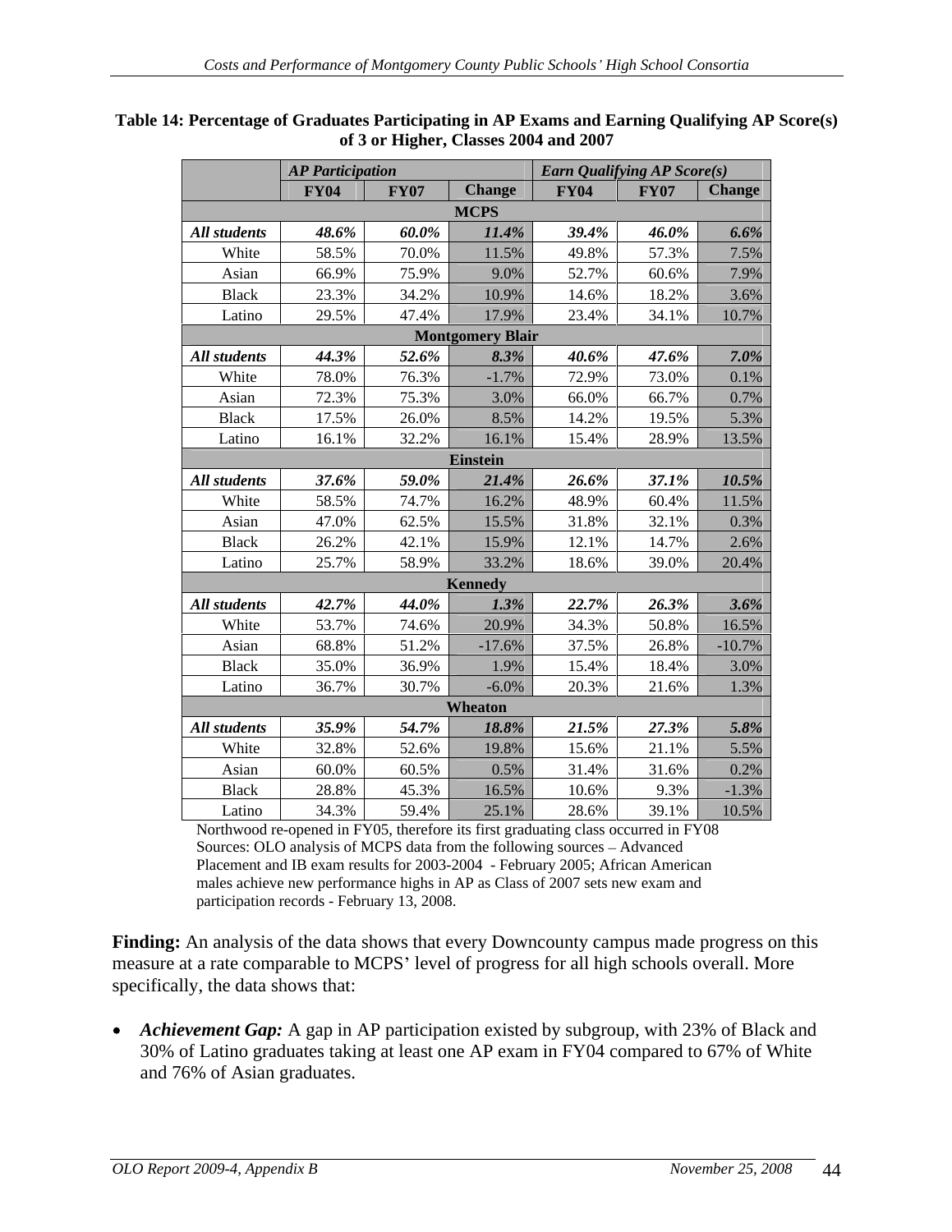|              | <b>AP Participation</b> |             |                         | <b>Earn Qualifying AP Score(s)</b> |                                                                                                         |                       |
|--------------|-------------------------|-------------|-------------------------|------------------------------------|---------------------------------------------------------------------------------------------------------|-----------------------|
|              | <b>FY04</b>             | <b>FY07</b> | <b>Change</b>           | <b>FY04</b> FY07                   |                                                                                                         | Change                |
|              |                         |             | <b>MCPS</b>             |                                    |                                                                                                         |                       |
| All students | 48.6%                   | $60.0\%$    | $11.4\%$                | 39.4%                              | $46.0\%$                                                                                                | $6.6\%$               |
| White        | 58.5%                   | 70.0%       | 11.5%                   | 49.8%                              | 57.3%                                                                                                   | 7.5%                  |
| Asian        | 66.9%                   | 75.9%       | $9.0\%$                 | 52.7%                              | 60.6%                                                                                                   | 7.9%                  |
| Black        | 23.3%                   | 34.2%       | 10.9%                   | 14.6%                              | $18.2\%$                                                                                                | 3.6%                  |
| Latino       | 29.5%                   | 47.4%       | 17.9%                   | 23.4%                              | 34.1% 10.7%                                                                                             |                       |
|              |                         |             | <b>Montgomery Blair</b> |                                    |                                                                                                         |                       |
| All students | 44.3%                   | 52.6%       | 8.3%                    | $40.6\%$                           | $47.6\%$                                                                                                | $7.0\%$               |
| White        | 78.0%                   | 76.3%       | $-1.7\%$                | 72.9%                              | 73.0%                                                                                                   | $0.1\%$               |
| Asian        | 72.3%                   | 75.3%       | 3.0%                    | 66.0%                              | 66.7%                                                                                                   | 0.7%                  |
| <b>Black</b> | 17.5%                   | 26.0%       | 8.5%                    | 14.2%                              | 19.5%                                                                                                   | 5.3%                  |
| Latino       | 16.1%                   | 32.2%       | 16.1%                   | 15.4%                              | 28.9% 13.5%                                                                                             |                       |
|              |                         |             | <b>Einstein</b>         |                                    |                                                                                                         |                       |
| All students | 37.6%                   | $59.0\%$    | $21.4\%$                | $26.6\%$                           | $37.1\%$                                                                                                | 10.5%                 |
| White        | 58.5%                   | 74.7%       | 16.2%                   | 48.9%                              | $60.4\%$                                                                                                | 11.5%                 |
| Asian        | 47.0%                   | 62.5%       | 15.5%                   | 31.8%                              | 32.1%                                                                                                   | 0.3%                  |
| Black        | 26.2%                   | 42.1%       | 15.9%                   | 12.1%                              | $14.7\%$                                                                                                | 2.6%                  |
| Latino       | 25.7%                   | 58.9%       | 33.2%                   | 18.6%                              | 39.0% 20.4%                                                                                             |                       |
|              |                         |             | Kennedy                 |                                    |                                                                                                         |                       |
| All students | 42.7%                   | 44.0%       | $1.3\%$                 | 22.7%                              | $26.3\%$                                                                                                | 3.6%                  |
| White        | 53.7%                   | 74.6%       | 20.9%                   | 34.3%                              | 50.8%                                                                                                   | 16.5%                 |
| Asian        | 68.8%                   | 51.2%       | $-17.6\%$               | 37.5%                              | 26.8%                                                                                                   | $-10.7\%$             |
| Black        | 35.0%                   | 36.9%       | 1.9%                    | 15.4%                              | 18.4%                                                                                                   | 3.0%                  |
| Latino       | 36.7%                   | 30.7%       | $-6.0\%$                | 20.3%                              | 21.6%                                                                                                   | 1.3%                  |
|              |                         |             | Wheaton                 |                                    |                                                                                                         |                       |
| All students | 35.9%                   | 54.7%       | 18.8%                   |                                    |                                                                                                         |                       |
| White        | 32.8%                   | 52.6%       | 19.8%                   | $\frac{21.5\%}{15.6\%}$            | $\begin{array}{c c} 27.3\% \\ \hline 21.1\% \end{array}$                                                | $\frac{5.8\%}{5.5\%}$ |
| Asian        | 60.0%                   | 60.5%       | $0.5\%$                 | 31.4%                              | 31.6%                                                                                                   | 0.2%                  |
| Black        | 28.8%                   | 45.3%       | 16.5%                   | 10.6%                              |                                                                                                         |                       |
| Latino       | 34.3%                   | 59.4%       | 25.1%                   | 28.6%                              | $\begin{array}{ c c c }\n \hline\n 9.3\% & -1.3\% \\  \hline\n 39.1\% & 10.5\% \\  \hline\n\end{array}$ |                       |

#### **Table 14: Percentage of Graduates Participating in AP Exams and Earning Qualifying AP Score(s) of 3 or Higher, Classes 2004 and 2007**

Northwood re-opened in FY05, therefore its first graduating class occurred in FY08 Sources: OLO analysis of MCPS data from the following sources - Advanced Placement and IB exam results for 2003-2004 - February 2005; African American males achieve new performance highs in AP as Class of 2007 sets new exam and participation records - February 13, 2008.

**Finding:** An analysis of the data shows that every Downcounty campus made progress on this measure at a rate comparable to MCPS' level of progress for all high schools overall. More specifically, the data shows that:

*Achievement Gap:* A gap in AP participation existed by subgroup, with 23% of Black and 30% of Latino graduates taking at least one AP exam in FY04 compared to 67% of White and 76% of Asian graduates.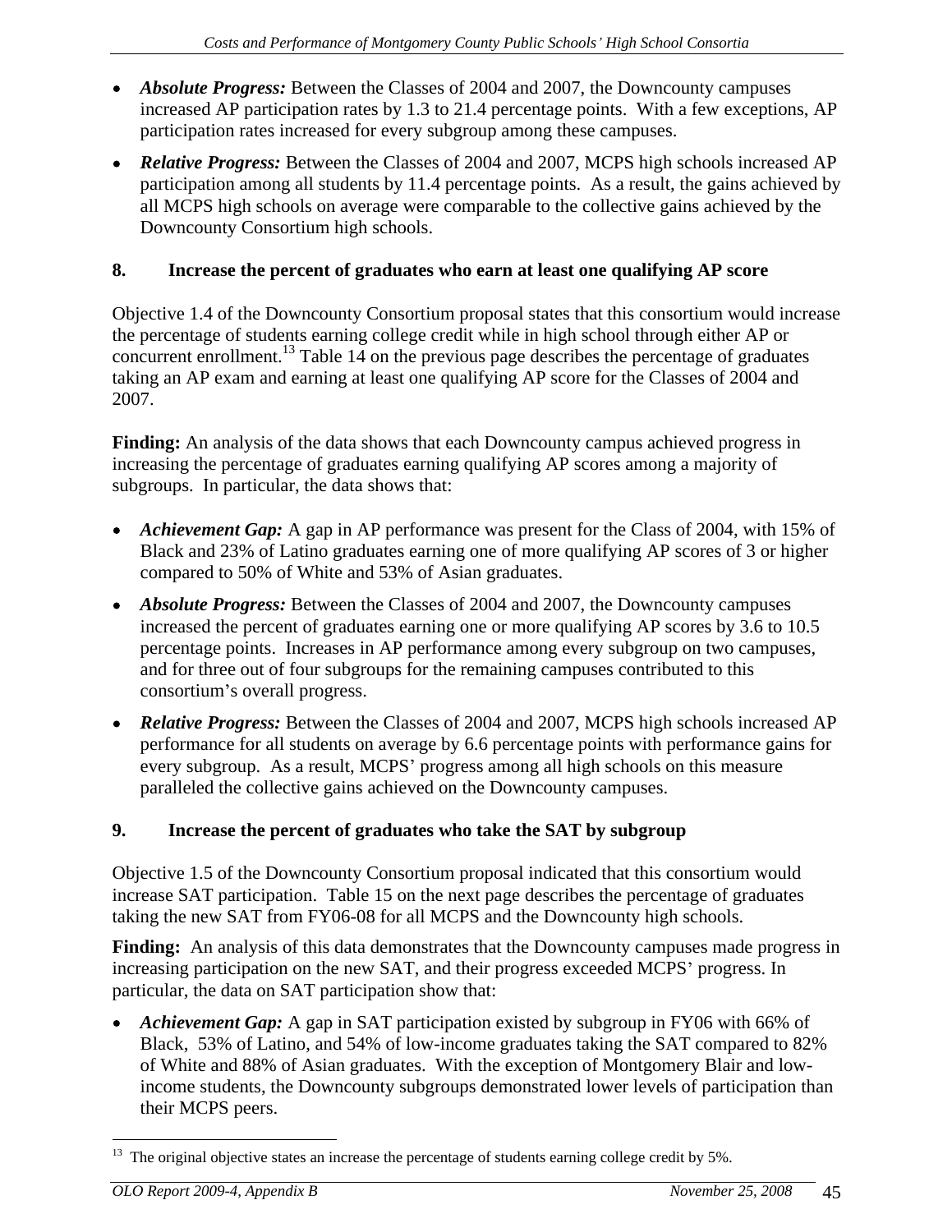- *Absolute Progress:* Between the Classes of 2004 and 2007, the Downcounty campuses increased AP participation rates by 1.3 to 21.4 percentage points. With a few exceptions, AP participation rates increased for every subgroup among these campuses.
- *Relative Progress:* Between the Classes of 2004 and 2007, MCPS high schools increased AP participation among all students by 11.4 percentage points. As a result, the gains achieved by all MCPS high schools on average were comparable to the collective gains achieved by the Downcounty Consortium high schools.

## **8. Increase the percent of graduates who earn at least one qualifying AP score**

Objective 1.4 of the Downcounty Consortium proposal states that this consortium would increase the percentage of students earning college credit while in high school through either AP or concurrent enrollment.<sup>13</sup> Table 14 on the previous page describes the percentage of graduates taking an AP exam and earning at least one qualifying AP score for the Classes of 2004 and 2007.

**Finding:** An analysis of the data shows that each Downcounty campus achieved progress in increasing the percentage of graduates earning qualifying AP scores among a majority of subgroups. In particular, the data shows that:

- Achievement Gap: A gap in AP performance was present for the Class of 2004, with 15% of Black and 23% of Latino graduates earning one of more qualifying AP scores of 3 or higher compared to 50% of White and 53% of Asian graduates.
- *Absolute Progress:* Between the Classes of 2004 and 2007, the Downcounty campuses increased the percent of graduates earning one or more qualifying AP scores by 3.6 to 10.5 percentage points. Increases in AP performance among every subgroup on two campuses, and for three out of four subgroups for the remaining campuses contributed to this consortium's overall progress.
- *Relative Progress:* Between the Classes of 2004 and 2007, MCPS high schools increased AP performance for all students on average by 6.6 percentage points with performance gains for every subgroup. As a result, MCPS' progress among all high schools on this measure paralleled the collective gains achieved on the Downcounty campuses.

#### **9. Increase the percent of graduates who take the SAT by subgroup**

Objective 1.5 of the Downcounty Consortium proposal indicated that this consortium would increase SAT participation. Table 15 on the next page describes the percentage of graduates taking the new SAT from FY06-08 for all MCPS and the Downcounty high schools.

**Finding:** An analysis of this data demonstrates that the Downcounty campuses made progress in increasing participation on the new SAT, and their progress exceeded MCPS' progress. In particular, the data on SAT participation show that:

*Achievement Gap:* A gap in SAT participation existed by subgroup in FY06 with 66% of Black, 53% of Latino, and 54% of low-income graduates taking the SAT compared to 82% of White and 88% of Asian graduates. With the exception of Montgomery Blair and lowincome students, the Downcounty subgroups demonstrated lower levels of participation than their MCPS peers.

<sup>&</sup>lt;sup>13</sup> The original objective states an increase the percentage of students earning college credit by 5%.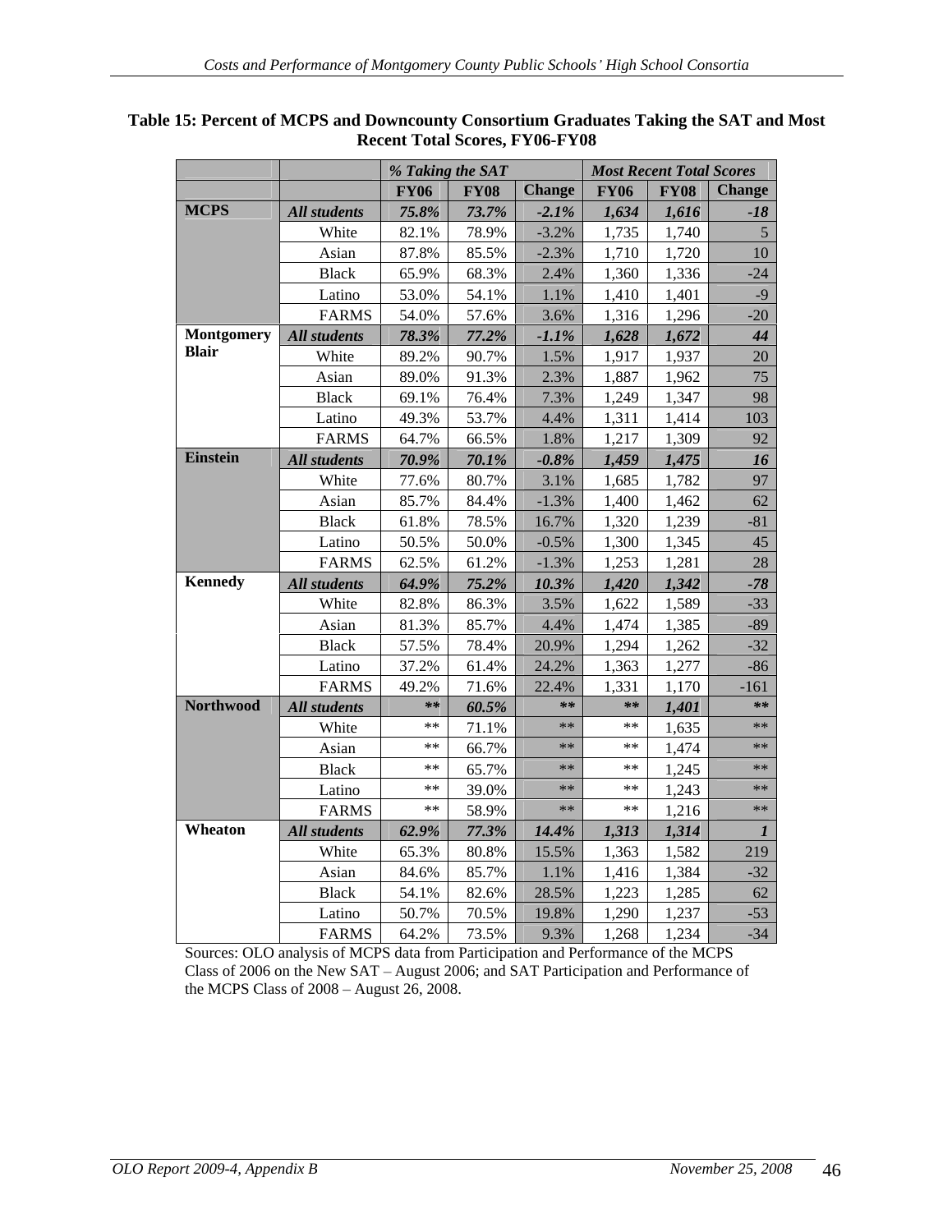|                |                           | $\frac{1}{2}$ % Taking the SAT |                                  |                                | <b>Most Recent Total Scores</b>                  |
|----------------|---------------------------|--------------------------------|----------------------------------|--------------------------------|--------------------------------------------------|
|                |                           |                                |                                  |                                | FY06    FY08    Change    FY06    FY08    Change |
| <b>MCPS</b>    | All students              |                                | $75.8\%$ 73.7% -2.1% 1,634 1,616 |                                | $-18$                                            |
|                | White                     | 82.1% 78.9%                    | $-3.2\%$                         | $1,735$ $1,740$                |                                                  |
|                | Asian                     |                                | $-2.3\%$<br>87.8% 85.5%          | 1,710 1,720                    | <sup>10</sup>                                    |
|                | <b>Black</b>              | 65.9%                          | 68.3%<br>2.4%                    | 1,360 1,336                    | $-24$                                            |
|                | Latino                    | 53.0%                          | 54.1%<br>1.1%                    | $1,410$ 1,401                  | $-9$                                             |
|                | <b>FARMS</b>              | 54.0%                          | 57.6%<br>3.6%                    | $1,316$ 1,296                  | $-20$                                            |
|                | Montgomery   All students |                                | 78.3% 77.2%<br>$-1.1\%$          | $1,628$ 1,672                  | 44                                               |
| <b>Blair</b>   | White                     | 89.2% 90.7%                    | 1.5%                             | $1,917$ 1,937                  | 20                                               |
|                | Asian                     | 89.0% 91.3%                    | 2.3%                             | $1,887$ 1,962                  | 75                                               |
|                | Black                     | 69.1% 76.4%                    | 7.3%                             | 1,249 1,347                    | 98                                               |
|                | Latino                    | 49.3% 53.7%                    | $4.4\%$                          | $1,311$ 1,414                  | 103                                              |
|                | <b>FARMS</b>              | 64.7% 66.5%                    | 1.8%                             | $1,217$ 1,309                  | 92                                               |
| Einstein       | All students              |                                | $70.9\%$ $70.1\%$ $-0.8\%$       | $1,459$ 1,475                  | 16                                               |
|                | White                     |                                | 77.6% 80.7%<br>3.1%              | $1,685$ 1,782                  | 97                                               |
|                | Asian                     |                                | 85.7% 84.4%<br>$-1.3\%$          | $1,400$ 1,462                  | 62                                               |
|                | <b>Black</b>              |                                | 16.7%<br>61.8% 78.5%             | $1,320$ 1,239                  | $-81$                                            |
|                | Latino                    |                                | 50.5% 50.0%<br>$-0.5\%$          | $1,300$ 1,345                  | 45                                               |
|                | FARMS                     | 62.5%                          | 61.2%<br>$-1.3\%$                | $1,253$ 1,281                  | 28                                               |
| <b>Kennedy</b> | All students              |                                | $64.9\%$ 75.2% 10.3%             | $1,420$ $1,342$                | $-78$                                            |
|                | White                     | 82.8%                          | 3.5%<br>86.3%                    | $1,622$ 1,589                  | $-33$                                            |
|                |                           |                                | 81.3% 85.7%<br>4.4%              | $1,474$ 1,385                  | $-89$                                            |
|                | Asian                     | 57.5%                          |                                  |                                | $-32$                                            |
|                | <b>Black</b>              |                                | 20.9%<br>78.4%                   | $1,294$ 1,262<br>$1,363$ 1,277 |                                                  |
|                | Latino                    |                                | 37.2% 61.4%<br>24.2%             |                                | $-86$<br>$-161$                                  |
| Northwood      | <b>FARMS</b>              |                                | 22.4%<br>49.2% 71.6%             | $1,331$ 1,170                  |                                                  |
|                | All students              |                                | $**$ 60.5%<br>**                 |                                | $*$ 1,401<br>**                                  |
|                | White                     |                                | **   $71.1\%$<br>**              |                                | ** $1,635$<br>**                                 |
|                | Asian                     |                                | ** 66.7%<br>**                   |                                | ** $1,474$<br>**                                 |
|                | Black                     |                                | ** 65.7%<br>**                   |                                | **   1,245<br>**                                 |
|                | Latino                    |                                | ** 39.0%<br>**                   |                                | **   1,243<br>**                                 |
|                | <b>FARMS</b>              | $***$                          | 58.9%<br>**                      |                                | **   1,216<br>**                                 |
| Wheaton        | <b>All students</b>       |                                | $62.9\%$ 77.3%<br>$14.4\%$       | $1,313$ $1,314$                |                                                  |
|                | White                     | 65.3% 80.8%                    | 15.5%                            | $1,363$ 1,582                  | 219                                              |
|                | Asian                     | 84.6%                          | 85.7%<br>$1.1\%$                 | $1,416$ 1,384                  | $-32$                                            |
|                | Black                     |                                | 28.5%<br>54.1% 82.6%             | $1,223$ 1,285                  | 62                                               |
|                | Latino                    | 50.7%                          | 70.5%<br>19.8%                   | 1,290                          | 1,237<br>$\frac{-53}{-34}$                       |
|                | FARMS                     |                                | 64.2% 73.5%<br>$9.3\%$           |                                | $1,268$ 1,234                                    |

#### **Table 15: Percent of MCPS and Downcounty Consortium Graduates Taking the SAT and Most Recent Total Scores, FY06-FY08**

Sources: OLO analysis of MCPS data from Participation and Performance of the MCPS Class of 2006 on the New SAT - August 2006; and SAT Participation and Performance of the MCPS Class of  $2008 -$ August  $26$ ,  $2008$ .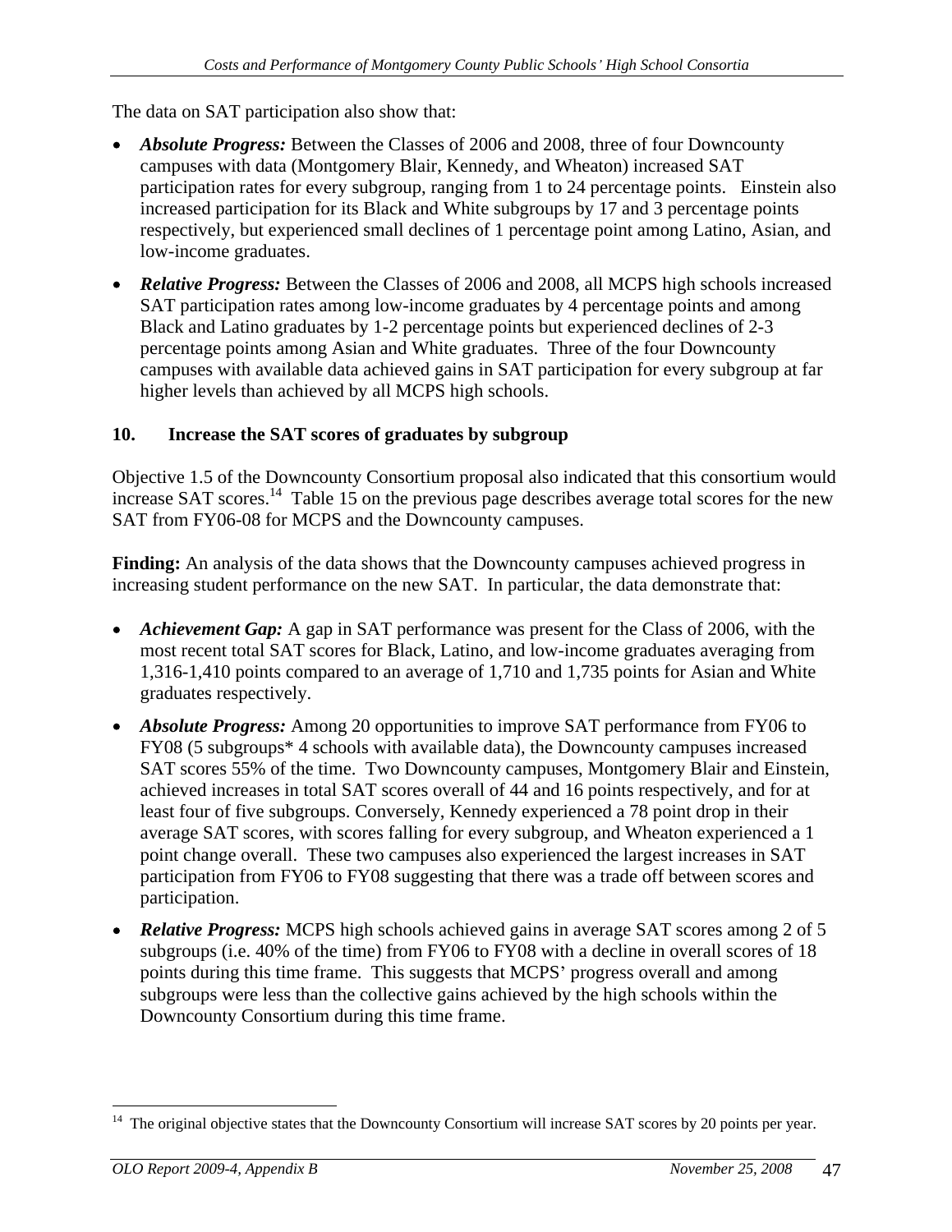The data on SAT participation also show that:

- *Absolute Progress:* Between the Classes of 2006 and 2008, three of four Downcounty campuses with data (Montgomery Blair, Kennedy, and Wheaton) increased SAT participation rates for every subgroup, ranging from 1 to 24 percentage points. Einstein also increased participation for its Black and White subgroups by 17 and 3 percentage points respectively, but experienced small declines of 1 percentage point among Latino, Asian, and low-income graduates.
- *Relative Progress:* Between the Classes of 2006 and 2008, all MCPS high schools increased SAT participation rates among low-income graduates by 4 percentage points and among Black and Latino graduates by 1-2 percentage points but experienced declines of 2-3 percentage points among Asian and White graduates. Three of the four Downcounty campuses with available data achieved gains in SAT participation for every subgroup at far higher levels than achieved by all MCPS high schools.

## **10. Increase the SAT scores of graduates by subgroup**

Objective 1.5 of the Downcounty Consortium proposal also indicated that this consortium would increase SAT scores.<sup>14</sup> Table 15 on the previous page describes average total scores for the new SAT from FY06-08 for MCPS and the Downcounty campuses.

**Finding:** An analysis of the data shows that the Downcounty campuses achieved progress in increasing student performance on the new SAT. In particular, the data demonstrate that:

- *Achievement Gap:* A gap in SAT performance was present for the Class of 2006, with the most recent total SAT scores for Black, Latino, and low-income graduates averaging from 1,316-1,410 points compared to an average of 1,710 and 1,735 points for Asian and White graduates respectively.
- *Absolute Progress:* Among 20 opportunities to improve SAT performance from FY06 to FY08 (5 subgroups\* 4 schools with available data), the Downcounty campuses increased SAT scores 55% of the time. Two Downcounty campuses, Montgomery Blair and Einstein, achieved increases in total SAT scores overall of 44 and 16 points respectively, and for at least four of five subgroups. Conversely, Kennedy experienced a 78 point drop in their average SAT scores, with scores falling for every subgroup, and Wheaton experienced a 1 point change overall. These two campuses also experienced the largest increases in SAT participation from FY06 to FY08 suggesting that there was a trade off between scores and participation.
- *Relative Progress:* MCPS high schools achieved gains in average SAT scores among 2 of 5 subgroups (i.e. 40% of the time) from FY06 to FY08 with a decline in overall scores of 18 points during this time frame. This suggests that MCPS' progress overall and among subgroups were less than the collective gains achieved by the high schools within the Downcounty Consortium during this time frame.

<sup>&</sup>lt;sup>14</sup> The original objective states that the Downcounty Consortium will increase SAT scores by 20 points per year.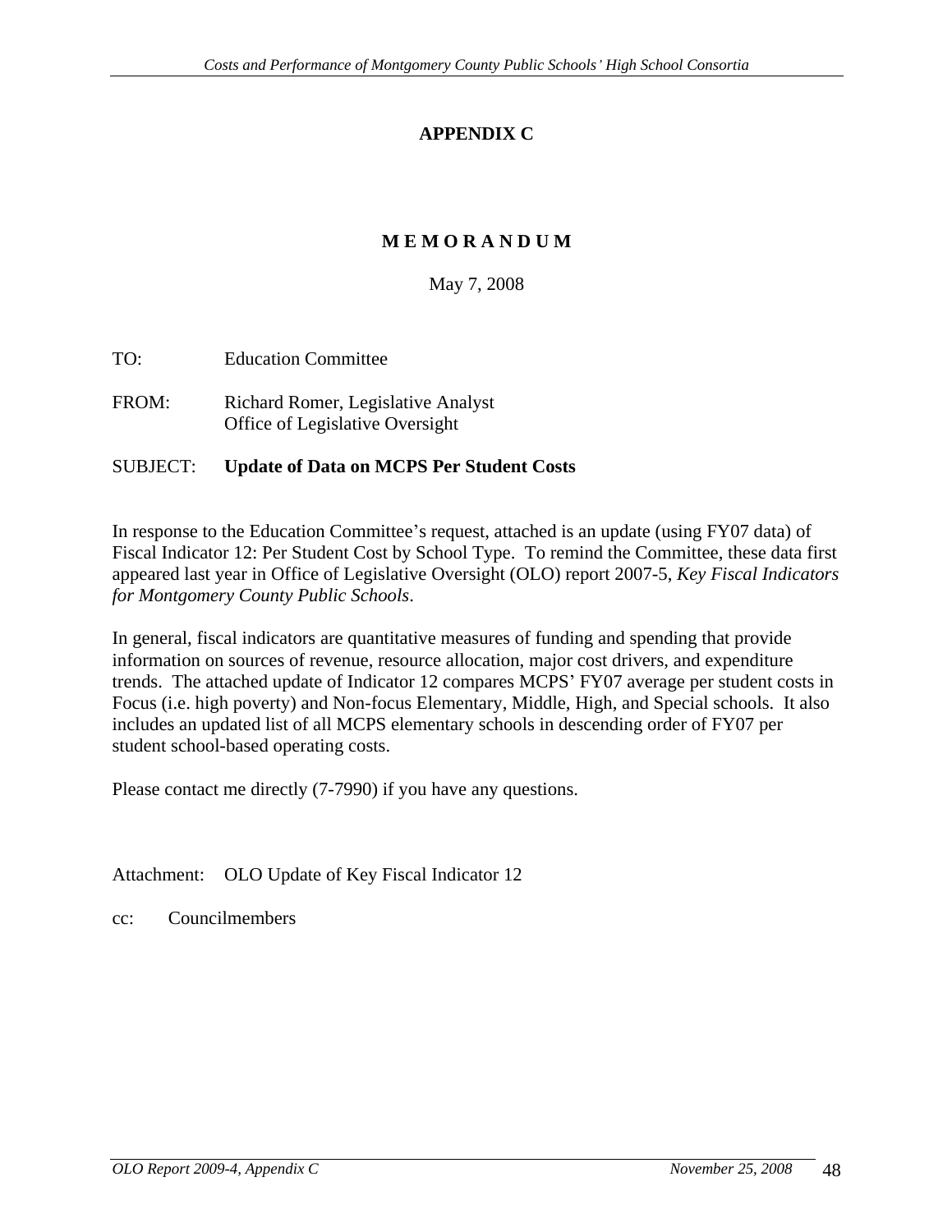# **APPENDIX C**

# **M E M O R A N D U M**

May 7, 2008

- TO: Education Committee
- FROM: Richard Romer, Legislative Analyst Office of Legislative Oversight

#### SUBJECT: **Update of Data on MCPS Per Student Costs**

In response to the Education Committee's request, attached is an update (using FY07 data) of Fiscal Indicator 12: Per Student Cost by School Type. To remind the Committee, these data first appeared last year in Office of Legislative Oversight (OLO) report 2007-5, *Key Fiscal Indicators for Montgomery County Public Schools*. In general, fiscal indicators are quantitative measures of funding and spending that provide

information on sources of revenue, resource allocation, major cost drivers, and expenditure trends. The attached update of Indicator 12 compares MCPS FY07 average per student costs in Focus (i.e. high poverty) and Non-focus Elementary, Middle, High, and Special schools. It also includes an updated list of all MCPS elementary schools in descending order of FY07 per student school-based operating costs. Please contact me directly (7-7990) if you have any questions.

Attachment: OLO Update of Key Fiscal Indicator 12

cc: Councilmembers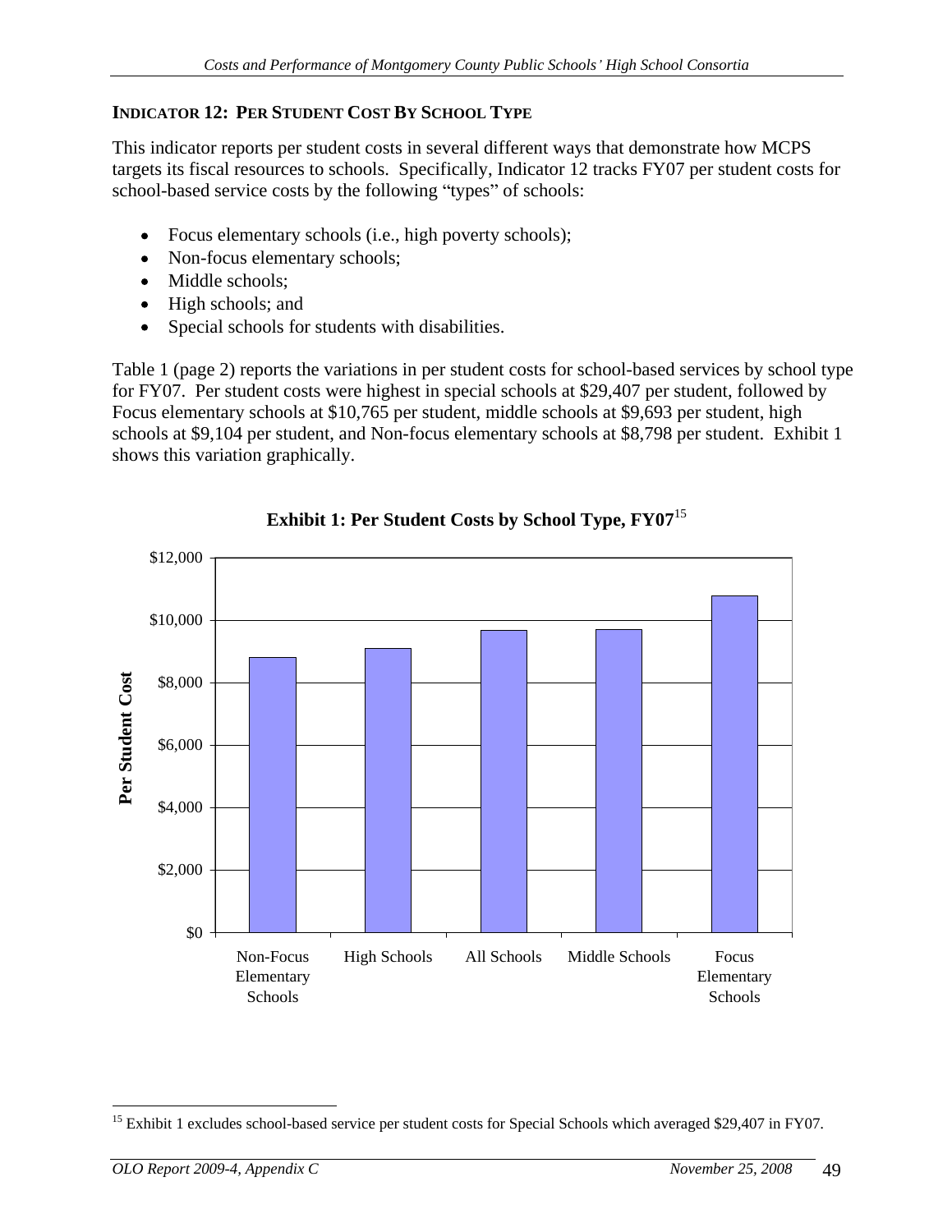### **INDICATOR 12: PER STUDENT COST BY SCHOOL TYPE**

This indicator reports per student costs in several different ways that demonstrate how MCPS targets its fiscal resources to schools. Specifically, Indicator 12 tracks FY07 per student costs for school-based service costs by the following "types" of schools:

- Focus elementary schools (i.e., high poverty schools);
- Non-focus elementary schools;
- Middle schools;
- High schools; and
- Special schools for students with disabilities.

Table 1 (page 2) reports the variations in per student costs for school-based services by school type for FY07. Per student costs were highest in special schools at \$29,407 per student, followed by Focus elementary schools at \$10,765 per student, middle schools at \$9,693 per student, high schools at \$9,104 per student, and Non-focus elementary schools at \$8,798 per student. Exhibit 1 shows this variation graphically.



**Exhibit 1: Per Student Costs by School Type, FY07** 15

<sup>&</sup>lt;sup>15</sup> Exhibit 1 excludes school-based service per student costs for Special Schools which averaged \$29,407 in FY07.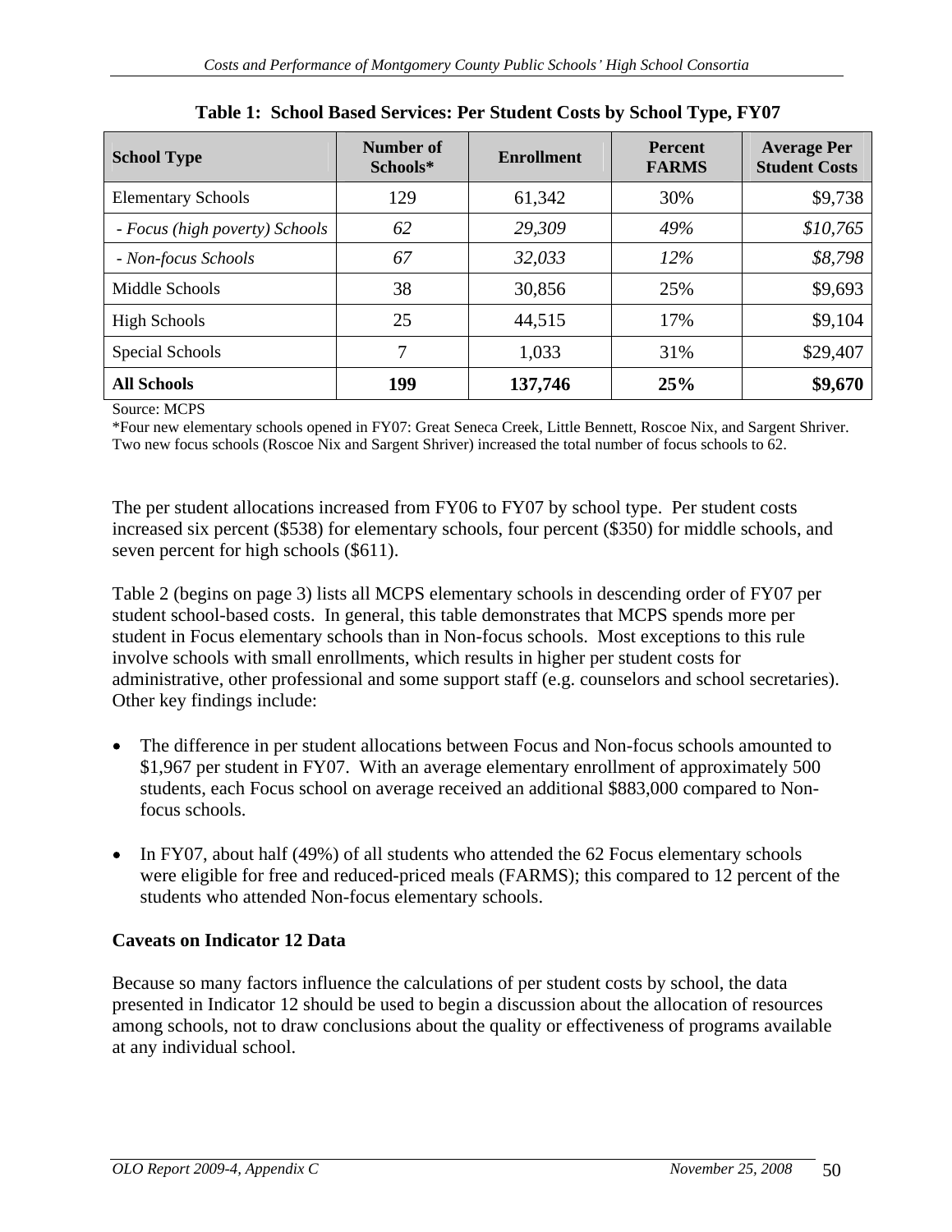| <b>School Type</b>             | Number of<br>Schools* | Enrollment | Percent<br><b>FARMS</b> | <b>Average Per</b><br>Student Costs |
|--------------------------------|-----------------------|------------|-------------------------|-------------------------------------|
| <b>Elementary Schools</b>      | 129                   | 61,342     | 30%                     | \$9,738                             |
| - Focus (high poverty) Schools | 62                    | 29,309     | 49%                     | \$10,765                            |
| - Non-focus Schools            | 67                    | 32,033     | $12\%$                  | \$8,798                             |
| Middle Schools                 |                       | 30,856     | 25%                     | \$9,693                             |
| <b>High Schools</b>            |                       | 44,515     | 17%                     | \$9,104                             |
| Special Schools                |                       | 1,033      | 31%                     | \$29,407                            |
| <b>All Schools</b>             | 199                   | 137,746    | 25%                     | \$9,670                             |

**Table 1: School Based Services: Per Student Costs by School Type, FY07**

Source: MCPS and the state of the state of the state of the state of the state of the state of the state of the state of the state of the state of the state of the state of the state of the state of the state of the state

\*Four new elementary schools opened in FY07: Great Seneca Creek, Little Bennett, Roscoe Nix, and Sargent Shriver. Two new focus schools (Roscoe Nix and Sargent Shriver) increased the total number of focus schools to 62.

The per student allocations increased from FY06 to FY07 by school type. Per student costs increased six percent (\$538) for elementary schools, four percent (\$350) for middle schools, and seven percent for high schools (\$611).

Table 2 (begins on page 3) lists all MCPS elementary schools in descending order of FY07 per student school-based costs. In general, this table demonstrates that MCPS spends more per student in Focus elementary schools than in Non-focus schools. Most exceptions to this rule involve schools with small enrollments, which results in higher per student costs for administrative, other professional and some support staff (e.g. counselors and school secretaries). Other key findings include:

- The difference in per student allocations between Focus and Non-focus schools amounted to \$1,967 per student in FY07. With an average elementary enrollment of approximately 500 students, each Focus school on average received an additional \$883,000 compared to Nonfocus schools.
- In FY07, about half (49%) of all students who attended the 62 Focus elementary schools were eligible for free and reduced-priced meals (FARMS); this compared to 12 percent of the students who attended Non-focus elementary schools.

## **Caveats on Indicator 12 Data**

Because so many factors influence the calculations of per student costs by school, the data presented in Indicator 12 should be used to begin a discussion about the allocation of resources among schools, not to draw conclusions about the quality or effectiveness of programs available at any individual school.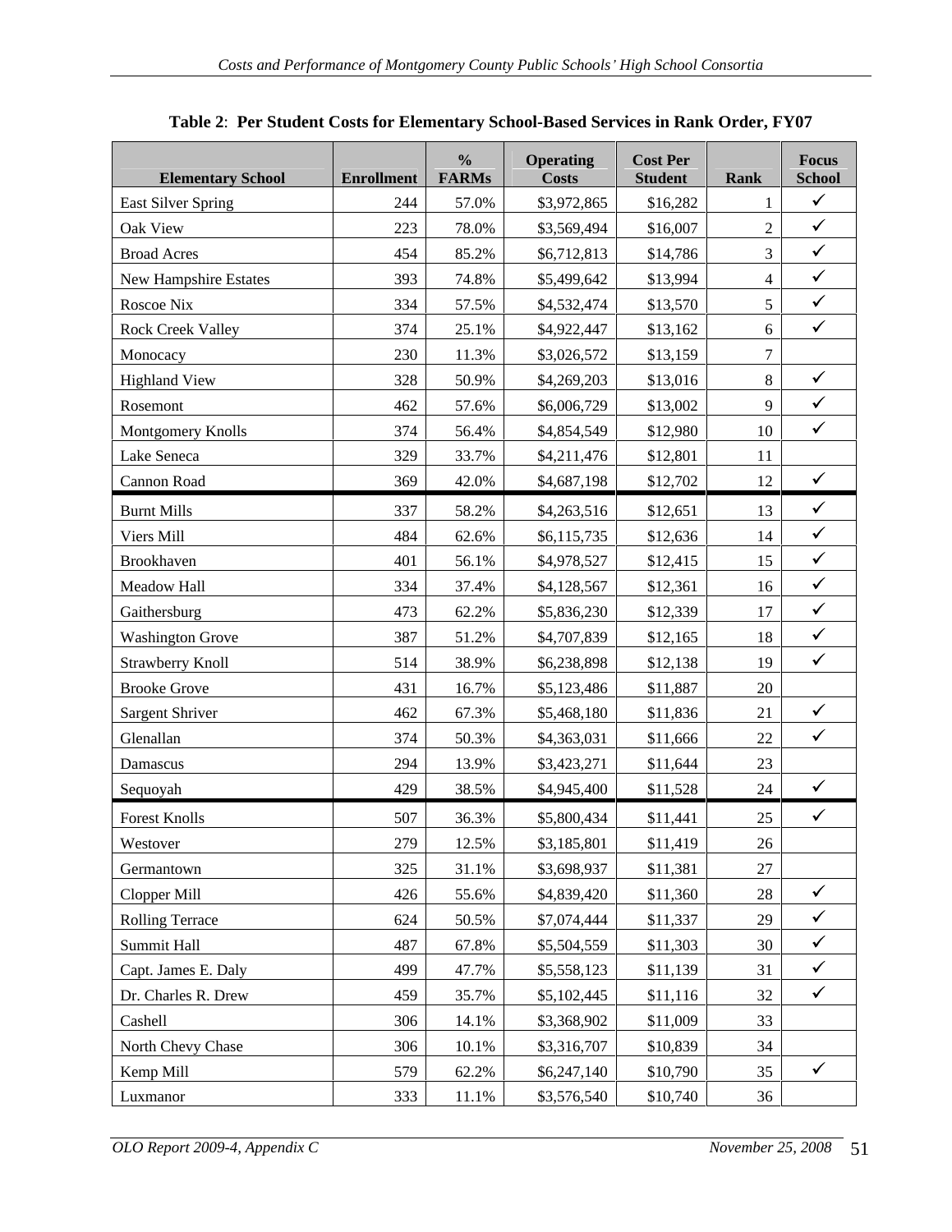| <b>Elementary School</b>  | $\frac{0}{0}$<br><b>Enrollment</b> FARMs | <b>Operating</b><br>Costs | <b>Cost Per</b><br><b>Student</b> | Focus<br>Rank<br>School |
|---------------------------|------------------------------------------|---------------------------|-----------------------------------|-------------------------|
| <b>East Silver Spring</b> | 57.0%<br>244                             | \$3,972,865               | \$16,282                          | $\sqrt{2}$              |
| Oak View                  | 223<br>78.0%                             | \$3,569,494               | \$16,007                          | $\sqrt{ }$              |
| <b>Broad Acres</b>        | 454<br>85.2%                             | \$6,712,813               | \$14,786                          | $\sqrt{2}$              |
| New Hampshire Estates     | 393<br>74.8%                             | \$5,499,642               | \$13,994                          | $\sqrt{ }$              |
| Roscoe Nix                | 334<br>57.5%                             | \$4,532,474               | \$13,570                          | $\sqrt{ }$              |
| <b>Rock Creek Valley</b>  | 374<br>25.1%                             | \$4,922,447               | \$13,162                          | $\sqrt{2}$              |
| Monocacy                  | 230<br>11.3%                             | \$3,026,572               | \$13,159                          |                         |
| Highland View             | 328<br>50.9%                             | \$4,269,203               | \$13,016                          | $\sqrt{ }$              |
| Rosemont                  | 462<br>57.6%                             | \$6,006,729               | \$13,002                          | $\checkmark$            |
| Montgomery Knolls         | 374<br>56.4%                             | \$4,854,549               | \$12,980                          | $\sqrt{ }$<br>10        |
| Lake Seneca               | 329<br>33.7%                             | \$4,211,476               | \$12,801                          | 11                      |
| Cannon Road               | 369<br>42.0%                             | \$4,687,198               | \$12,702                          | 12<br>$\sqrt{ }$        |
| <b>Burnt Mills</b>        | 337<br>58.2%                             | \$4,263,516               | \$12,651                          | $\sqrt{ }$<br>13        |
| Viers Mill                | 484<br>62.6%                             | \$6,115,735               | \$12,636                          | $\checkmark$<br>14      |
| Brookhaven                | 56.1%<br>401                             | \$4,978,527               | \$12,415                          | $\sqrt{ }$<br>15        |
| Meadow Hall               | 334<br>37.4%                             | \$4,128,567               | \$12,361                          | $\checkmark$<br>16      |
| Gaithersburg              | 473<br>62.2%                             | \$5,836,230               | \$12,339                          | $\checkmark$<br>17      |
| <b>Washington Grove</b>   | 387<br>51.2%                             | \$4,707,839               | \$12,165                          | $\sqrt{2}$<br>18        |
| Strawberry Knoll          | 514<br>38.9%                             | \$6,238,898               | \$12,138                          | $\checkmark$<br>19      |
| <b>Brooke Grove</b>       | 431<br>16.7%                             | \$5,123,486               | \$11,887                          |                         |
| Sargent Shriver           | 67.3%<br>462                             | \$5,468,180               | \$11,836                          | $\checkmark$            |
| Glenallan                 | 374<br>50.3%                             | \$4,363,031               | \$11,666                          | $\checkmark$<br>22      |
| Damascus                  | 294<br>13.9%                             | \$3,423,271               | \$11,644                          |                         |
| Sequoyah                  | 429<br>38.5%                             | \$4,945,400               | \$11,528                          | 24<br>$\sqrt{ }$        |
| <b>Forest Knolls</b>      | 507<br>36.3%                             | \$5,800,434               | \$11,441                          | $\sqrt{ }$<br>$25 \mid$ |
| Westover                  | 279<br>12.5%                             | \$3,185,801               | \$11,419                          | 26                      |
| Germantown                | 325<br>31.1%                             | \$3,698,937               | \$11,381                          | 27                      |
| Clopper Mill              | 55.6%<br>426                             | \$4,839,420               | \$11,360                          | $\sqrt{2}$<br>28        |
| Rolling Terrace           | 624 50.5%                                | \$7,074,444               | \$11,337                          | $\sqrt{ }$<br>29        |
| Summit Hall               | 487<br>67.8%                             | \$5,504,559               | \$11,303                          | $\sqrt{2}$<br>30        |
| Capt. James E. Daly       | 499<br>47.7%                             | \$5,558,123               | \$11,139                          | $\checkmark$<br>31      |
| Dr. Charles R. Drew       | 459 35.7%                                | \$5,102,445               | \$11,116                          | $\sqrt{2}$<br>32        |
| Cashell                   | 14.1%<br>306                             | \$3,368,902               | \$11,009                          | 33                      |
| North Chevy Chase         | 306<br>10.1%                             | \$3,316,707               | \$10,839                          | 34                      |
| Kemp Mill                 | 62.2%<br>579                             | \$6,247,140               | \$10,790                          | $\sqrt{ }$<br>$35 \mid$ |
| Luxmanor                  | 333<br>11.1%                             | \$3,576,540               | \$10,740                          | 36                      |

| sed Services in Rank Order, FY07<br><b>The Per Student Costs for Elementary School-Based</b><br><b>Table 2:</b> |
|-----------------------------------------------------------------------------------------------------------------|
|-----------------------------------------------------------------------------------------------------------------|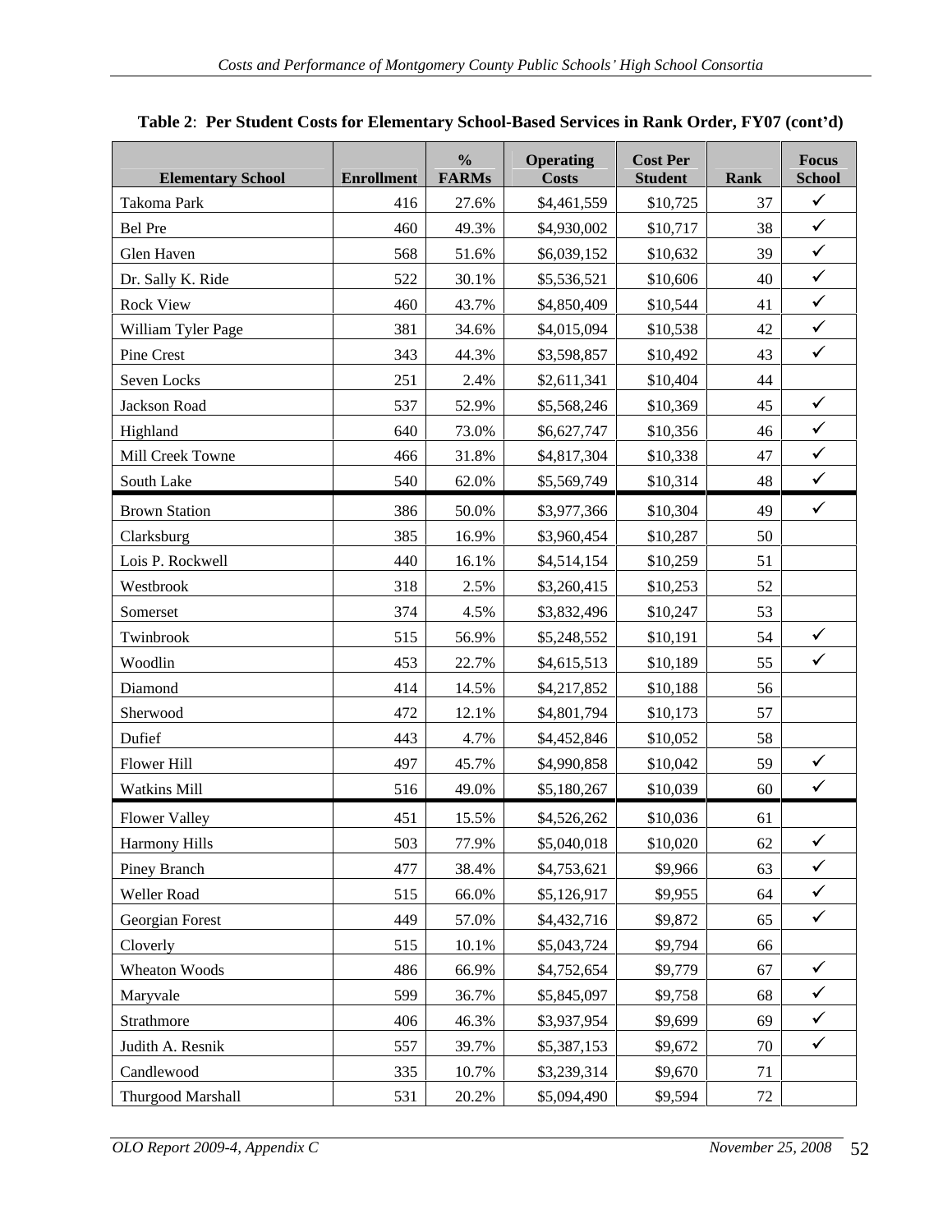| <b>Elementary School</b> | $\frac{0}{0}$<br><b>Enrollment</b> FARMs | Focus<br><b>Cost Per</b><br><b>Operating</b><br><b>Student</b><br>School<br>Rank<br>Costs |
|--------------------------|------------------------------------------|-------------------------------------------------------------------------------------------|
| Takoma Park              | 27.6%<br>416                             | $\sqrt{ }$<br>\$10,725<br>\$4,461,559<br>37                                               |
| Bel Pre                  | 49.3%<br>460                             | $\sqrt{2}$<br>\$4,930,002<br>\$10,717<br>38                                               |
| Glen Haven               | 568<br>51.6%                             | $\sqrt{2}$<br>39<br>\$6,039,152<br>\$10,632                                               |
| Dr. Sally K. Ride        | 522<br>30.1%                             | $\sqrt{2}$<br>\$5,536,521<br>\$10,606<br>40                                               |
| Rock View                | 460<br>43.7%                             | $41$ $\checkmark$<br>\$4,850,409<br>\$10,544                                              |
| William Tyler Page       | 381<br>34.6%                             | $42$ $\checkmark$<br>\$4,015,094<br>\$10,538                                              |
| Pine Crest               | 343<br>44.3%                             | $\sqrt{2}$<br>\$3,598,857<br>\$10,492<br>43                                               |
| Seven Locks              | 251<br>2.4%                              | \$2,611,341<br>\$10,404<br>44                                                             |
| Jackson Road             | 537<br>52.9%                             | $\sqrt{ }$<br>\$10,369<br>45<br>\$5,568,246                                               |
| Highland                 | 640<br>73.0%                             | $\sqrt{2}$<br>\$6,627,747<br>\$10,356<br>46                                               |
| Mill Creek Towne         | 466<br>31.8%                             | $47$ $\checkmark$<br>\$4,817,304<br>\$10,338                                              |
| South Lake               | 540<br>62.0%                             | $\sqrt{2}$<br>\$5,569,749<br>\$10,314<br>48                                               |
| <b>Brown Station</b>     | 386<br>50.0%                             | $49$ $\checkmark$<br>\$3,977,366<br>\$10,304                                              |
| Clarksburg               | 385<br>16.9%                             | \$3,960,454<br>\$10,287<br>50                                                             |
| Lois P. Rockwell         | 440<br>16.1%                             | \$4,514,154<br>\$10,259<br>51                                                             |
| Westbrook                | 318<br>2.5%                              | 52<br>\$3,260,415<br>\$10,253                                                             |
| Somerset                 | 374<br>4.5%                              | \$3,832,496<br>\$10,247<br>53                                                             |
| Twinbrook                | 515<br>56.9%                             | $\sqrt{ }$<br>\$5,248,552<br>\$10,191<br>54                                               |
| Woodlin                  | 22.7%<br>453                             | $\sqrt{ }$<br>\$4,615,513<br>\$10,189<br>55                                               |
| Diamond                  | 414<br>14.5%                             | \$4,217,852<br>\$10,188<br>56                                                             |
| Sherwood                 | 472<br>12.1%                             | \$4,801,794<br>57<br>\$10,173                                                             |
| Dufief                   | 443<br>4.7%                              | \$4,452,846<br>\$10,052<br>58                                                             |
| Flower Hill              | 497<br>45.7%                             | $\checkmark$<br>\$10,042<br>59<br>\$4,990,858                                             |
| <b>Watkins Mill</b>      | 49.0%<br>516                             | $\sqrt{ }$<br>\$10,039<br>\$5,180,267<br>60                                               |
| <b>Flower Valley</b>     | 451<br>15.5%                             | \$4,526,262<br>\$10,036<br>61                                                             |
| Harmony Hills            | 77.9%<br>503                             | \$5,040,018<br>\$10,020<br>$62$ $\checkmark$                                              |
| Piney Branch             | 477<br>38.4%                             | $63$ $\checkmark$<br>\$4,753,621<br>\$9,966                                               |
| Weller Road              | 515<br>$66.0\%$                          | $64$ $\checkmark$<br>\$9,955<br>\$5,126,917                                               |
| Georgian Forest          | 449<br>57.0%                             | $65$ $\checkmark$<br>\$4,432,716<br>\$9,872                                               |
| Cloverly                 | 515<br>10.1%                             | \$5,043,724<br>\$9,794<br>66                                                              |
| Wheaton Woods            | 66.9%<br>486                             | $67$ $\checkmark$<br>\$9,779<br>\$4,752,654                                               |
| Maryvale                 | 36.7%<br>599                             | $\sqrt{2}$<br>\$9,758<br>\$5,845,097<br>68                                                |
| Strathmore               | 406<br>$46.3\%$                          | $\sqrt{2}$<br>\$9,699<br>\$3,937,954<br>69                                                |
| Judith A. Resnik         | 557<br>39.7%                             | $\sqrt{2}$<br>\$9,672<br>\$5,387,153<br>70                                                |
| Candlewood               | 335<br>10.7%                             | \$3,239,314<br>\$9,670<br>71                                                              |
| Thurgood Marshall        | 20.2%<br>531                             | \$5,094,490<br>\$9,594<br>72                                                              |

| Table 2: Per Student Costs for Elementary School-Based Services in Rank Order, FY<br>$FY07$ (cont'd) |  |
|------------------------------------------------------------------------------------------------------|--|
|------------------------------------------------------------------------------------------------------|--|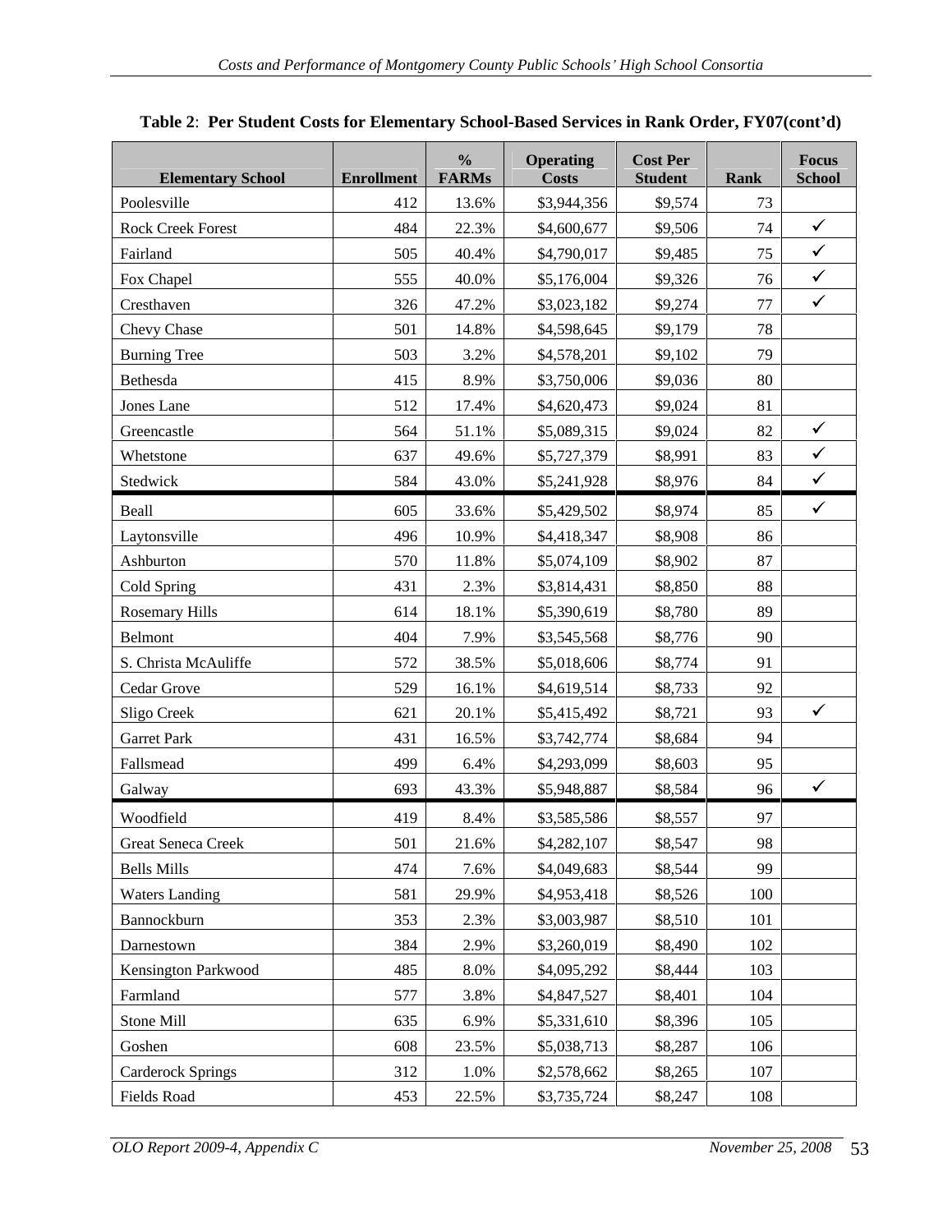| <b>Elementary School</b>    | <b>Enrollment</b>   FARMs | $\frac{0}{0}$ | <b>Operating</b><br>Costs  | <b>Cost Per</b><br><b>Student</b> | Focus<br>Rank<br><b>School</b> |
|-----------------------------|---------------------------|---------------|----------------------------|-----------------------------------|--------------------------------|
| Poolesville                 | 412                       | 13.6%         | \$3,944,356                | \$9,574                           | 73                             |
| <b>Rock Creek Forest</b>    | 484                       | 22.3%         | \$4,600,677                | \$9,506                           | $\sqrt{ }$<br>74               |
| Fairland                    | 505                       | 40.4%         | \$4,790,017                | \$9,485                           | $\sqrt{2}$<br>75               |
| Fox Chapel                  | 555                       | 40.0%         | \$5,176,004                | \$9,326                           | $\sqrt{ }$<br>76               |
| Cresthaven                  | 326                       | 47.2%         | \$3,023,182                | \$9,274                           | $\sqrt{2}$<br>77               |
| Chevy Chase                 | 501                       | 14.8%         | \$4,598,645                | \$9,179                           | 78                             |
| Burning Tree                | 503                       | 3.2%          | \$4,578,201                | \$9,102                           | 79 I                           |
| Bethesda                    | 415                       | 8.9%          | \$3,750,006                | \$9,036                           | 80                             |
| Jones Lane                  | 512                       | 17.4%         | \$4,620,473                | \$9,024                           | 81                             |
| Greencastle                 | 564                       | 51.1%         | \$5,089,315                | \$9,024                           | $\sqrt{2}$<br>82               |
| Whetstone                   | 637                       | 49.6%         | \$5,727,379                | \$8,991                           | $\sqrt{2}$<br>83               |
| Stedwick                    | 584                       | 43.0%         | \$5,241,928                | \$8,976                           | $\sqrt{2}$<br>84               |
| Beall                       | 605                       | 33.6%         | \$5,429,502                | \$8,974                           | $85$ $\checkmark$              |
| Laytonsville                | 496                       | 10.9%         | \$4,418,347                | \$8,908                           | 86                             |
| Ashburton                   | 570                       | 11.8%         | \$5,074,109                | \$8,902                           | 87                             |
| Cold Spring                 | 431                       | 2.3%          | \$3,814,431                | \$8,850                           | 88                             |
| <b>Rosemary Hills</b>       | 614                       | 18.1%         | \$5,390,619                | \$8,780                           | 89                             |
| Belmont                     | 404                       | 7.9%          | \$3,545,568                | \$8,776                           | 90                             |
| S. Christa McAuliffe        | 572                       | 38.5%         | \$5,018,606                | \$8,774                           | 91                             |
| Cedar Grove                 | 529                       | 16.1%         | \$4,619,514                | \$8,733                           | 92                             |
| Sligo Creek                 | 621                       | 20.1%         | \$5,415,492                | \$8,721                           | $\sqrt{ }$<br>93               |
| <b>Garret Park</b>          | 431                       | 16.5%         | \$3,742,774                | \$8,684                           | 94                             |
| Fallsmead                   | 499                       | 6.4%          | \$4,293,099                | \$8,603                           | 95 <sub>1</sub>                |
| Galway                      | 693                       | 43.3%         | \$5,948,887                | \$8,584                           | $96 \mid$<br>$\sqrt{ }$        |
| Woodfield                   | 419                       | 8.4%          | \$3,585,586                | \$8,557                           | 97                             |
| Great Seneca Creek          | 501                       | 21.6%         | \$4,282,107                | \$8,547                           | 98                             |
| Bells Mills                 | 474                       | 7.6%          | \$4,049,683                | \$8,544                           | 99                             |
| Waters Landing              | 581                       | 29.9%         | \$4,953,418                | \$8,526                           | 100                            |
| Bannockburn                 | 353                       | 2.3%          | \$3,003,987                | \$8,510                           | 101                            |
| Darnestown                  | 384                       | 2.9%          | \$3,260,019                | \$8,490                           | 102                            |
| Kensington Parkwood         | 485                       | 8.0%          | \$4,095,292                | \$8,444                           | 103                            |
| Farmland                    | 577                       | 3.8%          | \$4,847,527                | \$8,401                           | 104                            |
|                             |                           |               |                            |                                   |                                |
|                             |                           |               |                            |                                   |                                |
| Stone Mill                  | 635                       | 6.9%          | \$5,331,610                | \$8,396                           | 105                            |
| Goshen<br>Carderock Springs | 608<br>312                | 23.5%<br>1.0% | \$5,038,713<br>\$2,578,662 | \$8,287<br>\$8,265                | 106<br>107                     |

## **Table 2**: **Per Student Costs for Elementary School-Based Services in Rank Order, FY07(cont d)**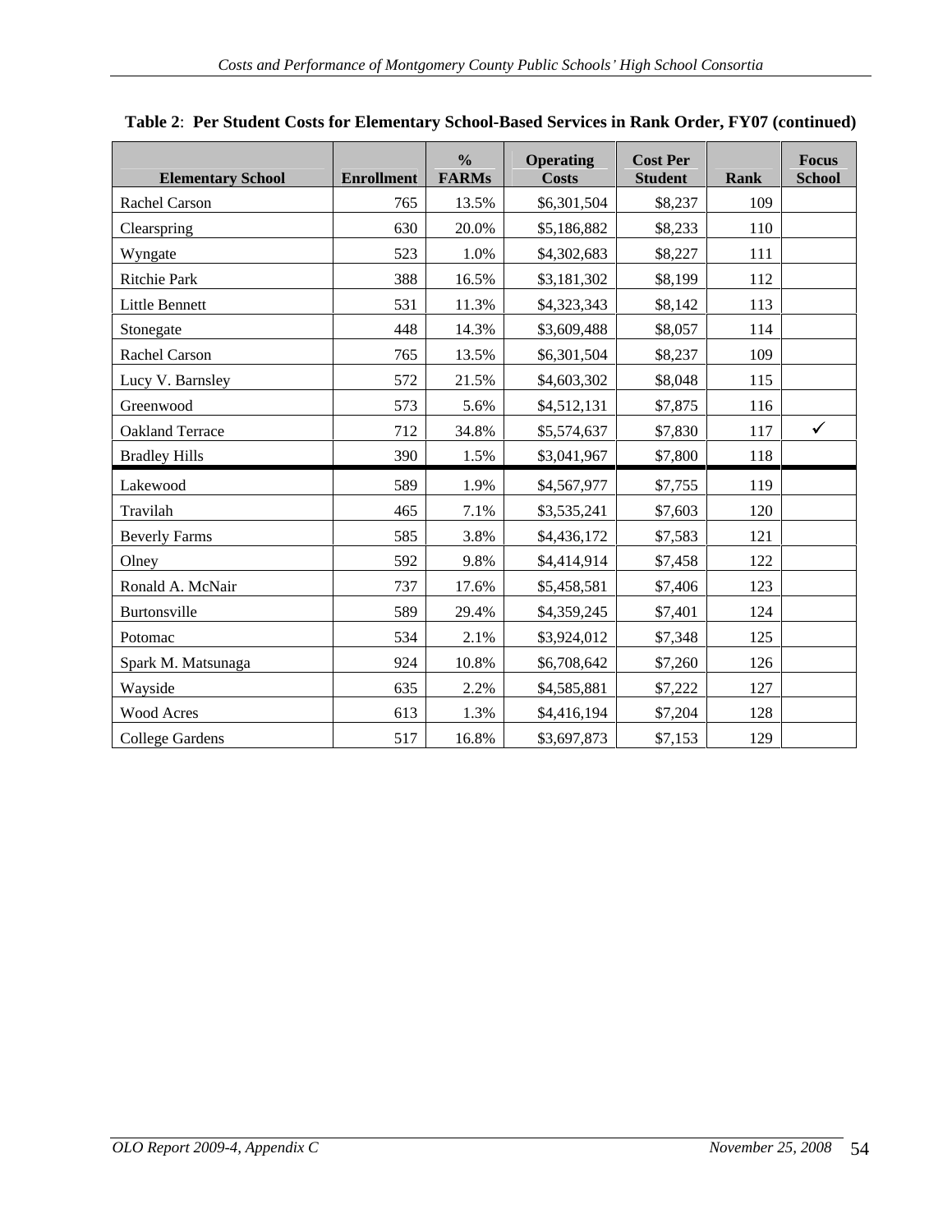|                          |                           | $\frac{0}{0}$ | <b>Operating</b> | Cost Per       | Focus             |
|--------------------------|---------------------------|---------------|------------------|----------------|-------------------|
| <b>Elementary School</b> | <b>Enrollment</b>   FARMs |               | Costs            | <b>Student</b> | School<br>Rank    |
| Rachel Carson            | 765 l                     | 13.5%         | \$6,301,504      | \$8,237        | 109               |
| Clearspring              | 630                       | 20.0%         | \$5,186,882      | \$8,233        | 110               |
| Wyngate                  | 523                       | 1.0%          | \$4,302,683      | \$8,227        | 111               |
| Ritchie Park             | 388                       | 16.5%         | \$3,181,302      | \$8,199        | 112               |
| Little Bennett           | 531                       | 11.3%         | \$4,323,343      | \$8,142        | 113               |
| Stonegate                | 448                       | 14.3%         | \$3,609,488      | \$8,057        | 114               |
| Rachel Carson            | 765                       | 13.5%         | \$6,301,504      | \$8,237        | 109               |
| Lucy V. Barnsley         | 572                       | 21.5%         | \$4,603,302      | \$8,048        | 115               |
| Greenwood                | 573                       | 5.6%          | \$4,512,131      | \$7,875        | 116               |
| Oakland Terrace          | 712                       | 34.8%         |                  | \$7,830        | $\sqrt{ }$<br>117 |
|                          |                           |               | \$5,574,637      |                |                   |
| <b>Bradley Hills</b>     | 390                       | 1.5%          | \$3,041,967      | \$7,800        | 118               |
| Lakewood                 | 589                       | 1.9%          | \$4,567,977      | \$7,755        | 119               |
| Travilah                 | 465                       | 7.1%          | \$3,535,241      | \$7,603        | 120               |
| Beverly Farms            | 585                       | 3.8%          | \$4,436,172      | \$7,583        | 121               |
| Olney                    | 592                       | 9.8%          | \$4,414,914      | \$7,458        | 122               |
| Ronald A. McNair         | 737                       | 17.6%         | \$5,458,581      | \$7,406        | 123               |
| Burtonsville             | 589                       | 29.4%         | \$4,359,245      | \$7,401        | 124               |
|                          |                           |               |                  |                |                   |
| Potomac                  | 534                       | 2.1%          | \$3,924,012      | \$7,348        | 125               |
| Spark M. Matsunaga       | 924                       | 10.8%         | \$6,708,642      | \$7,260        | 126               |
| Wayside                  | 635                       | 2.2%          | \$4,585,881      | \$7,222        | 127               |
| <b>Wood Acres</b>        | 613                       | 1.3%          | \$4,416,194      | \$7,204        | 128               |
| College Gardens          | 517                       | 16.8%         | \$3,697,873      | \$7,153        | 129               |

### **Table 2**: **Per Student Costs for Elementary School-Based Services in Rank Order, FY07 (continued)**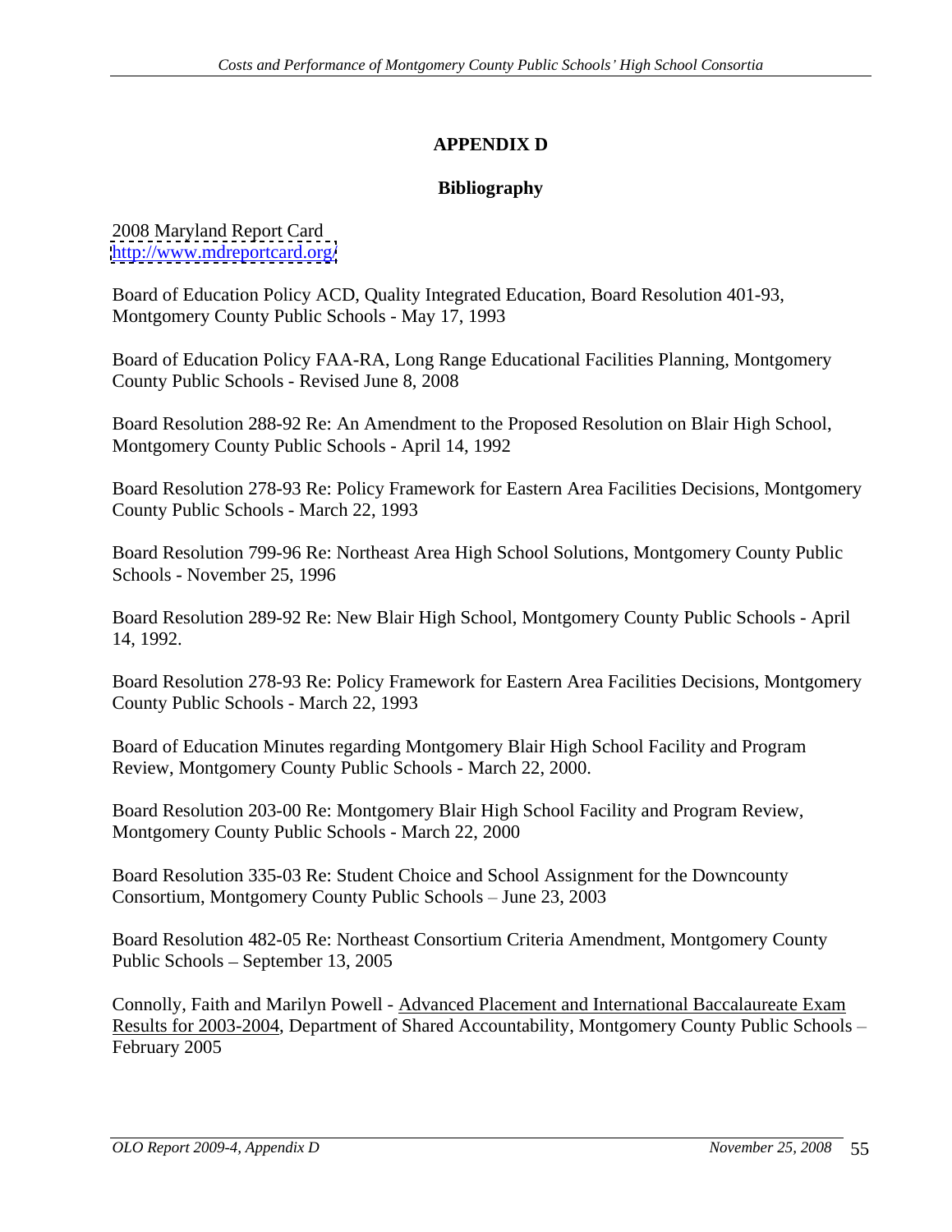# **APPENDIX D**

### **Bibliography**

2008 Maryland Report Card <http://www.mdreportcard.org/>

Board of Education Policy ACD, Quality Integrated Education, Board Resolution 401-93, Montgomery County Public Schools - May 17, 1993

Board of Education Policy FAA-RA, Long Range Educational Facilities Planning, Montgomery County Public Schools - Revised June 8, 2008

Board Resolution 288-92 Re: An Amendment to the Proposed Resolution on Blair High School, Montgomery County Public Schools - April 14, 1992

Board Resolution 278-93 Re: Policy Framework for Eastern Area Facilities Decisions, Montgomery County Public Schools - March 22, 1993

Board Resolution 799-96 Re: Northeast Area High School Solutions, Montgomery County Public Schools - November 25, 1996

Board Resolution 289-92 Re: New Blair High School, Montgomery County Public Schools - April 14, 1992.

Board Resolution 278-93 Re: Policy Framework for Eastern Area Facilities Decisions, Montgomery County Public Schools - March 22, 1993

Board of Education Minutes regarding Montgomery Blair High School Facility and Program Review, Montgomery County Public Schools - March 22, 2000.

Board Resolution 203-00 Re: Montgomery Blair High School Facility and Program Review, Montgomery County Public Schools - March 22, 2000

Board Resolution 335-03 Re: Student Choice and School Assignment for the Downcounty Consortium, Montgomery County Public Schools - June 23, 2003

Board Resolution 482-05 Re: Northeast Consortium Criteria Amendment, Montgomery County Public Schools – September 13, 2005

Connolly, Faith and Marilyn Powell - Advanced Placement and International Baccalaureate Exam Results for 2003-2004, Department of Shared Accountability, Montgomery County Public Schools February 2005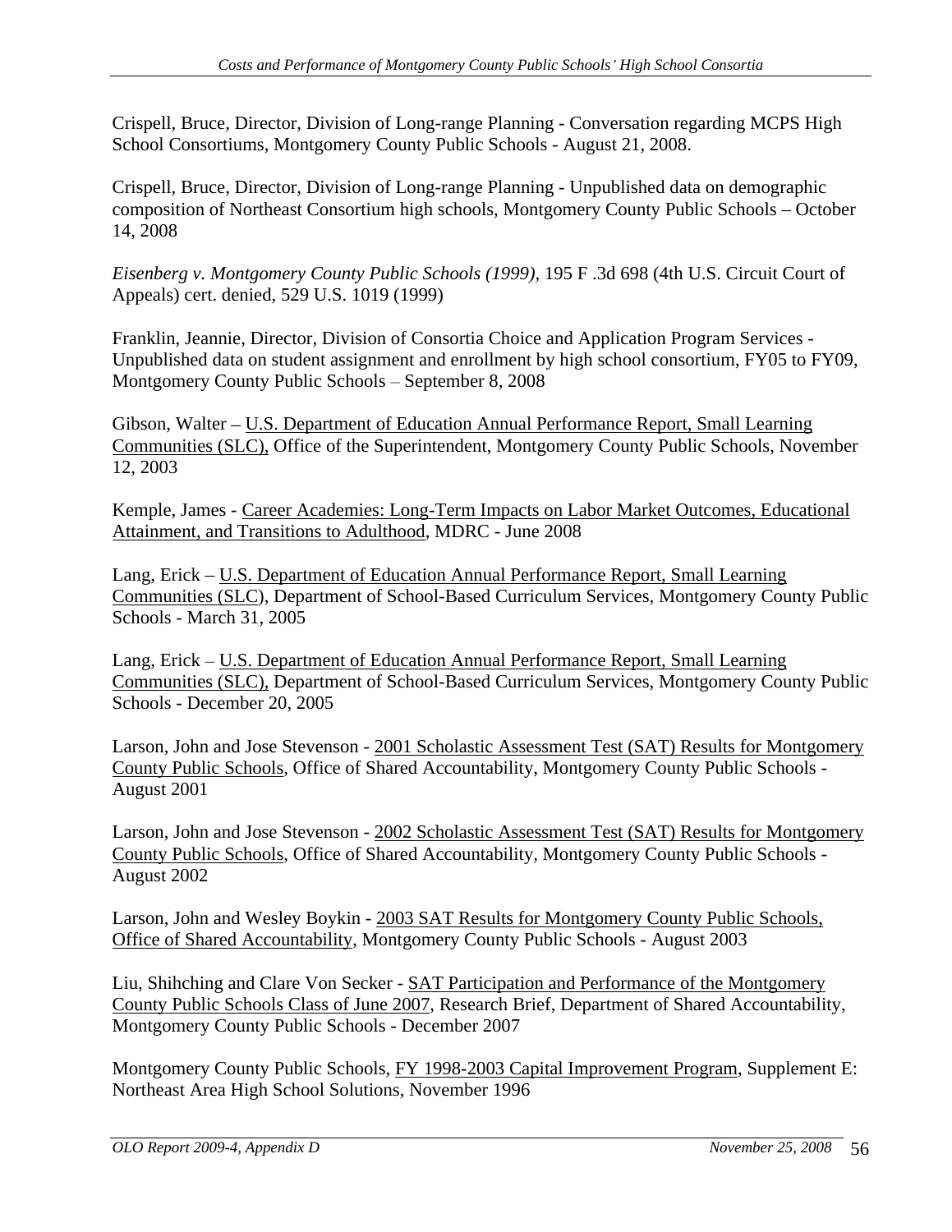Crispell, Bruce, Director, Division of Long-range Planning - Conversation regarding MCPS High School Consortiums, Montgomery County Public Schools - August 21, 2008.

Crispell, Bruce, Director, Division of Long-range Planning - Unpublished data on demographic composition of Northeast Consortium high schools, Montgomery County Public Schools – October 14, 2008

*Eisenberg v. Montgomery County Public Schools (1999),* 195 F .3d 698 (4th U.S. Circuit Court of Appeals) cert. denied, 529 U.S. 1019 (1999)

Franklin, Jeannie, Director, Division of Consortia Choice and Application Program Services - Unpublished data on student assignment and enrollment by high school consortium, FY05 to FY09, Montgomery County Public Schools – September 8, 2008

Gibson, Walter – U.S. Department of Education Annual Performance Report, Small Learning Communities (SLC), Office of the Superintendent, Montgomery County Public Schools, November 12, 2003

Kemple, James - Career Academies: Long-Term Impacts on Labor Market Outcomes, Educational Attainment, and Transitions to Adulthood, MDRC - June 2008

Lang, Erick – U.S. Department of Education Annual Performance Report, Small Learning Communities (SLC), Department of School-Based Curriculum Services, Montgomery County Public Schools - March 31, 2005

Lang, Erick – U.S. Department of Education Annual Performance Report, Small Learning Communities (SLC), Department of School-Based Curriculum Services, Montgomery County Public Schools - December 20, 2005

Larson, John and Jose Stevenson - 2001 Scholastic Assessment Test (SAT) Results for Montgomery County Public Schools, Office of Shared Accountability, Montgomery County Public Schools - August 2001

Larson, John and Jose Stevenson - 2002 Scholastic Assessment Test (SAT) Results for Montgomery County Public Schools, Office of Shared Accountability, Montgomery County Public Schools - August 2002

Larson, John and Wesley Boykin - 2003 SAT Results for Montgomery County Public Schools, Office of Shared Accountability, Montgomery County Public Schools - August 2003

Liu, Shihching and Clare Von Secker - SAT Participation and Performance of the Montgomery County Public Schools Class of June 2007, Research Brief, Department of Shared Accountability, Montgomery County Public Schools - December 2007

Montgomery County Public Schools, FY 1998-2003 Capital Improvement Program, Supplement E: Northeast Area High School Solutions, November 1996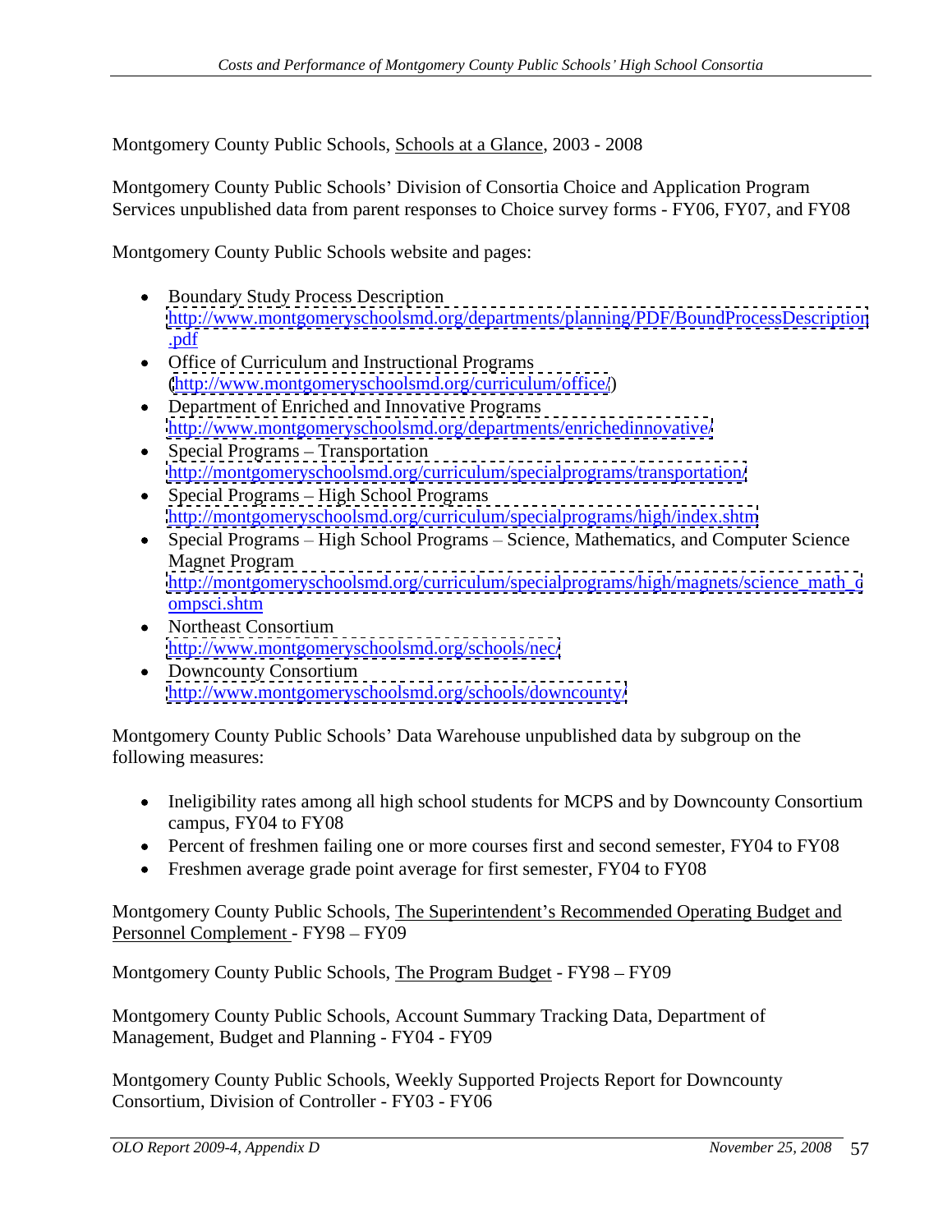Montgomery County Public Schools, Schools at a Glance, 2003 - 2008

Montgomery County Public Schools' Division of Consortia Choice and Application Program Services unpublished data from parent responses to Choice survey forms - FY06, FY07, and FY08

Montgomery County Public Schools website and pages:

- Boundary Study Process Description <http://www.montgomeryschoolsmd.org/departments/planning/PDF/BoundProcessDescription> .pdf
- Office of Curriculum and Instructional Programs [\(http://www.montgomeryschoolsmd.org/curriculum/office/](http://www.montgomeryschoolsmd.org/curriculum/office/))
- Department of Enriched and Innovative Programs <http://www.montgomeryschoolsmd.org/departments/enrichedinnovative/>
- $\bullet$  Special Programs Transportation <http://montgomeryschoolsmd.org/curriculum/specialprograms/transportation/>
- $\bullet$  Special Programs High School Programs <http://montgomeryschoolsmd.org/curriculum/specialprograms/high/index.shtm>
- Special Programs High School Programs Science, Mathematics, and Computer Science Magnet Program [http://montgomeryschoolsmd.org/curriculum/specialprograms/high/magnets/science\\_math\\_c](http://montgomeryschoolsmd.org/curriculum/specialprograms/high/magnets/science_math_c) ompsci.shtml and the state of the state of the state of the state of the state of the state of the state of the state of the state of the state of the state of the state of the state of the state of the state of the state
- Northeast Consortium <http://www.montgomeryschoolsmd.org/schools/nec/>
- Downcounty Consortium <http://www.montgomeryschoolsmd.org/schools/downcounty/>

Montgomery County Public Schools' Data Warehouse unpublished data by subgroup on the following measures:

- Ineligibility rates among all high school students for MCPS and by Downcounty Consortium campus, FY04 to FY08
- Percent of freshmen failing one or more courses first and second semester, FY04 to FY08
- Freshmen average grade point average for first semester, FY04 to FY08

Montgomery County Public Schools, The Superintendent's Recommended Operating Budget and Personnel Complement - FY98 - FY09

Montgomery County Public Schools, The Program Budget - FY98 – FY09

Montgomery County Public Schools, Account Summary Tracking Data, Department of Management, Budget and Planning - FY04 - FY09<br>Montgomery County Public Schools, Weekly Supported Projects Report for Downcounty

Consortium, Division of Controller - FY03 - FY06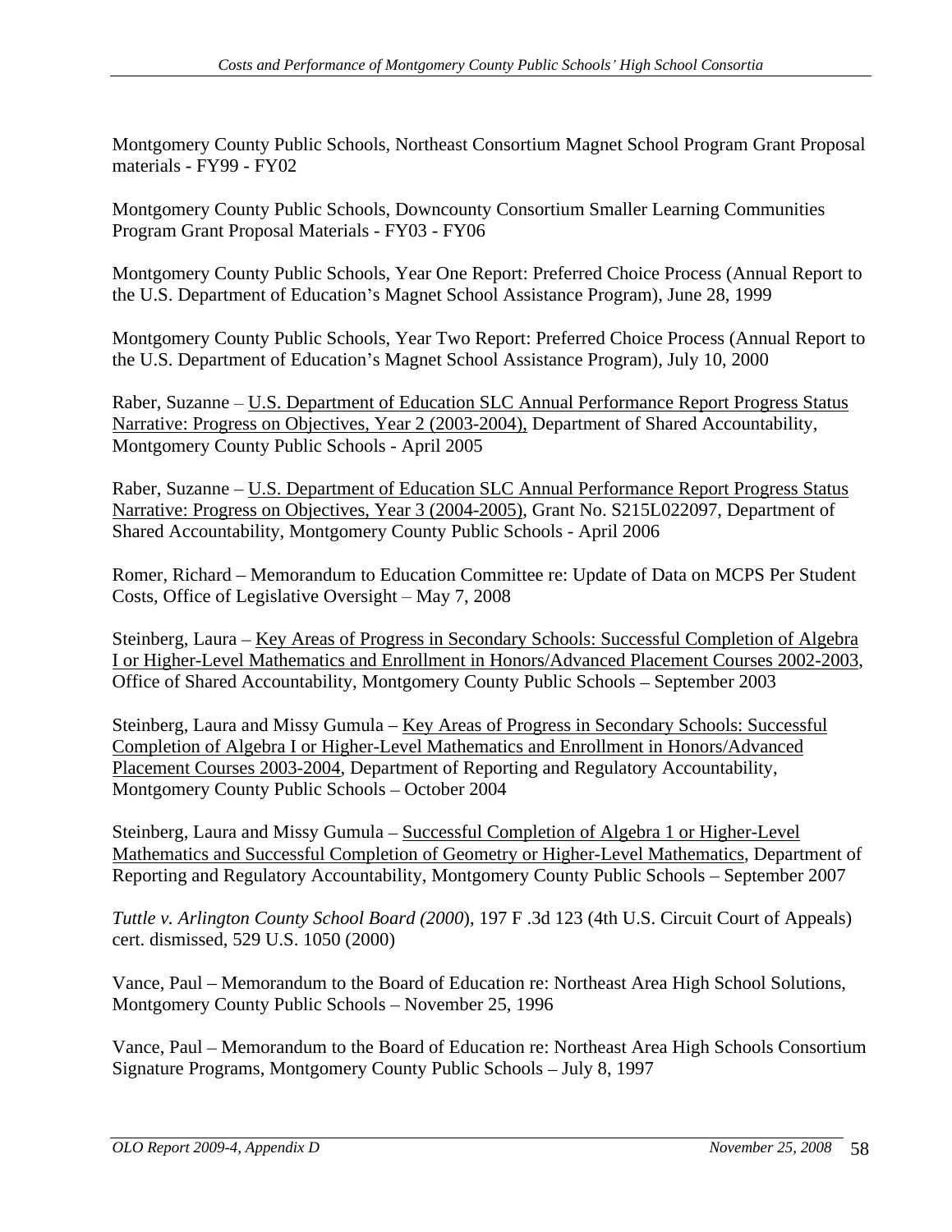Montgomery County Public Schools, Northeast Consortium Magnet School Program Grant Proposal

materials - FY99 - FY02<br>Montgomery County Public Schools, Downcounty Consortium Smaller Learning Communities Program Grant Proposal Materials - FY03 - FY06

Montgomery County Public Schools, Year One Report: Preferred Choice Process (Annual Report to the U.S. Department of Education's Magnet School Assistance Program), June 28, 1999

Montgomery County Public Schools, Year Two Report: Preferred Choice Process (Annual Report to the U.S. Department of Education's Magnet School Assistance Program), July 10, 2000

Raber, Suzanne – U.S. Department of Education SLC Annual Performance Report Progress Status Narrative: Progress on Objectives, Year 2 (2003-2004), Department of Shared Accountability, Montgomery County Public Schools - April 2005

Raber, Suzanne – U.S. Department of Education SLC Annual Performance Report Progress Status Narrative: Progress on Objectives, Year 3 (2004-2005), Grant No. S215L022097, Department of Shared Accountability, Montgomery County Public Schools - April 2006

Romer, Richard – Memorandum to Education Committee re: Update of Data on MCPS Per Student Costs, Office of Legislative Oversight  $-$  May 7, 2008

Steinberg, Laura – Key Areas of Progress in Secondary Schools: Successful Completion of Algebra I or Higher-Level Mathematics and Enrollment in Honors/Advanced Placement Courses 2002-2003, Office of Shared Accountability, Montgomery County Public Schools – September 2003

Steinberg, Laura and Missy Gumula – Key Areas of Progress in Secondary Schools: Successful Completion of Algebra I or Higher-Level Mathematics and Enrollment in Honors/Advanced Placement Courses 2003-2004, Department of Reporting and Regulatory Accountability, Montgomery County Public Schools - October 2004

Steinberg, Laura and Missy Gumula – Successful Completion of Algebra 1 or Higher-Level Mathematics and Successful Completion of Geometry or Higher-Level Mathematics, Department of Reporting and Regulatory Accountability, Montgomery County Public Schools – September 2007

*Tuttle v. Arlington County School Board (2000*), 197 F .3d 123 (4th U.S. Circuit Court of Appeals) cert. dismissed, 529 U.S. 1050 (2000)

Vance, Paul – Memorandum to the Board of Education re: Northeast Area High School Solutions, Montgomery County Public Schools – November 25, 1996

Vance, Paul – Memorandum to the Board of Education re: Northeast Area High Schools Consortium Signature Programs, Montgomery County Public Schools - July 8, 1997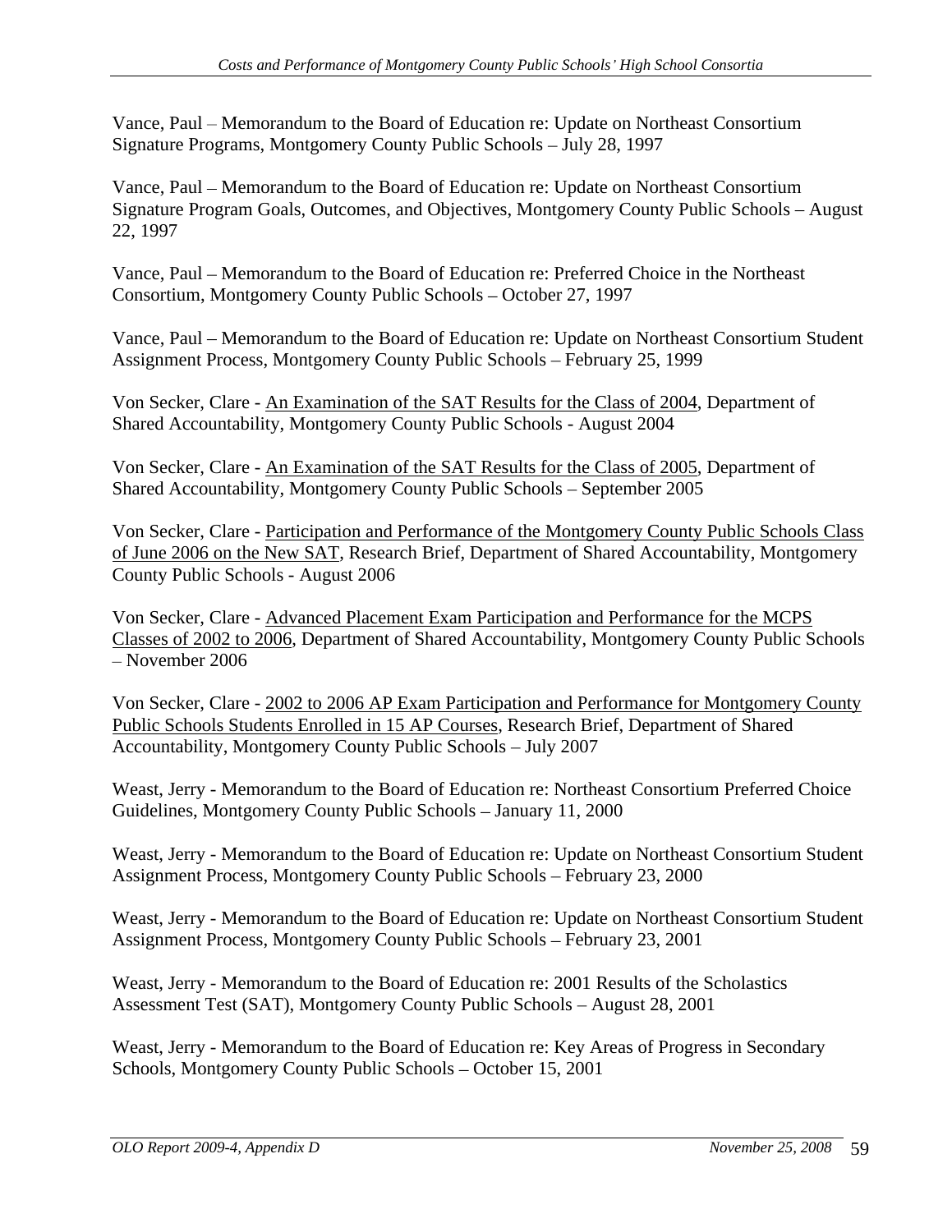Vance, Paul – Memorandum to the Board of Education re: Update on Northeast Consortium Signature Programs, Montgomery County Public Schools - July 28, 1997

Vance, Paul – Memorandum to the Board of Education re: Update on Northeast Consortium Signature Program Goals, Outcomes, and Objectives, Montgomery County Public Schools – August 22, 1997

Vance, Paul – Memorandum to the Board of Education re: Preferred Choice in the Northeast Consortium, Montgomery County Public Schools - October 27, 1997

Vance, Paul – Memorandum to the Board of Education re: Update on Northeast Consortium Student Assignment Process, Montgomery County Public Schools - February 25, 1999

Von Secker, Clare - An Examination of the SAT Results for the Class of 2004, Department of Shared Accountability, Montgomery County Public Schools - August 2004

Von Secker, Clare - An Examination of the SAT Results for the Class of 2005, Department of Shared Accountability, Montgomery County Public Schools - September 2005

Von Secker, Clare - Participation and Performance of the Montgomery County Public Schools Class of June 2006 on the New SAT, Research Brief, Department of Shared Accountability, Montgomery County Public Schools - August 2006

Von Secker, Clare - Advanced Placement Exam Participation and Performance for the MCPS Classes of 2002 to 2006, Department of Shared Accountability, Montgomery County Public Schools November 2006

Von Secker, Clare - 2002 to 2006 AP Exam Participation and Performance for Montgomery County Public Schools Students Enrolled in 15 AP Courses, Research Brief, Department of Shared Accountability, Montgomery County Public Schools – July 2007

Weast, Jerry - Memorandum to the Board of Education re: Northeast Consortium Preferred Choice Guidelines, Montgomery County Public Schools - January 11, 2000

Weast, Jerry - Memorandum to the Board of Education re: Update on Northeast Consortium Student Assignment Process, Montgomery County Public Schools – February 23, 2000

Weast, Jerry - Memorandum to the Board of Education re: Update on Northeast Consortium Student Assignment Process, Montgomery County Public Schools - February 23, 2001

Weast, Jerry - Memorandum to the Board of Education re: 2001 Results of the Scholastics Assessment Test (SAT), Montgomery County Public Schools – August 28, 2001

Weast, Jerry - Memorandum to the Board of Education re: Key Areas of Progress in Secondary Schools, Montgomery County Public Schools - October 15, 2001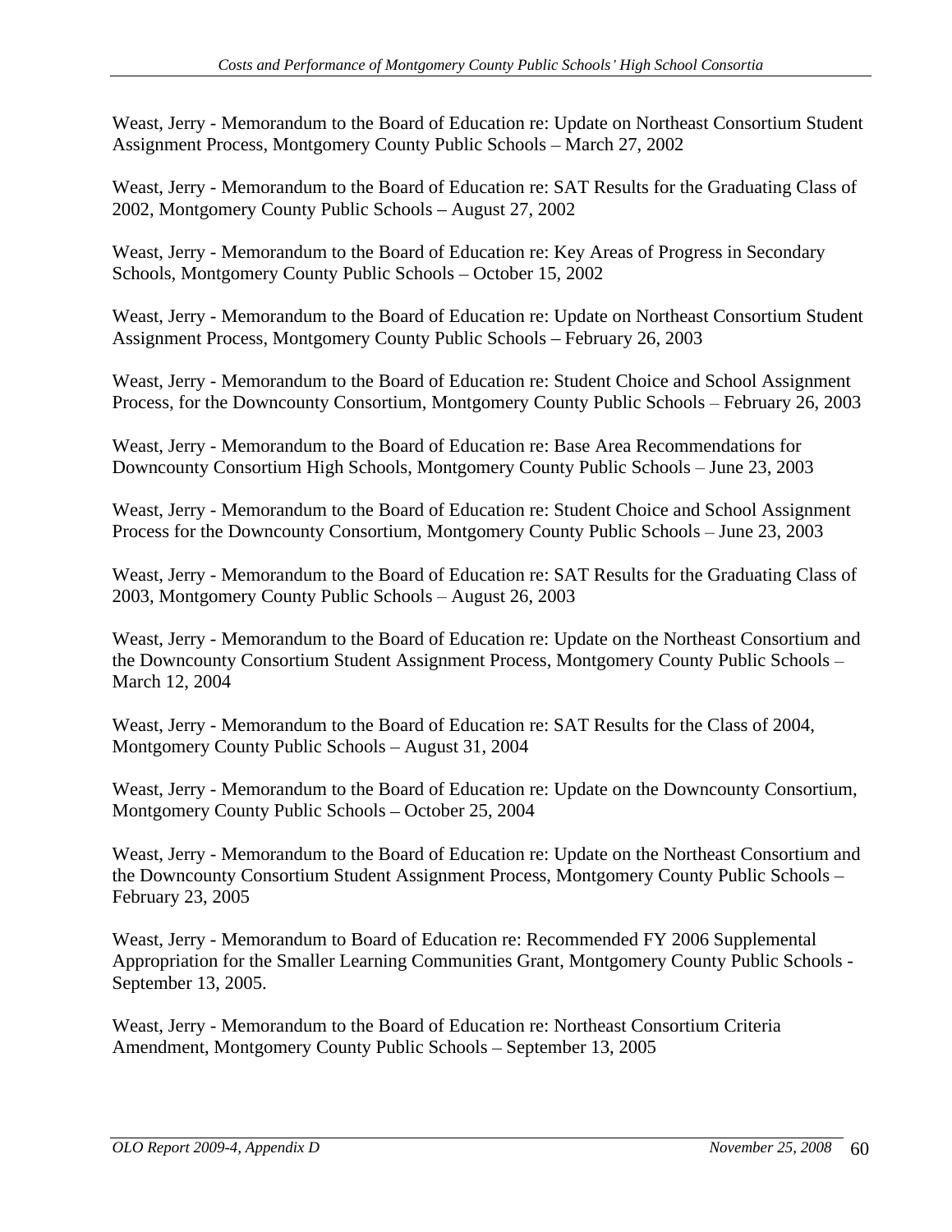Weast, Jerry - Memorandum to the Board of Education re: Update on Northeast Consortium Student Assignment Process, Montgomery County Public Schools – March 27, 2002

Weast, Jerry - Memorandum to the Board of Education re: SAT Results for the Graduating Class of 2002, Montgomery County Public Schools – August 27, 2002

Weast, Jerry - Memorandum to the Board of Education re: Key Areas of Progress in Secondary Schools, Montgomery County Public Schools – October 15, 2002

Weast, Jerry - Memorandum to the Board of Education re: Update on Northeast Consortium Student Assignment Process, Montgomery County Public Schools – February 26, 2003

Weast, Jerry - Memorandum to the Board of Education re: Student Choice and School Assignment Process, for the Downcounty Consortium, Montgomery County Public Schools – February 26, 2003

Weast, Jerry - Memorandum to the Board of Education re: Base Area Recommendations for Downcounty Consortium High Schools, Montgomery County Public Schools - June 23, 2003

Weast, Jerry - Memorandum to the Board of Education re: Student Choice and School Assignment Process for the Downcounty Consortium, Montgomery County Public Schools – June 23, 2003

Weast, Jerry - Memorandum to the Board of Education re: SAT Results for the Graduating Class of 2003, Montgomery County Public Schools – August 26, 2003

Weast, Jerry - Memorandum to the Board of Education re: Update on the Northeast Consortium and the Downcounty Consortium Student Assignment Process, Montgomery County Public Schools March 12, 2004

Weast, Jerry - Memorandum to the Board of Education re: SAT Results for the Class of 2004, Montgomery County Public Schools - August 31, 2004

Weast, Jerry - Memorandum to the Board of Education re: Update on the Downcounty Consortium, Montgomery County Public Schools - October 25, 2004

Weast, Jerry - Memorandum to the Board of Education re: Update on the Northeast Consortium and the Downcounty Consortium Student Assignment Process, Montgomery County Public Schools February 23, 2005

Weast, Jerry - Memorandum to Board of Education re: Recommended FY 2006 Supplemental Appropriation for the Smaller Learning Communities Grant, Montgomery County Public Schools - September 13, 2005.

Weast, Jerry - Memorandum to the Board of Education re: Northeast Consortium Criteria Amendment, Montgomery County Public Schools - September 13, 2005